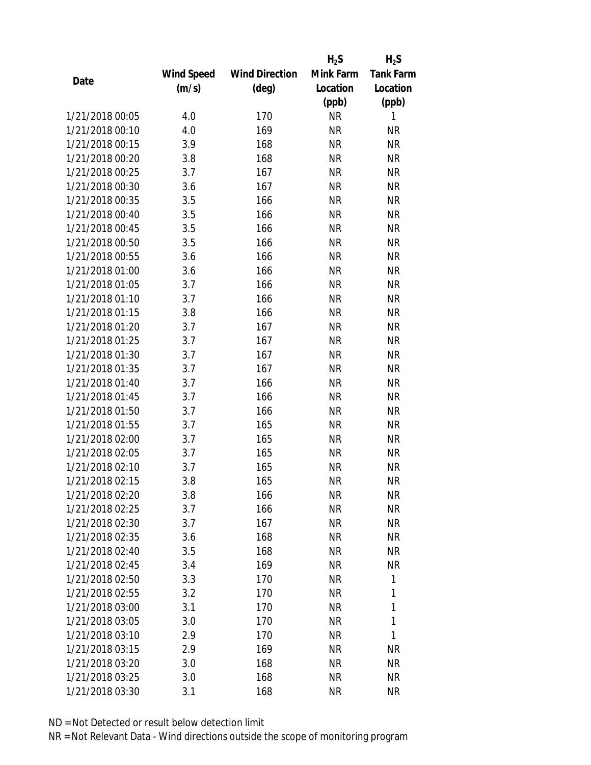|                 |            |                       | $H_2S$    | $H_2S$           |
|-----------------|------------|-----------------------|-----------|------------------|
|                 | Wind Speed | <b>Wind Direction</b> | Mink Farm | <b>Tank Farm</b> |
| Date            | (m/s)      | (deg)                 | Location  | Location         |
|                 |            |                       | (ppb)     | (ppb)            |
| 1/21/2018 00:05 | 4.0        | 170                   | <b>NR</b> | 1                |
| 1/21/2018 00:10 | 4.0        | 169                   | <b>NR</b> | <b>NR</b>        |
| 1/21/2018 00:15 | 3.9        | 168                   | <b>NR</b> | <b>NR</b>        |
| 1/21/2018 00:20 | 3.8        | 168                   | <b>NR</b> | <b>NR</b>        |
| 1/21/2018 00:25 | 3.7        | 167                   | <b>NR</b> | <b>NR</b>        |
| 1/21/2018 00:30 | 3.6        | 167                   | <b>NR</b> | <b>NR</b>        |
| 1/21/2018 00:35 | 3.5        | 166                   | <b>NR</b> | <b>NR</b>        |
| 1/21/2018 00:40 | 3.5        | 166                   | <b>NR</b> | <b>NR</b>        |
| 1/21/2018 00:45 | 3.5        | 166                   | <b>NR</b> | <b>NR</b>        |
| 1/21/2018 00:50 | 3.5        | 166                   | <b>NR</b> | <b>NR</b>        |
| 1/21/2018 00:55 | 3.6        | 166                   | <b>NR</b> | <b>NR</b>        |
| 1/21/2018 01:00 | 3.6        | 166                   | <b>NR</b> | <b>NR</b>        |
| 1/21/2018 01:05 | 3.7        | 166                   | <b>NR</b> | <b>NR</b>        |
| 1/21/2018 01:10 | 3.7        | 166                   | <b>NR</b> | <b>NR</b>        |
| 1/21/2018 01:15 | 3.8        | 166                   | <b>NR</b> | <b>NR</b>        |
| 1/21/2018 01:20 | 3.7        | 167                   | <b>NR</b> | <b>NR</b>        |
| 1/21/2018 01:25 | 3.7        | 167                   | <b>NR</b> | <b>NR</b>        |
| 1/21/2018 01:30 | 3.7        | 167                   | <b>NR</b> | <b>NR</b>        |
| 1/21/2018 01:35 | 3.7        | 167                   | <b>NR</b> | <b>NR</b>        |
| 1/21/2018 01:40 | 3.7        | 166                   | <b>NR</b> | <b>NR</b>        |
| 1/21/2018 01:45 | 3.7        | 166                   | <b>NR</b> | <b>NR</b>        |
| 1/21/2018 01:50 | 3.7        | 166                   | <b>NR</b> | <b>NR</b>        |
| 1/21/2018 01:55 | 3.7        | 165                   | <b>NR</b> | <b>NR</b>        |
| 1/21/2018 02:00 | 3.7        | 165                   | <b>NR</b> | <b>NR</b>        |
| 1/21/2018 02:05 | 3.7        | 165                   | <b>NR</b> | <b>NR</b>        |
| 1/21/2018 02:10 | 3.7        | 165                   | <b>NR</b> | <b>NR</b>        |
| 1/21/2018 02:15 | 3.8        | 165                   | <b>NR</b> | <b>NR</b>        |
| 1/21/2018 02:20 | 3.8        | 166                   | ΝR        | <b>NR</b>        |
| 1/21/2018 02:25 | 3.7        | 166                   | <b>NR</b> | <b>NR</b>        |
| 1/21/2018 02:30 | 3.7        | 167                   | NR        | <b>NR</b>        |
| 1/21/2018 02:35 | 3.6        | 168                   | <b>NR</b> | <b>NR</b>        |
| 1/21/2018 02:40 | 3.5        | 168                   | <b>NR</b> | <b>NR</b>        |
| 1/21/2018 02:45 | 3.4        | 169                   | NR        | <b>NR</b>        |
| 1/21/2018 02:50 | 3.3        | 170                   | <b>NR</b> | 1                |
| 1/21/2018 02:55 | 3.2        | 170                   | NR        | 1                |
| 1/21/2018 03:00 | 3.1        | 170                   | <b>NR</b> | 1                |
| 1/21/2018 03:05 | 3.0        | 170                   | ΝR        | 1                |
| 1/21/2018 03:10 | 2.9        | 170                   | ΝR        | 1                |
| 1/21/2018 03:15 | 2.9        | 169                   | ΝR        | <b>NR</b>        |
| 1/21/2018 03:20 | 3.0        | 168                   | NR        | <b>NR</b>        |
| 1/21/2018 03:25 | 3.0        | 168                   | <b>NR</b> | <b>NR</b>        |
| 1/21/2018 03:30 | 3.1        | 168                   | <b>NR</b> | <b>NR</b>        |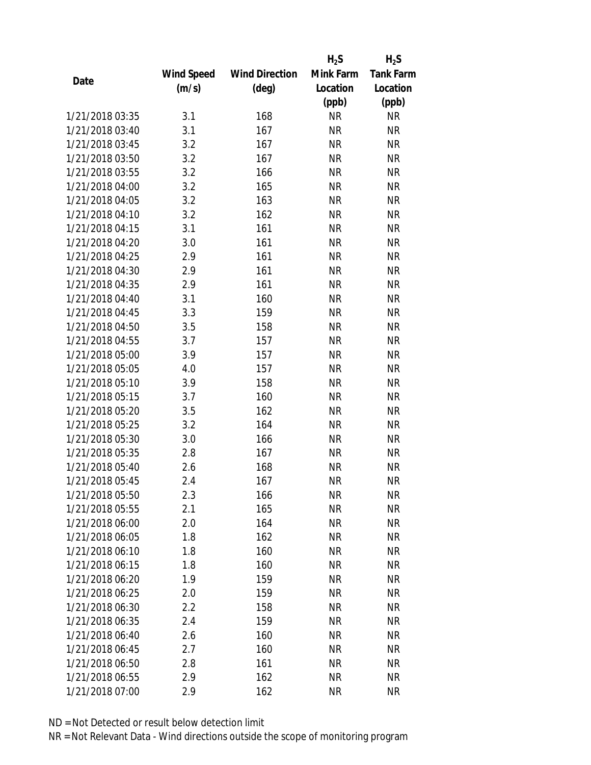|                 |            |                       | $H_2S$    | $H_2S$           |
|-----------------|------------|-----------------------|-----------|------------------|
|                 | Wind Speed | <b>Wind Direction</b> | Mink Farm | <b>Tank Farm</b> |
| Date            | (m/s)      | $(\text{deg})$        | Location  | Location         |
|                 |            |                       | (ppb)     | (ppb)            |
| 1/21/2018 03:35 | 3.1        | 168                   | <b>NR</b> | NR               |
| 1/21/2018 03:40 | 3.1        | 167                   | <b>NR</b> | <b>NR</b>        |
| 1/21/2018 03:45 | 3.2        | 167                   | <b>NR</b> | <b>NR</b>        |
| 1/21/2018 03:50 | 3.2        | 167                   | <b>NR</b> | <b>NR</b>        |
| 1/21/2018 03:55 | 3.2        | 166                   | <b>NR</b> | <b>NR</b>        |
| 1/21/2018 04:00 | 3.2        | 165                   | <b>NR</b> | <b>NR</b>        |
| 1/21/2018 04:05 | 3.2        | 163                   | <b>NR</b> | <b>NR</b>        |
| 1/21/2018 04:10 | 3.2        | 162                   | <b>NR</b> | <b>NR</b>        |
| 1/21/2018 04:15 | 3.1        | 161                   | <b>NR</b> | <b>NR</b>        |
| 1/21/2018 04:20 | 3.0        | 161                   | <b>NR</b> | <b>NR</b>        |
| 1/21/2018 04:25 | 2.9        | 161                   | <b>NR</b> | <b>NR</b>        |
| 1/21/2018 04:30 | 2.9        | 161                   | <b>NR</b> | <b>NR</b>        |
| 1/21/2018 04:35 | 2.9        | 161                   | <b>NR</b> | <b>NR</b>        |
| 1/21/2018 04:40 | 3.1        | 160                   | <b>NR</b> | <b>NR</b>        |
| 1/21/2018 04:45 | 3.3        | 159                   | <b>NR</b> | <b>NR</b>        |
| 1/21/2018 04:50 | 3.5        | 158                   | <b>NR</b> | <b>NR</b>        |
| 1/21/2018 04:55 | 3.7        | 157                   | <b>NR</b> | <b>NR</b>        |
| 1/21/2018 05:00 | 3.9        | 157                   | <b>NR</b> | <b>NR</b>        |
| 1/21/2018 05:05 | 4.0        | 157                   | <b>NR</b> | <b>NR</b>        |
| 1/21/2018 05:10 | 3.9        | 158                   | <b>NR</b> | <b>NR</b>        |
| 1/21/2018 05:15 | 3.7        | 160                   | <b>NR</b> | <b>NR</b>        |
| 1/21/2018 05:20 | 3.5        | 162                   | <b>NR</b> | <b>NR</b>        |
| 1/21/2018 05:25 | 3.2        | 164                   | <b>NR</b> | <b>NR</b>        |
| 1/21/2018 05:30 | 3.0        | 166                   | <b>NR</b> | <b>NR</b>        |
| 1/21/2018 05:35 | 2.8        | 167                   | <b>NR</b> | <b>NR</b>        |
| 1/21/2018 05:40 | 2.6        | 168                   | <b>NR</b> | <b>NR</b>        |
| 1/21/2018 05:45 | 2.4        | 167                   | <b>NR</b> | <b>NR</b>        |
| 1/21/2018 05:50 | 2.3        | 166                   | NR        | ΝR               |
| 1/21/2018 05:55 | 2.1        | 165                   | <b>NR</b> | <b>NR</b>        |
| 1/21/2018 06:00 | 2.0        | 164                   | NR        | <b>NR</b>        |
| 1/21/2018 06:05 | 1.8        | 162                   | <b>NR</b> | NR               |
| 1/21/2018 06:10 | 1.8        | 160                   | <b>NR</b> | NR               |
| 1/21/2018 06:15 | 1.8        | 160                   | NR        | NR               |
| 1/21/2018 06:20 | 1.9        | 159                   | <b>NR</b> | <b>NR</b>        |
| 1/21/2018 06:25 | 2.0        | 159                   | <b>NR</b> | <b>NR</b>        |
| 1/21/2018 06:30 | 2.2        | 158                   | <b>NR</b> | NR               |
| 1/21/2018 06:35 | 2.4        | 159                   | <b>NR</b> | NR               |
| 1/21/2018 06:40 | 2.6        | 160                   | NR        | NR               |
| 1/21/2018 06:45 | 2.7        | 160                   | <b>NR</b> | <b>NR</b>        |
| 1/21/2018 06:50 | 2.8        | 161                   | NR        | NR               |
| 1/21/2018 06:55 | 2.9        | 162                   | <b>NR</b> | NR               |
|                 |            |                       |           |                  |
| 1/21/2018 07:00 | 2.9        | 162                   | <b>NR</b> | <b>NR</b>        |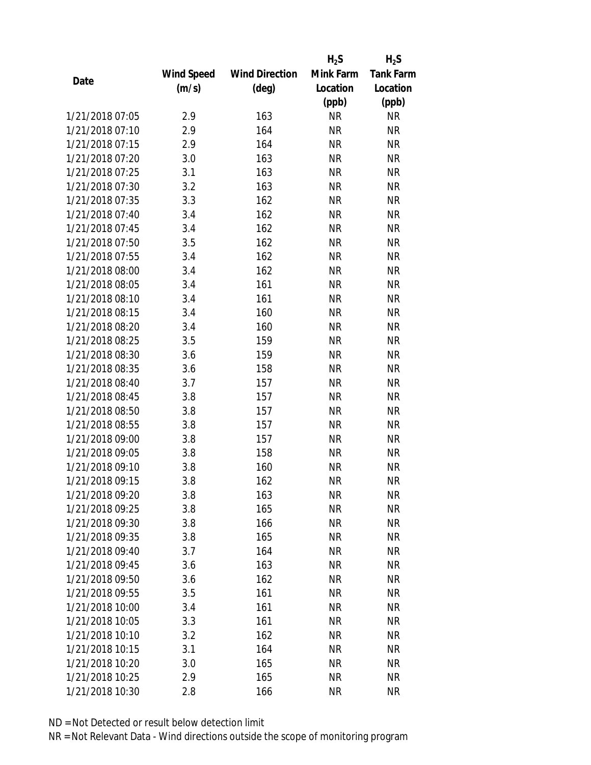|                 |            |                       | $H_2S$    | $H_2S$           |
|-----------------|------------|-----------------------|-----------|------------------|
|                 | Wind Speed | <b>Wind Direction</b> | Mink Farm | <b>Tank Farm</b> |
| Date            | (m/s)      | (deg)                 | Location  | Location         |
|                 |            |                       | (ppb)     | (ppb)            |
| 1/21/2018 07:05 | 2.9        | 163                   | <b>NR</b> | <b>NR</b>        |
| 1/21/2018 07:10 | 2.9        | 164                   | <b>NR</b> | <b>NR</b>        |
| 1/21/2018 07:15 | 2.9        | 164                   | <b>NR</b> | <b>NR</b>        |
| 1/21/2018 07:20 | 3.0        | 163                   | <b>NR</b> | <b>NR</b>        |
| 1/21/2018 07:25 | 3.1        | 163                   | <b>NR</b> | <b>NR</b>        |
| 1/21/2018 07:30 | 3.2        | 163                   | <b>NR</b> | <b>NR</b>        |
| 1/21/2018 07:35 | 3.3        | 162                   | <b>NR</b> | <b>NR</b>        |
| 1/21/2018 07:40 | 3.4        | 162                   | <b>NR</b> | <b>NR</b>        |
| 1/21/2018 07:45 | 3.4        | 162                   | <b>NR</b> | <b>NR</b>        |
| 1/21/2018 07:50 | 3.5        | 162                   | <b>NR</b> | <b>NR</b>        |
| 1/21/2018 07:55 | 3.4        | 162                   | <b>NR</b> | <b>NR</b>        |
| 1/21/2018 08:00 | 3.4        | 162                   | <b>NR</b> | <b>NR</b>        |
| 1/21/2018 08:05 | 3.4        | 161                   | <b>NR</b> | <b>NR</b>        |
| 1/21/2018 08:10 | 3.4        | 161                   | <b>NR</b> | <b>NR</b>        |
| 1/21/2018 08:15 | 3.4        | 160                   | <b>NR</b> | <b>NR</b>        |
| 1/21/2018 08:20 | 3.4        | 160                   | <b>NR</b> | <b>NR</b>        |
| 1/21/2018 08:25 | 3.5        | 159                   | <b>NR</b> | <b>NR</b>        |
| 1/21/2018 08:30 | 3.6        | 159                   | <b>NR</b> | <b>NR</b>        |
| 1/21/2018 08:35 | 3.6        | 158                   | <b>NR</b> | <b>NR</b>        |
| 1/21/2018 08:40 | 3.7        | 157                   | <b>NR</b> | <b>NR</b>        |
| 1/21/2018 08:45 | 3.8        | 157                   | <b>NR</b> | <b>NR</b>        |
| 1/21/2018 08:50 | 3.8        | 157                   | <b>NR</b> | <b>NR</b>        |
| 1/21/2018 08:55 | 3.8        | 157                   | <b>NR</b> | <b>NR</b>        |
| 1/21/2018 09:00 | 3.8        | 157                   | <b>NR</b> | <b>NR</b>        |
| 1/21/2018 09:05 | 3.8        | 158                   | <b>NR</b> | <b>NR</b>        |
| 1/21/2018 09:10 | 3.8        | 160                   | <b>NR</b> | <b>NR</b>        |
| 1/21/2018 09:15 | 3.8        | 162                   | <b>NR</b> | <b>NR</b>        |
| 1/21/2018 09:20 | 3.8        | 163                   | NR        | <b>NR</b>        |
| 1/21/2018 09:25 | 3.8        | 165                   | <b>NR</b> | <b>NR</b>        |
| 1/21/2018 09:30 | 3.8        | 166                   | NR        | <b>NR</b>        |
| 1/21/2018 09:35 | 3.8        | 165                   | <b>NR</b> | <b>NR</b>        |
| 1/21/2018 09:40 | 3.7        | 164                   | <b>NR</b> | <b>NR</b>        |
| 1/21/2018 09:45 | 3.6        | 163                   | NR        | <b>NR</b>        |
| 1/21/2018 09:50 | 3.6        | 162                   | <b>NR</b> | <b>NR</b>        |
| 1/21/2018 09:55 | 3.5        | 161                   | NR        | <b>NR</b>        |
| 1/21/2018 10:00 | 3.4        | 161                   | <b>NR</b> | <b>NR</b>        |
| 1/21/2018 10:05 | 3.3        | 161                   | NR        | <b>NR</b>        |
| 1/21/2018 10:10 | 3.2        | 162                   | NR        | <b>NR</b>        |
| 1/21/2018 10:15 | 3.1        | 164                   | <b>NR</b> | <b>NR</b>        |
| 1/21/2018 10:20 | 3.0        | 165                   | NR        | <b>NR</b>        |
| 1/21/2018 10:25 | 2.9        | 165                   | <b>NR</b> | <b>NR</b>        |
| 1/21/2018 10:30 | 2.8        | 166                   | <b>NR</b> | <b>NR</b>        |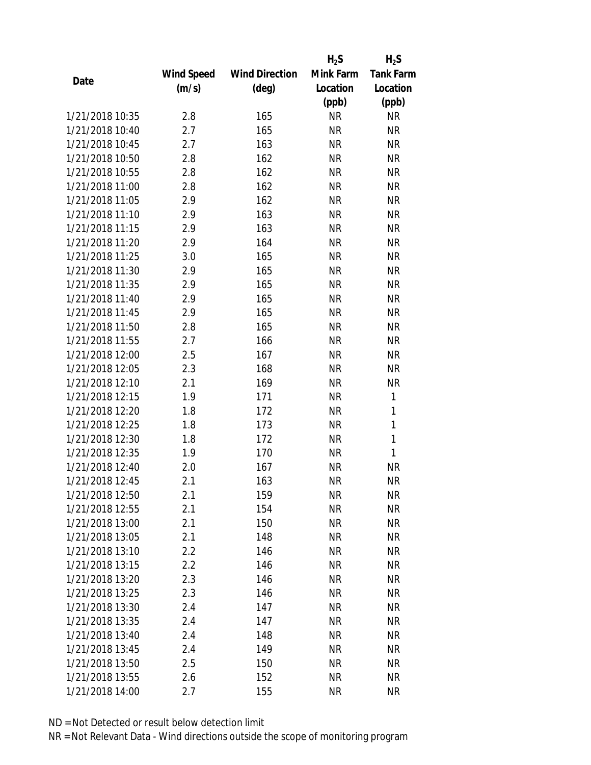|                 |            |                       | $H_2S$    | $H_2S$           |
|-----------------|------------|-----------------------|-----------|------------------|
|                 | Wind Speed | <b>Wind Direction</b> | Mink Farm | <b>Tank Farm</b> |
| Date            | (m/s)      | (deg)                 | Location  | Location         |
|                 |            |                       | (ppb)     | (ppb)            |
| 1/21/2018 10:35 | 2.8        | 165                   | <b>NR</b> | <b>NR</b>        |
| 1/21/2018 10:40 | 2.7        | 165                   | <b>NR</b> | <b>NR</b>        |
| 1/21/2018 10:45 | 2.7        | 163                   | <b>NR</b> | <b>NR</b>        |
| 1/21/2018 10:50 | 2.8        | 162                   | <b>NR</b> | <b>NR</b>        |
| 1/21/2018 10:55 | 2.8        | 162                   | <b>NR</b> | <b>NR</b>        |
| 1/21/2018 11:00 | 2.8        | 162                   | <b>NR</b> | <b>NR</b>        |
| 1/21/2018 11:05 | 2.9        | 162                   | <b>NR</b> | <b>NR</b>        |
| 1/21/2018 11:10 | 2.9        | 163                   | <b>NR</b> | <b>NR</b>        |
| 1/21/2018 11:15 | 2.9        | 163                   | <b>NR</b> | <b>NR</b>        |
| 1/21/2018 11:20 | 2.9        | 164                   | <b>NR</b> | <b>NR</b>        |
| 1/21/2018 11:25 | 3.0        | 165                   | <b>NR</b> | <b>NR</b>        |
| 1/21/2018 11:30 | 2.9        | 165                   | <b>NR</b> | <b>NR</b>        |
| 1/21/2018 11:35 | 2.9        | 165                   | <b>NR</b> | <b>NR</b>        |
| 1/21/2018 11:40 | 2.9        | 165                   | <b>NR</b> | <b>NR</b>        |
| 1/21/2018 11:45 | 2.9        | 165                   | <b>NR</b> | <b>NR</b>        |
| 1/21/2018 11:50 | 2.8        | 165                   | <b>NR</b> | <b>NR</b>        |
| 1/21/2018 11:55 | 2.7        | 166                   | <b>NR</b> | <b>NR</b>        |
| 1/21/2018 12:00 | 2.5        | 167                   | <b>NR</b> | <b>NR</b>        |
| 1/21/2018 12:05 | 2.3        | 168                   | <b>NR</b> | <b>NR</b>        |
| 1/21/2018 12:10 | 2.1        | 169                   | <b>NR</b> | <b>NR</b>        |
| 1/21/2018 12:15 | 1.9        | 171                   | <b>NR</b> | 1                |
| 1/21/2018 12:20 | 1.8        | 172                   | <b>NR</b> | $\mathbf{1}$     |
| 1/21/2018 12:25 | 1.8        | 173                   | <b>NR</b> | $\mathbf{1}$     |
| 1/21/2018 12:30 | 1.8        | 172                   | <b>NR</b> | $\mathbf{1}$     |
| 1/21/2018 12:35 | 1.9        | 170                   | <b>NR</b> | $\mathbf{1}$     |
| 1/21/2018 12:40 | 2.0        | 167                   | <b>NR</b> | <b>NR</b>        |
| 1/21/2018 12:45 | 2.1        | 163                   | <b>NR</b> | <b>NR</b>        |
| 1/21/2018 12:50 | 2.1        | 159                   | NR        | <b>NR</b>        |
| 1/21/2018 12:55 | 2.1        | 154                   | <b>NR</b> | <b>NR</b>        |
| 1/21/2018 13:00 | 2.1        | 150                   | NR        | <b>NR</b>        |
| 1/21/2018 13:05 | 2.1        | 148                   | <b>NR</b> | <b>NR</b>        |
| 1/21/2018 13:10 | 2.2        | 146                   | <b>NR</b> | <b>NR</b>        |
| 1/21/2018 13:15 | 2.2        | 146                   | NR        | <b>NR</b>        |
| 1/21/2018 13:20 | 2.3        | 146                   | <b>NR</b> | <b>NR</b>        |
| 1/21/2018 13:25 | 2.3        | 146                   | NR        | <b>NR</b>        |
| 1/21/2018 13:30 | 2.4        | 147                   | <b>NR</b> | <b>NR</b>        |
| 1/21/2018 13:35 | 2.4        | 147                   | NR        | <b>NR</b>        |
| 1/21/2018 13:40 | 2.4        | 148                   | NR        | <b>NR</b>        |
| 1/21/2018 13:45 | 2.4        | 149                   | <b>NR</b> | <b>NR</b>        |
| 1/21/2018 13:50 | 2.5        | 150                   | NR        | <b>NR</b>        |
| 1/21/2018 13:55 | 2.6        | 152                   | <b>NR</b> | <b>NR</b>        |
| 1/21/2018 14:00 | 2.7        | 155                   | <b>NR</b> | <b>NR</b>        |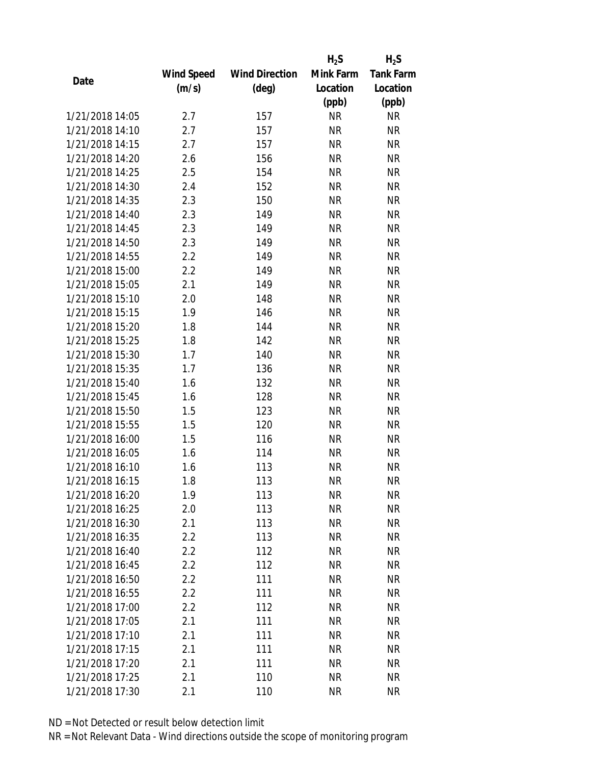|                 |            |                       | $H_2S$    | $H_2S$           |
|-----------------|------------|-----------------------|-----------|------------------|
|                 | Wind Speed | <b>Wind Direction</b> | Mink Farm | <b>Tank Farm</b> |
| Date            | (m/s)      | $(\text{deg})$        | Location  | Location         |
|                 |            |                       | (ppb)     | (ppb)            |
| 1/21/2018 14:05 | 2.7        | 157                   | <b>NR</b> | <b>NR</b>        |
| 1/21/2018 14:10 | 2.7        | 157                   | <b>NR</b> | <b>NR</b>        |
| 1/21/2018 14:15 | 2.7        | 157                   | <b>NR</b> | <b>NR</b>        |
| 1/21/2018 14:20 | 2.6        | 156                   | <b>NR</b> | <b>NR</b>        |
| 1/21/2018 14:25 | 2.5        | 154                   | <b>NR</b> | <b>NR</b>        |
| 1/21/2018 14:30 | 2.4        | 152                   | <b>NR</b> | <b>NR</b>        |
| 1/21/2018 14:35 | 2.3        | 150                   | <b>NR</b> | <b>NR</b>        |
| 1/21/2018 14:40 | 2.3        | 149                   | <b>NR</b> | <b>NR</b>        |
| 1/21/2018 14:45 | 2.3        | 149                   | <b>NR</b> | <b>NR</b>        |
| 1/21/2018 14:50 | 2.3        | 149                   | <b>NR</b> | <b>NR</b>        |
| 1/21/2018 14:55 | 2.2        | 149                   | <b>NR</b> | <b>NR</b>        |
| 1/21/2018 15:00 | 2.2        | 149                   | <b>NR</b> | <b>NR</b>        |
| 1/21/2018 15:05 | 2.1        | 149                   | <b>NR</b> | <b>NR</b>        |
| 1/21/2018 15:10 | 2.0        | 148                   | <b>NR</b> | <b>NR</b>        |
| 1/21/2018 15:15 | 1.9        | 146                   | <b>NR</b> | <b>NR</b>        |
| 1/21/2018 15:20 | 1.8        | 144                   | <b>NR</b> | <b>NR</b>        |
| 1/21/2018 15:25 | 1.8        | 142                   | <b>NR</b> | <b>NR</b>        |
| 1/21/2018 15:30 | 1.7        | 140                   | <b>NR</b> | <b>NR</b>        |
| 1/21/2018 15:35 | 1.7        | 136                   | <b>NR</b> | <b>NR</b>        |
| 1/21/2018 15:40 | 1.6        | 132                   | <b>NR</b> | <b>NR</b>        |
| 1/21/2018 15:45 | 1.6        | 128                   | <b>NR</b> | <b>NR</b>        |
| 1/21/2018 15:50 | 1.5        | 123                   | <b>NR</b> | <b>NR</b>        |
| 1/21/2018 15:55 | 1.5        | 120                   | <b>NR</b> | <b>NR</b>        |
| 1/21/2018 16:00 | 1.5        | 116                   | <b>NR</b> | <b>NR</b>        |
| 1/21/2018 16:05 | 1.6        | 114                   | <b>NR</b> | <b>NR</b>        |
| 1/21/2018 16:10 | 1.6        | 113                   | <b>NR</b> | <b>NR</b>        |
| 1/21/2018 16:15 | 1.8        | 113                   | <b>NR</b> | <b>NR</b>        |
| 1/21/2018 16:20 | 1.9        | 113                   | NR        | <b>NR</b>        |
| 1/21/2018 16:25 | 2.0        | 113                   | <b>NR</b> | <b>NR</b>        |
| 1/21/2018 16:30 | 2.1        | 113                   | NR        | <b>NR</b>        |
| 1/21/2018 16:35 | 2.2        | 113                   | <b>NR</b> | <b>NR</b>        |
| 1/21/2018 16:40 | 2.2        | 112                   | <b>NR</b> | <b>NR</b>        |
| 1/21/2018 16:45 | 2.2        | 112                   | NR        | <b>NR</b>        |
| 1/21/2018 16:50 | 2.2        | 111                   | <b>NR</b> | <b>NR</b>        |
| 1/21/2018 16:55 | 2.2        | 111                   | <b>NR</b> | <b>NR</b>        |
| 1/21/2018 17:00 | 2.2        | 112                   | <b>NR</b> | <b>NR</b>        |
| 1/21/2018 17:05 | 2.1        | 111                   | ΝR        | <b>NR</b>        |
| 1/21/2018 17:10 | 2.1        | 111                   | ΝR        | <b>NR</b>        |
| 1/21/2018 17:15 | 2.1        | 111                   | <b>NR</b> | <b>NR</b>        |
| 1/21/2018 17:20 | 2.1        | 111                   | NR        | <b>NR</b>        |
| 1/21/2018 17:25 | 2.1        | 110                   | <b>NR</b> | <b>NR</b>        |
| 1/21/2018 17:30 | 2.1        | 110                   | <b>NR</b> | <b>NR</b>        |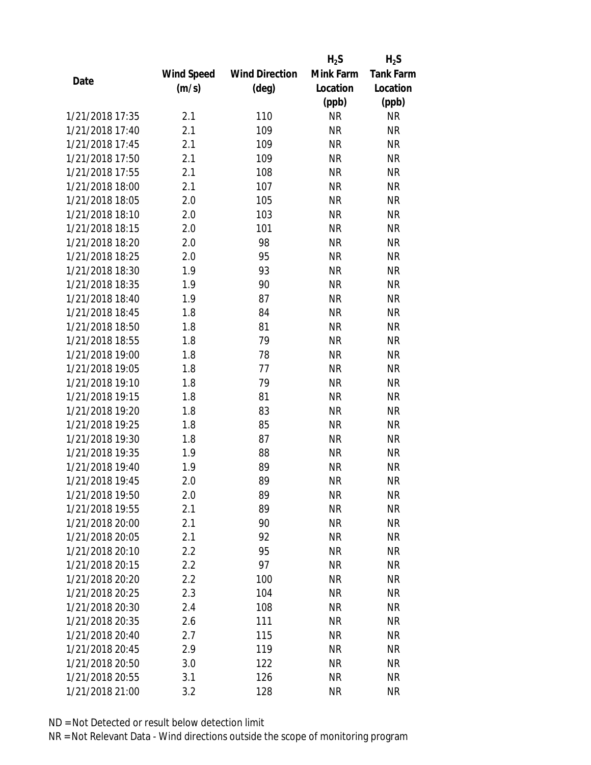|                 |            |                       | $H_2S$    | $H_2S$           |
|-----------------|------------|-----------------------|-----------|------------------|
|                 | Wind Speed | <b>Wind Direction</b> | Mink Farm | <b>Tank Farm</b> |
| Date            | (m/s)      | (deg)                 | Location  | Location         |
|                 |            |                       | (ppb)     | (ppb)            |
| 1/21/2018 17:35 | 2.1        | 110                   | <b>NR</b> | <b>NR</b>        |
| 1/21/2018 17:40 | 2.1        | 109                   | <b>NR</b> | <b>NR</b>        |
| 1/21/2018 17:45 | 2.1        | 109                   | <b>NR</b> | <b>NR</b>        |
| 1/21/2018 17:50 | 2.1        | 109                   | <b>NR</b> | <b>NR</b>        |
| 1/21/2018 17:55 | 2.1        | 108                   | <b>NR</b> | <b>NR</b>        |
| 1/21/2018 18:00 | 2.1        | 107                   | <b>NR</b> | <b>NR</b>        |
| 1/21/2018 18:05 | 2.0        | 105                   | <b>NR</b> | <b>NR</b>        |
| 1/21/2018 18:10 | 2.0        | 103                   | <b>NR</b> | <b>NR</b>        |
| 1/21/2018 18:15 | 2.0        | 101                   | <b>NR</b> | <b>NR</b>        |
| 1/21/2018 18:20 | 2.0        | 98                    | <b>NR</b> | <b>NR</b>        |
| 1/21/2018 18:25 | 2.0        | 95                    | <b>NR</b> | <b>NR</b>        |
| 1/21/2018 18:30 | 1.9        | 93                    | <b>NR</b> | <b>NR</b>        |
| 1/21/2018 18:35 | 1.9        | 90                    | <b>NR</b> | <b>NR</b>        |
| 1/21/2018 18:40 | 1.9        | 87                    | <b>NR</b> | <b>NR</b>        |
| 1/21/2018 18:45 | 1.8        | 84                    | <b>NR</b> | <b>NR</b>        |
| 1/21/2018 18:50 | 1.8        | 81                    | <b>NR</b> | <b>NR</b>        |
| 1/21/2018 18:55 | 1.8        | 79                    | <b>NR</b> | <b>NR</b>        |
| 1/21/2018 19:00 | 1.8        | 78                    | <b>NR</b> | <b>NR</b>        |
| 1/21/2018 19:05 | 1.8        | 77                    | <b>NR</b> | <b>NR</b>        |
| 1/21/2018 19:10 | 1.8        | 79                    | <b>NR</b> | <b>NR</b>        |
| 1/21/2018 19:15 | 1.8        | 81                    | <b>NR</b> | <b>NR</b>        |
| 1/21/2018 19:20 | 1.8        | 83                    | <b>NR</b> | <b>NR</b>        |
| 1/21/2018 19:25 | 1.8        | 85                    | <b>NR</b> | <b>NR</b>        |
| 1/21/2018 19:30 | 1.8        | 87                    | <b>NR</b> | <b>NR</b>        |
| 1/21/2018 19:35 | 1.9        | 88                    | <b>NR</b> | <b>NR</b>        |
| 1/21/2018 19:40 | 1.9        | 89                    | <b>NR</b> | <b>NR</b>        |
| 1/21/2018 19:45 | 2.0        | 89                    | <b>NR</b> | <b>NR</b>        |
| 1/21/2018 19:50 | 2.0        | 89                    | ΝR        | <b>NR</b>        |
| 1/21/2018 19:55 | 2.1        | 89                    | <b>NR</b> | <b>NR</b>        |
| 1/21/2018 20:00 | 2.1        | 90                    | <b>NR</b> | <b>NR</b>        |
| 1/21/2018 20:05 | 2.1        | 92                    | <b>NR</b> | <b>NR</b>        |
| 1/21/2018 20:10 | 2.2        | 95                    | <b>NR</b> | <b>NR</b>        |
| 1/21/2018 20:15 | 2.2        | 97                    | ΝR        | <b>NR</b>        |
| 1/21/2018 20:20 | 2.2        | 100                   | <b>NR</b> | <b>NR</b>        |
| 1/21/2018 20:25 | 2.3        | 104                   | NR        | <b>NR</b>        |
| 1/21/2018 20:30 | 2.4        | 108                   | <b>NR</b> | <b>NR</b>        |
| 1/21/2018 20:35 | 2.6        | 111                   | ΝR        | <b>NR</b>        |
| 1/21/2018 20:40 | 2.7        | 115                   | ΝR        | <b>NR</b>        |
| 1/21/2018 20:45 | 2.9        | 119                   | <b>NR</b> | <b>NR</b>        |
| 1/21/2018 20:50 | 3.0        | 122                   | NR        | <b>NR</b>        |
| 1/21/2018 20:55 | 3.1        | 126                   | <b>NR</b> | <b>NR</b>        |
| 1/21/2018 21:00 | 3.2        | 128                   | <b>NR</b> | <b>NR</b>        |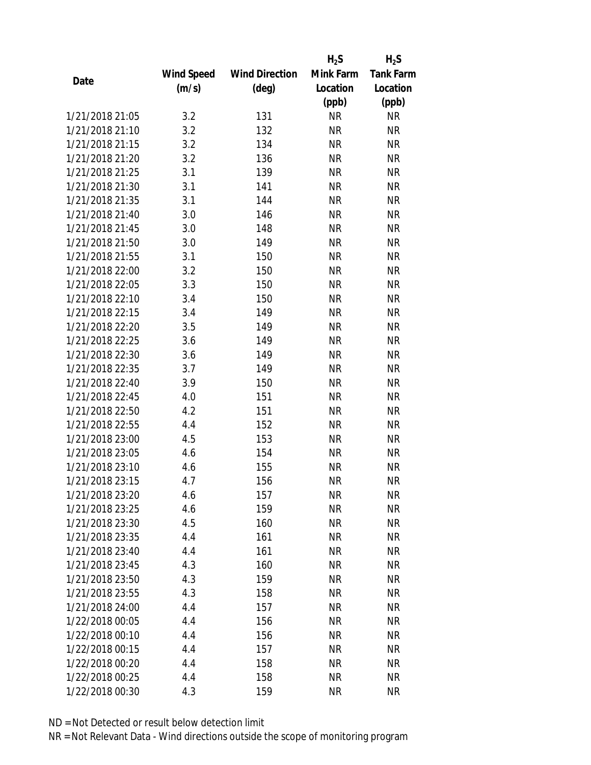|                 |            |                       | $H_2S$    | $H_2S$           |
|-----------------|------------|-----------------------|-----------|------------------|
|                 | Wind Speed | <b>Wind Direction</b> | Mink Farm | <b>Tank Farm</b> |
| Date            | (m/s)      | $(\text{deg})$        | Location  | Location         |
|                 |            |                       | (ppb)     | (ppb)            |
| 1/21/2018 21:05 | 3.2        | 131                   | <b>NR</b> | NR               |
| 1/21/2018 21:10 | 3.2        | 132                   | <b>NR</b> | <b>NR</b>        |
| 1/21/2018 21:15 | 3.2        | 134                   | <b>NR</b> | <b>NR</b>        |
| 1/21/2018 21:20 | 3.2        | 136                   | <b>NR</b> | <b>NR</b>        |
| 1/21/2018 21:25 | 3.1        | 139                   | <b>NR</b> | <b>NR</b>        |
| 1/21/2018 21:30 | 3.1        | 141                   | <b>NR</b> | <b>NR</b>        |
| 1/21/2018 21:35 | 3.1        | 144                   | <b>NR</b> | <b>NR</b>        |
| 1/21/2018 21:40 | 3.0        | 146                   | <b>NR</b> | <b>NR</b>        |
| 1/21/2018 21:45 | 3.0        | 148                   | <b>NR</b> | <b>NR</b>        |
| 1/21/2018 21:50 | 3.0        | 149                   | <b>NR</b> | <b>NR</b>        |
| 1/21/2018 21:55 | 3.1        | 150                   | <b>NR</b> | <b>NR</b>        |
| 1/21/2018 22:00 | 3.2        | 150                   | <b>NR</b> | <b>NR</b>        |
| 1/21/2018 22:05 | 3.3        | 150                   | <b>NR</b> | <b>NR</b>        |
| 1/21/2018 22:10 | 3.4        | 150                   | <b>NR</b> | <b>NR</b>        |
| 1/21/2018 22:15 | 3.4        | 149                   | <b>NR</b> | <b>NR</b>        |
| 1/21/2018 22:20 | 3.5        | 149                   | <b>NR</b> | <b>NR</b>        |
| 1/21/2018 22:25 | 3.6        | 149                   | <b>NR</b> | <b>NR</b>        |
| 1/21/2018 22:30 | 3.6        | 149                   | <b>NR</b> | <b>NR</b>        |
| 1/21/2018 22:35 | 3.7        | 149                   | <b>NR</b> | <b>NR</b>        |
| 1/21/2018 22:40 | 3.9        | 150                   | <b>NR</b> | <b>NR</b>        |
| 1/21/2018 22:45 | 4.0        | 151                   | <b>NR</b> | <b>NR</b>        |
| 1/21/2018 22:50 | 4.2        | 151                   | <b>NR</b> | <b>NR</b>        |
| 1/21/2018 22:55 | 4.4        | 152                   | <b>NR</b> | <b>NR</b>        |
| 1/21/2018 23:00 | 4.5        | 153                   | <b>NR</b> | <b>NR</b>        |
| 1/21/2018 23:05 | 4.6        | 154                   | <b>NR</b> | <b>NR</b>        |
| 1/21/2018 23:10 | 4.6        | 155                   | <b>NR</b> | <b>NR</b>        |
| 1/21/2018 23:15 | 4.7        | 156                   | <b>NR</b> | <b>NR</b>        |
| 1/21/2018 23:20 | 4.6        | 157                   | ΝR        | ΝR               |
| 1/21/2018 23:25 | 4.6        | 159                   | <b>NR</b> | <b>NR</b>        |
| 1/21/2018 23:30 | 4.5        | 160                   | NR        | NR               |
| 1/21/2018 23:35 | 4.4        | 161                   | <b>NR</b> | NR               |
| 1/21/2018 23:40 | 4.4        | 161                   | <b>NR</b> | NR               |
| 1/21/2018 23:45 | 4.3        | 160                   | <b>NR</b> | NR               |
| 1/21/2018 23:50 | 4.3        | 159                   | <b>NR</b> | <b>NR</b>        |
| 1/21/2018 23:55 | 4.3        | 158                   | <b>NR</b> | NR               |
| 1/21/2018 24:00 | 4.4        | 157                   | <b>NR</b> | NR               |
| 1/22/2018 00:05 | 4.4        |                       | <b>NR</b> | NR               |
|                 |            | 156                   |           |                  |
| 1/22/2018 00:10 | 4.4        | 156                   | ΝR        | NR               |
| 1/22/2018 00:15 | 4.4        | 157                   | <b>NR</b> | NR               |
| 1/22/2018 00:20 | 4.4        | 158                   | NR        | NR               |
| 1/22/2018 00:25 | 4.4        | 158                   | <b>NR</b> | NR               |
| 1/22/2018 00:30 | 4.3        | 159                   | <b>NR</b> | <b>NR</b>        |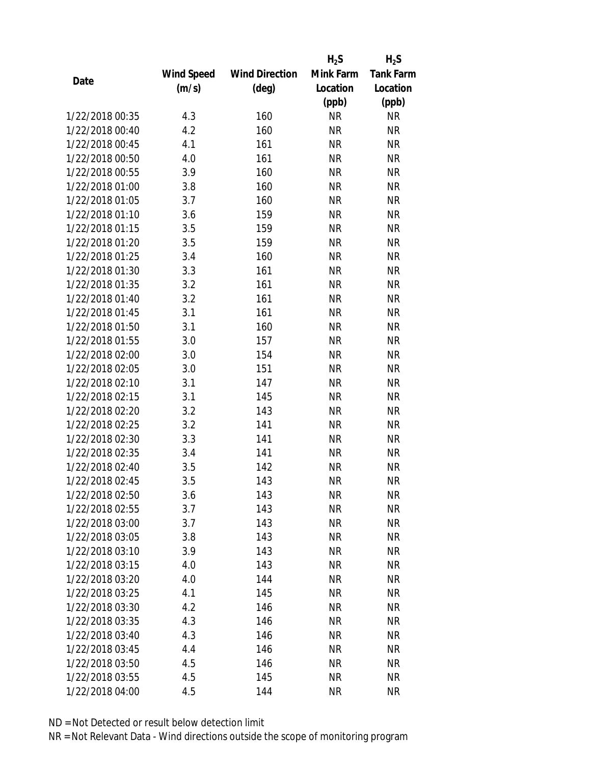|                 |            |                       | $H_2S$    | $H_2S$           |
|-----------------|------------|-----------------------|-----------|------------------|
|                 | Wind Speed | <b>Wind Direction</b> | Mink Farm | <b>Tank Farm</b> |
| Date            | (m/s)      | (deg)                 | Location  | Location         |
|                 |            |                       | (ppb)     | (ppb)            |
| 1/22/2018 00:35 | 4.3        | 160                   | <b>NR</b> | <b>NR</b>        |
| 1/22/2018 00:40 | 4.2        | 160                   | <b>NR</b> | <b>NR</b>        |
| 1/22/2018 00:45 | 4.1        | 161                   | <b>NR</b> | <b>NR</b>        |
| 1/22/2018 00:50 | 4.0        | 161                   | <b>NR</b> | <b>NR</b>        |
| 1/22/2018 00:55 | 3.9        | 160                   | <b>NR</b> | <b>NR</b>        |
| 1/22/2018 01:00 | 3.8        | 160                   | <b>NR</b> | <b>NR</b>        |
| 1/22/2018 01:05 | 3.7        | 160                   | <b>NR</b> | <b>NR</b>        |
| 1/22/2018 01:10 | 3.6        | 159                   | <b>NR</b> | <b>NR</b>        |
| 1/22/2018 01:15 | 3.5        | 159                   | <b>NR</b> | <b>NR</b>        |
| 1/22/2018 01:20 | 3.5        | 159                   | <b>NR</b> | <b>NR</b>        |
| 1/22/2018 01:25 | 3.4        | 160                   | <b>NR</b> | <b>NR</b>        |
| 1/22/2018 01:30 | 3.3        | 161                   | <b>NR</b> | <b>NR</b>        |
| 1/22/2018 01:35 | 3.2        | 161                   | <b>NR</b> | <b>NR</b>        |
| 1/22/2018 01:40 | 3.2        | 161                   | <b>NR</b> | <b>NR</b>        |
| 1/22/2018 01:45 | 3.1        | 161                   | <b>NR</b> | <b>NR</b>        |
| 1/22/2018 01:50 | 3.1        | 160                   | <b>NR</b> | <b>NR</b>        |
| 1/22/2018 01:55 | 3.0        | 157                   | <b>NR</b> | <b>NR</b>        |
| 1/22/2018 02:00 | 3.0        | 154                   | <b>NR</b> | <b>NR</b>        |
| 1/22/2018 02:05 | 3.0        | 151                   | <b>NR</b> | <b>NR</b>        |
| 1/22/2018 02:10 | 3.1        | 147                   | <b>NR</b> | <b>NR</b>        |
| 1/22/2018 02:15 | 3.1        | 145                   | <b>NR</b> | <b>NR</b>        |
| 1/22/2018 02:20 | 3.2        | 143                   | <b>NR</b> | <b>NR</b>        |
| 1/22/2018 02:25 | 3.2        | 141                   | <b>NR</b> | <b>NR</b>        |
| 1/22/2018 02:30 | 3.3        | 141                   | <b>NR</b> | <b>NR</b>        |
| 1/22/2018 02:35 | 3.4        | 141                   | <b>NR</b> | <b>NR</b>        |
| 1/22/2018 02:40 | 3.5        | 142                   | <b>NR</b> | <b>NR</b>        |
| 1/22/2018 02:45 | 3.5        | 143                   | <b>NR</b> | <b>NR</b>        |
| 1/22/2018 02:50 | 3.6        | 143                   | NR        | <b>NR</b>        |
| 1/22/2018 02:55 | 3.7        | 143                   | <b>NR</b> | <b>NR</b>        |
| 1/22/2018 03:00 | 3.7        | 143                   | NR        | <b>NR</b>        |
| 1/22/2018 03:05 | 3.8        | 143                   | <b>NR</b> | <b>NR</b>        |
| 1/22/2018 03:10 | 3.9        | 143                   | <b>NR</b> | <b>NR</b>        |
| 1/22/2018 03:15 | 4.0        | 143                   | NR        | <b>NR</b>        |
| 1/22/2018 03:20 | 4.0        | 144                   | <b>NR</b> | <b>NR</b>        |
| 1/22/2018 03:25 | 4.1        | 145                   | <b>NR</b> | <b>NR</b>        |
| 1/22/2018 03:30 | 4.2        | 146                   | <b>NR</b> | <b>NR</b>        |
| 1/22/2018 03:35 | 4.3        | 146                   | NR        | <b>NR</b>        |
| 1/22/2018 03:40 | 4.3        | 146                   | NR        | <b>NR</b>        |
| 1/22/2018 03:45 | 4.4        | 146                   | <b>NR</b> | <b>NR</b>        |
| 1/22/2018 03:50 | 4.5        | 146                   | NR        | <b>NR</b>        |
| 1/22/2018 03:55 | 4.5        | 145                   | <b>NR</b> | <b>NR</b>        |
| 1/22/2018 04:00 | 4.5        | 144                   | <b>NR</b> | <b>NR</b>        |
|                 |            |                       |           |                  |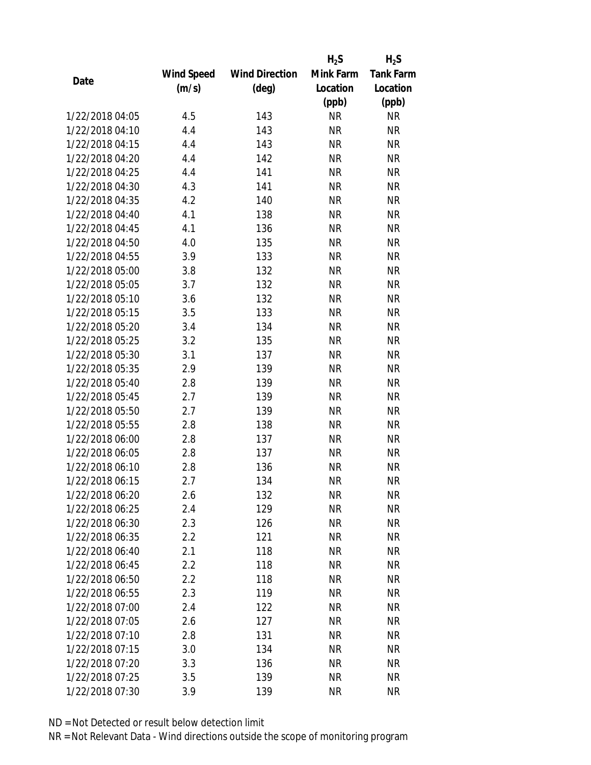|                 |            |                       | $H_2S$    | $H_2S$           |
|-----------------|------------|-----------------------|-----------|------------------|
|                 | Wind Speed | <b>Wind Direction</b> | Mink Farm | <b>Tank Farm</b> |
| Date            | (m/s)      | $(\text{deg})$        | Location  | Location         |
|                 |            |                       | (ppb)     | (ppb)            |
| 1/22/2018 04:05 | 4.5        | 143                   | <b>NR</b> | <b>NR</b>        |
| 1/22/2018 04:10 | 4.4        | 143                   | <b>NR</b> | <b>NR</b>        |
| 1/22/2018 04:15 | 4.4        | 143                   | <b>NR</b> | <b>NR</b>        |
| 1/22/2018 04:20 | 4.4        | 142                   | <b>NR</b> | <b>NR</b>        |
| 1/22/2018 04:25 | 4.4        | 141                   | <b>NR</b> | <b>NR</b>        |
| 1/22/2018 04:30 | 4.3        | 141                   | <b>NR</b> | <b>NR</b>        |
| 1/22/2018 04:35 | 4.2        | 140                   | <b>NR</b> | <b>NR</b>        |
| 1/22/2018 04:40 | 4.1        | 138                   | <b>NR</b> | <b>NR</b>        |
| 1/22/2018 04:45 | 4.1        | 136                   | <b>NR</b> | <b>NR</b>        |
| 1/22/2018 04:50 | 4.0        | 135                   | <b>NR</b> | <b>NR</b>        |
| 1/22/2018 04:55 | 3.9        | 133                   | <b>NR</b> | <b>NR</b>        |
| 1/22/2018 05:00 | 3.8        | 132                   | <b>NR</b> | <b>NR</b>        |
| 1/22/2018 05:05 | 3.7        | 132                   | <b>NR</b> | <b>NR</b>        |
| 1/22/2018 05:10 | 3.6        | 132                   | <b>NR</b> | <b>NR</b>        |
| 1/22/2018 05:15 | 3.5        | 133                   | <b>NR</b> | <b>NR</b>        |
| 1/22/2018 05:20 | 3.4        | 134                   | <b>NR</b> | <b>NR</b>        |
| 1/22/2018 05:25 | 3.2        | 135                   | <b>NR</b> | <b>NR</b>        |
| 1/22/2018 05:30 | 3.1        | 137                   | <b>NR</b> | <b>NR</b>        |
| 1/22/2018 05:35 | 2.9        | 139                   | <b>NR</b> | <b>NR</b>        |
| 1/22/2018 05:40 | 2.8        | 139                   | <b>NR</b> | <b>NR</b>        |
| 1/22/2018 05:45 | 2.7        | 139                   | <b>NR</b> | <b>NR</b>        |
| 1/22/2018 05:50 | 2.7        | 139                   | <b>NR</b> | <b>NR</b>        |
| 1/22/2018 05:55 | 2.8        | 138                   | <b>NR</b> | <b>NR</b>        |
| 1/22/2018 06:00 | 2.8        | 137                   | <b>NR</b> | <b>NR</b>        |
| 1/22/2018 06:05 | 2.8        | 137                   | <b>NR</b> | <b>NR</b>        |
| 1/22/2018 06:10 | 2.8        | 136                   | <b>NR</b> | <b>NR</b>        |
| 1/22/2018 06:15 | 2.7        | 134                   | <b>NR</b> | <b>NR</b>        |
| 1/22/2018 06:20 | 2.6        | 132                   | ΝR        | <b>NR</b>        |
| 1/22/2018 06:25 | 2.4        | 129                   | <b>NR</b> | <b>NR</b>        |
| 1/22/2018 06:30 | 2.3        | 126                   | NR        | <b>NR</b>        |
| 1/22/2018 06:35 | 2.2        | 121                   | <b>NR</b> | <b>NR</b>        |
| 1/22/2018 06:40 | 2.1        | 118                   | <b>NR</b> | <b>NR</b>        |
| 1/22/2018 06:45 | 2.2        | 118                   | ΝR        | <b>NR</b>        |
| 1/22/2018 06:50 | 2.2        | 118                   | <b>NR</b> | <b>NR</b>        |
| 1/22/2018 06:55 | 2.3        | 119                   | <b>NR</b> | <b>NR</b>        |
| 1/22/2018 07:00 | 2.4        | 122                   | <b>NR</b> | <b>NR</b>        |
| 1/22/2018 07:05 | 2.6        | 127                   | ΝR        | <b>NR</b>        |
| 1/22/2018 07:10 | 2.8        | 131                   | ΝR        | <b>NR</b>        |
| 1/22/2018 07:15 | 3.0        | 134                   | <b>NR</b> | <b>NR</b>        |
| 1/22/2018 07:20 | 3.3        | 136                   | ΝR        | <b>NR</b>        |
| 1/22/2018 07:25 | 3.5        | 139                   | <b>NR</b> | <b>NR</b>        |
| 1/22/2018 07:30 | 3.9        | 139                   | <b>NR</b> | <b>NR</b>        |
|                 |            |                       |           |                  |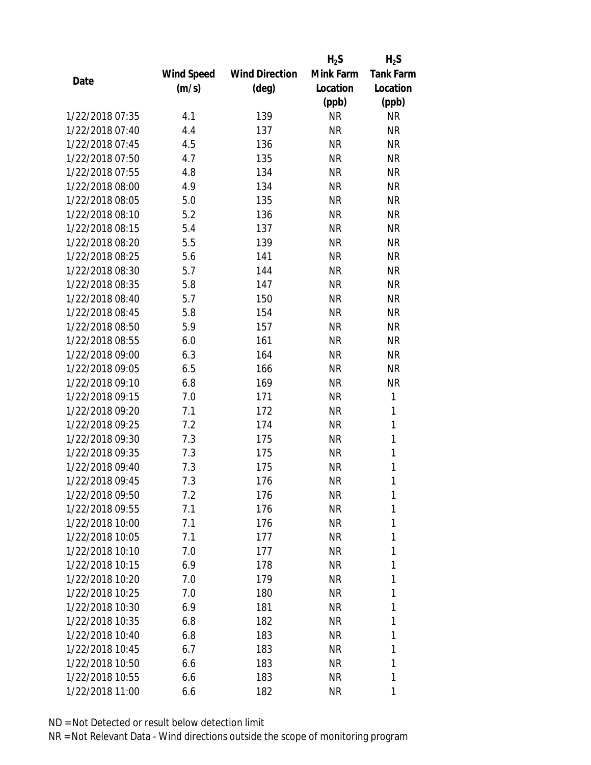|                 |            |                       | $H_2S$    | $H_2S$           |
|-----------------|------------|-----------------------|-----------|------------------|
|                 | Wind Speed | <b>Wind Direction</b> | Mink Farm | <b>Tank Farm</b> |
| Date            | (m/s)      | (deg)                 | Location  | Location         |
|                 |            |                       | (ppb)     | (ppb)            |
| 1/22/2018 07:35 | 4.1        | 139                   | <b>NR</b> | <b>NR</b>        |
| 1/22/2018 07:40 | 4.4        | 137                   | <b>NR</b> | <b>NR</b>        |
| 1/22/2018 07:45 | 4.5        | 136                   | <b>NR</b> | <b>NR</b>        |
| 1/22/2018 07:50 | 4.7        | 135                   | <b>NR</b> | <b>NR</b>        |
| 1/22/2018 07:55 | 4.8        | 134                   | <b>NR</b> | <b>NR</b>        |
| 1/22/2018 08:00 | 4.9        | 134                   | <b>NR</b> | <b>NR</b>        |
| 1/22/2018 08:05 | 5.0        | 135                   | <b>NR</b> | <b>NR</b>        |
| 1/22/2018 08:10 | 5.2        | 136                   | <b>NR</b> | <b>NR</b>        |
| 1/22/2018 08:15 | 5.4        | 137                   | <b>NR</b> | <b>NR</b>        |
| 1/22/2018 08:20 | 5.5        | 139                   | <b>NR</b> | <b>NR</b>        |
| 1/22/2018 08:25 | 5.6        | 141                   | <b>NR</b> | <b>NR</b>        |
| 1/22/2018 08:30 | 5.7        | 144                   | <b>NR</b> | <b>NR</b>        |
| 1/22/2018 08:35 | 5.8        | 147                   | <b>NR</b> | <b>NR</b>        |
| 1/22/2018 08:40 | 5.7        | 150                   | <b>NR</b> | <b>NR</b>        |
| 1/22/2018 08:45 | 5.8        | 154                   | <b>NR</b> | <b>NR</b>        |
| 1/22/2018 08:50 | 5.9        | 157                   | <b>NR</b> | <b>NR</b>        |
| 1/22/2018 08:55 | 6.0        | 161                   | <b>NR</b> | <b>NR</b>        |
| 1/22/2018 09:00 | 6.3        | 164                   | <b>NR</b> | <b>NR</b>        |
| 1/22/2018 09:05 | 6.5        | 166                   | <b>NR</b> | <b>NR</b>        |
| 1/22/2018 09:10 | 6.8        | 169                   | <b>NR</b> | <b>NR</b>        |
| 1/22/2018 09:15 | 7.0        | 171                   | <b>NR</b> | 1                |
| 1/22/2018 09:20 | 7.1        | 172                   | <b>NR</b> | 1                |
| 1/22/2018 09:25 | 7.2        | 174                   | <b>NR</b> | 1                |
| 1/22/2018 09:30 | 7.3        | 175                   | <b>NR</b> | $\mathbf{1}$     |
| 1/22/2018 09:35 | 7.3        | 175                   | <b>NR</b> | 1                |
| 1/22/2018 09:40 | 7.3        | 175                   | <b>NR</b> | 1                |
| 1/22/2018 09:45 | 7.3        | 176                   | <b>NR</b> | $\mathbf{1}$     |
| 1/22/2018 09:50 | 7.2        | 176                   | ΝR        | 1                |
| 1/22/2018 09:55 | 7.1        | 176                   | <b>NR</b> | 1                |
| 1/22/2018 10:00 | 7.1        | 176                   | NR        | 1                |
| 1/22/2018 10:05 | 7.1        | 177                   | NR        | 1                |
| 1/22/2018 10:10 | 7.0        | 177                   | <b>NR</b> | 1                |
| 1/22/2018 10:15 | 6.9        | 178                   | NR        | 1                |
| 1/22/2018 10:20 | 7.0        | 179                   | <b>NR</b> | 1                |
| 1/22/2018 10:25 | 7.0        | 180                   | NR        | 1                |
| 1/22/2018 10:30 | 6.9        | 181                   | NR        | 1                |
| 1/22/2018 10:35 | 6.8        | 182                   | NR        | 1                |
| 1/22/2018 10:40 | 6.8        | 183                   | NR        | 1                |
| 1/22/2018 10:45 | 6.7        | 183                   | <b>NR</b> | 1                |
| 1/22/2018 10:50 | 6.6        | 183                   | NR        | 1                |
| 1/22/2018 10:55 | 6.6        | 183                   | <b>NR</b> | 1                |
| 1/22/2018 11:00 | 6.6        | 182                   | <b>NR</b> | 1                |
|                 |            |                       |           |                  |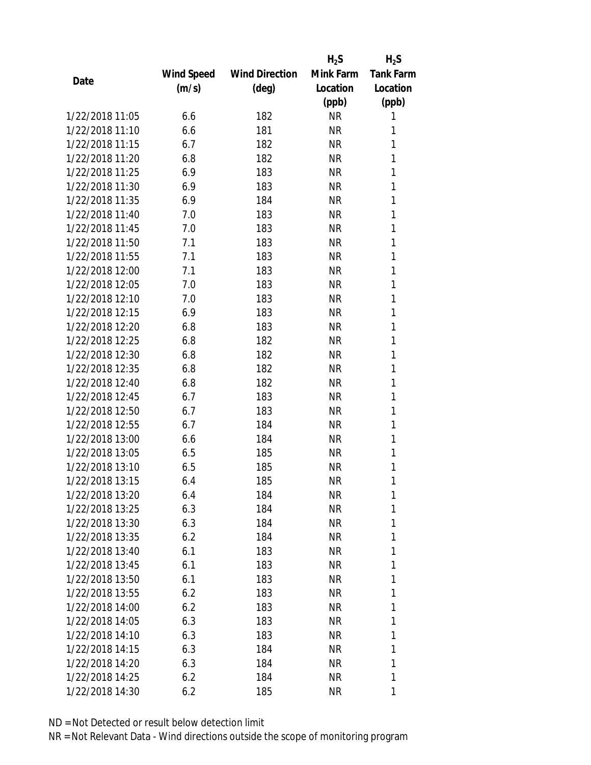|                 |            |                       | $H_2S$    | $H_2S$           |
|-----------------|------------|-----------------------|-----------|------------------|
|                 | Wind Speed | <b>Wind Direction</b> | Mink Farm | <b>Tank Farm</b> |
| Date            | (m/s)      | $(\text{deg})$        | Location  | Location         |
|                 |            |                       | (ppb)     | (ppb)            |
| 1/22/2018 11:05 | 6.6        | 182                   | <b>NR</b> | 1                |
| 1/22/2018 11:10 | 6.6        | 181                   | <b>NR</b> | 1                |
| 1/22/2018 11:15 | 6.7        | 182                   | <b>NR</b> | 1                |
| 1/22/2018 11:20 | 6.8        | 182                   | <b>NR</b> | 1                |
| 1/22/2018 11:25 | 6.9        | 183                   | <b>NR</b> | 1                |
| 1/22/2018 11:30 | 6.9        | 183                   | <b>NR</b> | 1                |
| 1/22/2018 11:35 | 6.9        | 184                   | <b>NR</b> | 1                |
| 1/22/2018 11:40 | 7.0        | 183                   | <b>NR</b> | 1                |
| 1/22/2018 11:45 | 7.0        | 183                   | <b>NR</b> | 1                |
| 1/22/2018 11:50 | 7.1        | 183                   | <b>NR</b> | 1                |
| 1/22/2018 11:55 | 7.1        | 183                   | <b>NR</b> | 1                |
| 1/22/2018 12:00 | 7.1        | 183                   | <b>NR</b> | 1                |
| 1/22/2018 12:05 | 7.0        | 183                   | <b>NR</b> | 1                |
| 1/22/2018 12:10 | 7.0        | 183                   | <b>NR</b> | 1                |
| 1/22/2018 12:15 | 6.9        | 183                   | <b>NR</b> | 1                |
| 1/22/2018 12:20 | 6.8        | 183                   | <b>NR</b> | 1                |
| 1/22/2018 12:25 | 6.8        | 182                   | <b>NR</b> | 1                |
| 1/22/2018 12:30 | 6.8        | 182                   | <b>NR</b> | 1                |
| 1/22/2018 12:35 | 6.8        | 182                   | <b>NR</b> | 1                |
| 1/22/2018 12:40 | 6.8        | 182                   | <b>NR</b> | 1                |
| 1/22/2018 12:45 | 6.7        | 183                   | <b>NR</b> | 1                |
| 1/22/2018 12:50 | 6.7        | 183                   | <b>NR</b> | 1                |
| 1/22/2018 12:55 | 6.7        | 184                   | <b>NR</b> | 1                |
| 1/22/2018 13:00 | 6.6        | 184                   | <b>NR</b> | 1                |
| 1/22/2018 13:05 | 6.5        | 185                   | <b>NR</b> | 1                |
| 1/22/2018 13:10 | 6.5        | 185                   | <b>NR</b> | 1                |
| 1/22/2018 13:15 | 6.4        | 185                   | <b>NR</b> | 1                |
| 1/22/2018 13:20 | 6.4        | 184                   | ΝR        | 1                |
| 1/22/2018 13:25 | 6.3        | 184                   | <b>NR</b> | 1                |
| 1/22/2018 13:30 | 6.3        | 184                   | NR        | 1                |
| 1/22/2018 13:35 | 6.2        | 184                   | NR        | 1                |
| 1/22/2018 13:40 | 6.1        | 183                   | <b>NR</b> | 1                |
| 1/22/2018 13:45 | 6.1        | 183                   | NR        | 1                |
| 1/22/2018 13:50 | 6.1        | 183                   | <b>NR</b> | 1                |
| 1/22/2018 13:55 | 6.2        | 183                   | NR        | 1                |
| 1/22/2018 14:00 | 6.2        | 183                   | <b>NR</b> | 1                |
| 1/22/2018 14:05 | 6.3        | 183                   | NR        | 1                |
|                 |            |                       |           |                  |
| 1/22/2018 14:10 | 6.3        | 183                   | NR        | 1                |
| 1/22/2018 14:15 | 6.3        | 184                   | <b>NR</b> | 1<br>1           |
| 1/22/2018 14:20 | 6.3        | 184                   | NR        |                  |
| 1/22/2018 14:25 | 6.2        | 184                   | <b>NR</b> | 1                |
| 1/22/2018 14:30 | 6.2        | 185                   | <b>NR</b> | 1                |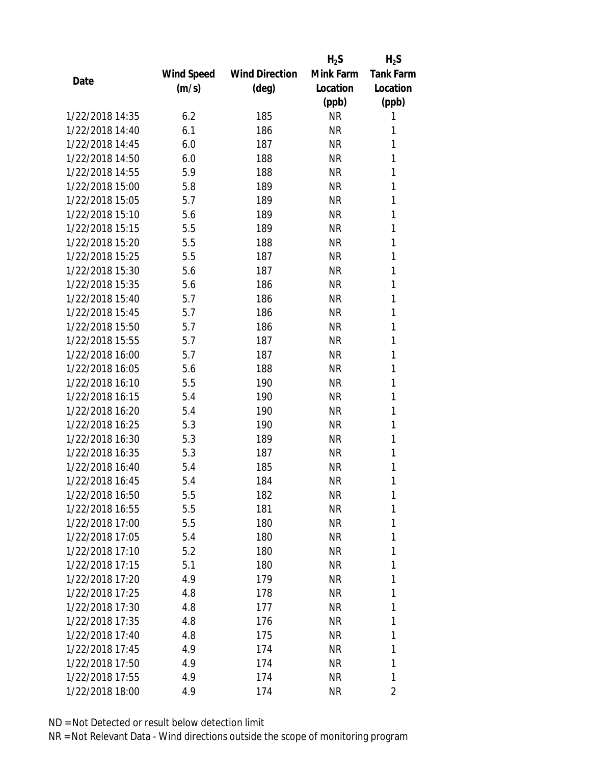|                 |                   |                       | $H_2S$    | $H_2S$           |
|-----------------|-------------------|-----------------------|-----------|------------------|
|                 | <b>Wind Speed</b> | <b>Wind Direction</b> | Mink Farm | <b>Tank Farm</b> |
| Date            | (m/s)             | $(\text{deg})$        | Location  | Location         |
|                 |                   |                       | (ppb)     | (ppb)            |
| 1/22/2018 14:35 | 6.2               | 185                   | <b>NR</b> | 1                |
| 1/22/2018 14:40 | 6.1               | 186                   | <b>NR</b> | 1                |
| 1/22/2018 14:45 | 6.0               | 187                   | <b>NR</b> | 1                |
| 1/22/2018 14:50 | 6.0               | 188                   | <b>NR</b> | 1                |
| 1/22/2018 14:55 | 5.9               | 188                   | <b>NR</b> | 1                |
| 1/22/2018 15:00 | 5.8               | 189                   | <b>NR</b> | 1                |
| 1/22/2018 15:05 | 5.7               | 189                   | <b>NR</b> | 1                |
| 1/22/2018 15:10 | 5.6               | 189                   | <b>NR</b> | 1                |
| 1/22/2018 15:15 | 5.5               | 189                   | <b>NR</b> | 1                |
| 1/22/2018 15:20 | 5.5               | 188                   | <b>NR</b> | 1                |
| 1/22/2018 15:25 | 5.5               | 187                   | <b>NR</b> | 1                |
| 1/22/2018 15:30 | 5.6               | 187                   | <b>NR</b> | 1                |
| 1/22/2018 15:35 | 5.6               | 186                   | <b>NR</b> | 1                |
| 1/22/2018 15:40 | 5.7               | 186                   | <b>NR</b> | 1                |
| 1/22/2018 15:45 | 5.7               | 186                   | <b>NR</b> | 1                |
| 1/22/2018 15:50 | 5.7               | 186                   | <b>NR</b> | 1                |
| 1/22/2018 15:55 | 5.7               | 187                   | <b>NR</b> | 1                |
| 1/22/2018 16:00 | 5.7               | 187                   | <b>NR</b> | 1                |
| 1/22/2018 16:05 | 5.6               | 188                   | <b>NR</b> | 1                |
| 1/22/2018 16:10 | 5.5               | 190                   | <b>NR</b> | 1                |
| 1/22/2018 16:15 | 5.4               | 190                   | <b>NR</b> | 1                |
| 1/22/2018 16:20 | 5.4               | 190                   | <b>NR</b> | 1                |
| 1/22/2018 16:25 | 5.3               | 190                   | <b>NR</b> | 1                |
| 1/22/2018 16:30 | 5.3               | 189                   | <b>NR</b> | 1                |
| 1/22/2018 16:35 | 5.3               | 187                   | <b>NR</b> | 1                |
| 1/22/2018 16:40 | 5.4               | 185                   | ΝR        | 1                |
| 1/22/2018 16:45 | 5.4               | 184                   | <b>NR</b> | 1                |
| 1/22/2018 16:50 | 5.5               | 182                   | ΝR        | 1                |
| 1/22/2018 16:55 | 5.5               | 181                   | <b>NR</b> | 1                |
| 1/22/2018 17:00 | 5.5               | 180                   | NR        | 1                |
| 1/22/2018 17:05 | 5.4               | 180                   | ΝR        | 1                |
| 1/22/2018 17:10 | 5.2               | 180                   | ΝR        | 1                |
| 1/22/2018 17:15 | 5.1               | 180                   | ΝR        | 1                |
| 1/22/2018 17:20 | 4.9               | 179                   | <b>NR</b> | 1                |
| 1/22/2018 17:25 | 4.8               | 178                   | NR        | 1                |
| 1/22/2018 17:30 | 4.8               | 177                   | NR        | 1                |
| 1/22/2018 17:35 | 4.8               | 176                   | ΝR        | 1                |
| 1/22/2018 17:40 | 4.8               | 175                   | ΝR        | 1                |
| 1/22/2018 17:45 | 4.9               | 174                   | ΝR        | 1                |
| 1/22/2018 17:50 | 4.9               | 174                   | NR        | 1                |
| 1/22/2018 17:55 | 4.9               | 174                   | <b>NR</b> | 1                |
| 1/22/2018 18:00 | 4.9               | 174                   | <b>NR</b> | 2                |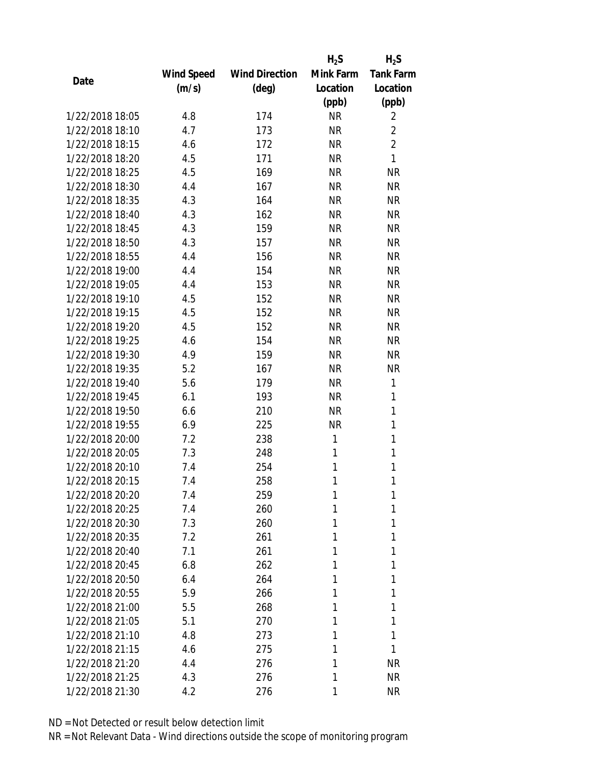|                 |            |                       | $H_2S$    | $H_2S$           |
|-----------------|------------|-----------------------|-----------|------------------|
|                 | Wind Speed | <b>Wind Direction</b> | Mink Farm | <b>Tank Farm</b> |
| Date            | (m/s)      | (deg)                 | Location  | Location         |
|                 |            |                       | (ppb)     | (ppb)            |
| 1/22/2018 18:05 | 4.8        | 174                   | <b>NR</b> | 2                |
| 1/22/2018 18:10 | 4.7        | 173                   | <b>NR</b> | $\overline{2}$   |
| 1/22/2018 18:15 | 4.6        | 172                   | <b>NR</b> | $\overline{2}$   |
| 1/22/2018 18:20 | 4.5        | 171                   | <b>NR</b> | 1                |
| 1/22/2018 18:25 | 4.5        | 169                   | <b>NR</b> | <b>NR</b>        |
| 1/22/2018 18:30 | 4.4        | 167                   | <b>NR</b> | <b>NR</b>        |
| 1/22/2018 18:35 | 4.3        | 164                   | <b>NR</b> | <b>NR</b>        |
| 1/22/2018 18:40 | 4.3        | 162                   | <b>NR</b> | <b>NR</b>        |
| 1/22/2018 18:45 | 4.3        | 159                   | <b>NR</b> | <b>NR</b>        |
| 1/22/2018 18:50 | 4.3        | 157                   | <b>NR</b> | <b>NR</b>        |
| 1/22/2018 18:55 | 4.4        | 156                   | <b>NR</b> | <b>NR</b>        |
| 1/22/2018 19:00 | 4.4        | 154                   | <b>NR</b> | <b>NR</b>        |
| 1/22/2018 19:05 | 4.4        | 153                   | <b>NR</b> | <b>NR</b>        |
| 1/22/2018 19:10 | 4.5        | 152                   | <b>NR</b> | <b>NR</b>        |
| 1/22/2018 19:15 | 4.5        | 152                   | <b>NR</b> | <b>NR</b>        |
| 1/22/2018 19:20 | 4.5        | 152                   | <b>NR</b> | <b>NR</b>        |
| 1/22/2018 19:25 | 4.6        | 154                   | <b>NR</b> | <b>NR</b>        |
| 1/22/2018 19:30 | 4.9        | 159                   | <b>NR</b> | <b>NR</b>        |
| 1/22/2018 19:35 | 5.2        | 167                   | <b>NR</b> | <b>NR</b>        |
| 1/22/2018 19:40 | 5.6        | 179                   | <b>NR</b> | 1                |
| 1/22/2018 19:45 | 6.1        | 193                   | <b>NR</b> | 1                |
| 1/22/2018 19:50 | 6.6        | 210                   | <b>NR</b> | 1                |
| 1/22/2018 19:55 | 6.9        | 225                   | <b>NR</b> | 1                |
| 1/22/2018 20:00 | 7.2        | 238                   | 1         | 1                |
| 1/22/2018 20:05 | 7.3        | 248                   | 1         | 1                |
| 1/22/2018 20:10 | 7.4        | 254                   | 1         | 1                |
| 1/22/2018 20:15 | 7.4        | 258                   | 1         | 1                |
| 1/22/2018 20:20 | 7.4        | 259                   | 1         | 1                |
| 1/22/2018 20:25 | 7.4        | 260                   | 1         | 1                |
| 1/22/2018 20:30 | 7.3        | 260                   | 1         | 1                |
| 1/22/2018 20:35 | 7.2        | 261                   | 1         | 1                |
| 1/22/2018 20:40 | 7.1        | 261                   | 1         | 1                |
| 1/22/2018 20:45 | 6.8        | 262                   | 1         | 1                |
| 1/22/2018 20:50 | 6.4        | 264                   | 1         | 1                |
| 1/22/2018 20:55 | 5.9        | 266                   | 1         | 1                |
| 1/22/2018 21:00 | 5.5        | 268                   | 1         | 1                |
| 1/22/2018 21:05 | 5.1        | 270                   | 1         | 1                |
| 1/22/2018 21:10 | 4.8        | 273                   | 1         | 1                |
| 1/22/2018 21:15 | 4.6        | 275                   | 1         | 1                |
| 1/22/2018 21:20 | 4.4        | 276                   | 1         | <b>NR</b>        |
| 1/22/2018 21:25 | 4.3        | 276                   | 1         | <b>NR</b>        |
| 1/22/2018 21:30 | 4.2        | 276                   | 1         | <b>NR</b>        |
|                 |            |                       |           |                  |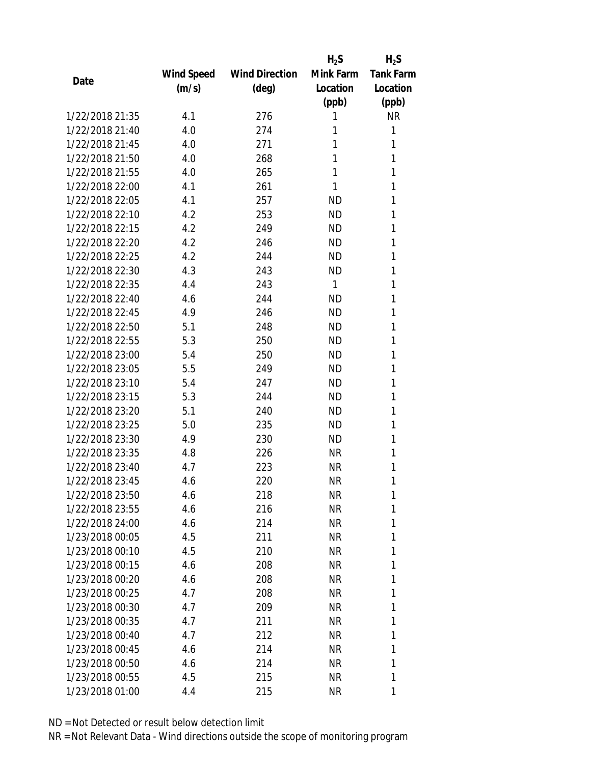|                 |            |                       | $H_2S$       | $H_2S$           |
|-----------------|------------|-----------------------|--------------|------------------|
|                 | Wind Speed | <b>Wind Direction</b> | Mink Farm    | <b>Tank Farm</b> |
| Date            | (m/s)      | $(\text{deg})$        | Location     | Location         |
|                 |            |                       | (ppb)        | (ppb)            |
| 1/22/2018 21:35 | 4.1        | 276                   | 1            | <b>NR</b>        |
| 1/22/2018 21:40 | 4.0        | 274                   | 1            | 1                |
| 1/22/2018 21:45 | 4.0        | 271                   | 1            | 1                |
| 1/22/2018 21:50 | 4.0        | 268                   | 1            | 1                |
| 1/22/2018 21:55 | 4.0        | 265                   | 1            | 1                |
| 1/22/2018 22:00 | 4.1        | 261                   | 1            | 1                |
| 1/22/2018 22:05 | 4.1        | 257                   | <b>ND</b>    | 1                |
| 1/22/2018 22:10 | 4.2        | 253                   | <b>ND</b>    | 1                |
| 1/22/2018 22:15 | 4.2        | 249                   | <b>ND</b>    | 1                |
| 1/22/2018 22:20 | 4.2        | 246                   | <b>ND</b>    | 1                |
| 1/22/2018 22:25 | 4.2        | 244                   | <b>ND</b>    | 1                |
| 1/22/2018 22:30 | 4.3        | 243                   | <b>ND</b>    | 1                |
| 1/22/2018 22:35 | 4.4        | 243                   | $\mathbf{1}$ | 1                |
| 1/22/2018 22:40 | 4.6        | 244                   | <b>ND</b>    | 1                |
| 1/22/2018 22:45 | 4.9        | 246                   | <b>ND</b>    | 1                |
| 1/22/2018 22:50 | 5.1        | 248                   | <b>ND</b>    | 1                |
| 1/22/2018 22:55 | 5.3        | 250                   | <b>ND</b>    | 1                |
| 1/22/2018 23:00 | 5.4        | 250                   | <b>ND</b>    | 1                |
| 1/22/2018 23:05 | 5.5        | 249                   | <b>ND</b>    | 1                |
| 1/22/2018 23:10 | 5.4        | 247                   | <b>ND</b>    | 1                |
| 1/22/2018 23:15 | 5.3        | 244                   | <b>ND</b>    | 1                |
| 1/22/2018 23:20 | 5.1        | 240                   | <b>ND</b>    | 1                |
| 1/22/2018 23:25 | 5.0        | 235                   | <b>ND</b>    | 1                |
| 1/22/2018 23:30 | 4.9        | 230                   | <b>ND</b>    | 1                |
| 1/22/2018 23:35 | 4.8        | 226                   | NR           | 1                |
| 1/22/2018 23:40 | 4.7        | 223                   | NR           | 1                |
| 1/22/2018 23:45 | 4.6        | 220                   | <b>NR</b>    | 1                |
| 1/22/2018 23:50 | 4.6        | 218                   | NR           | 1                |
| 1/22/2018 23:55 | 4.6        | 216                   | <b>NR</b>    | 1                |
| 1/22/2018 24:00 | 4.6        | 214                   | NR           | 1                |
| 1/23/2018 00:05 | 4.5        | 211                   | NR           | 1                |
| 1/23/2018 00:10 | 4.5        | 210                   | NR           | 1                |
| 1/23/2018 00:15 | 4.6        | 208                   | NR           | 1                |
| 1/23/2018 00:20 | 4.6        | 208                   | NR           | 1                |
| 1/23/2018 00:25 | 4.7        | 208                   | NR           | 1                |
| 1/23/2018 00:30 | 4.7        | 209                   | NR           | 1                |
| 1/23/2018 00:35 | 4.7        | 211                   | NR           | 1                |
| 1/23/2018 00:40 | 4.7        | 212                   | NR           | 1                |
| 1/23/2018 00:45 | 4.6        | 214                   | NR           | 1                |
| 1/23/2018 00:50 | 4.6        | 214                   | NR           | 1                |
| 1/23/2018 00:55 | 4.5        | 215                   | NR           | 1                |
| 1/23/2018 01:00 | 4.4        | 215                   | ΝR           | 1                |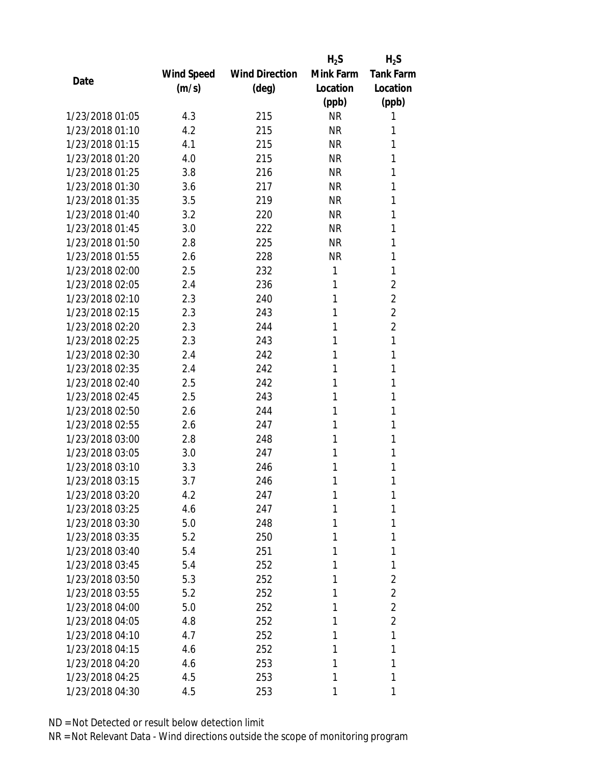|                 |            |                       | $H_2S$    | $H_2S$           |
|-----------------|------------|-----------------------|-----------|------------------|
|                 | Wind Speed | <b>Wind Direction</b> | Mink Farm | <b>Tank Farm</b> |
| Date            | (m/s)      | $(\text{deg})$        | Location  | Location         |
|                 |            |                       | (ppb)     | (ppb)            |
| 1/23/2018 01:05 | 4.3        | 215                   | <b>NR</b> | 1                |
| 1/23/2018 01:10 | 4.2        | 215                   | <b>NR</b> | 1                |
| 1/23/2018 01:15 | 4.1        | 215                   | <b>NR</b> | 1                |
| 1/23/2018 01:20 | 4.0        | 215                   | NR        | 1                |
| 1/23/2018 01:25 | 3.8        | 216                   | <b>NR</b> | 1                |
| 1/23/2018 01:30 | 3.6        | 217                   | <b>NR</b> | 1                |
| 1/23/2018 01:35 | 3.5        | 219                   | <b>NR</b> | 1                |
| 1/23/2018 01:40 | 3.2        | 220                   | <b>NR</b> | 1                |
| 1/23/2018 01:45 | 3.0        | 222                   | <b>NR</b> | 1                |
| 1/23/2018 01:50 | 2.8        | 225                   | <b>NR</b> | 1                |
| 1/23/2018 01:55 | 2.6        | 228                   | <b>NR</b> | 1                |
| 1/23/2018 02:00 | 2.5        | 232                   | 1         | 1                |
| 1/23/2018 02:05 | 2.4        | 236                   | 1         | $\overline{2}$   |
| 1/23/2018 02:10 | 2.3        | 240                   | 1         | $\overline{2}$   |
| 1/23/2018 02:15 | 2.3        | 243                   | 1         | $\overline{2}$   |
| 1/23/2018 02:20 | 2.3        | 244                   | 1         | $\overline{2}$   |
| 1/23/2018 02:25 | 2.3        | 243                   | 1         | 1                |
| 1/23/2018 02:30 | 2.4        | 242                   | 1         | 1                |
| 1/23/2018 02:35 | 2.4        | 242                   | 1         | 1                |
| 1/23/2018 02:40 | 2.5        | 242                   | 1         | 1                |
| 1/23/2018 02:45 | 2.5        | 243                   | 1         | 1                |
| 1/23/2018 02:50 | 2.6        | 244                   | 1         | 1                |
| 1/23/2018 02:55 | 2.6        | 247                   | 1         | 1                |
| 1/23/2018 03:00 | 2.8        | 248                   | 1         | 1                |
| 1/23/2018 03:05 | 3.0        | 247                   | 1         | 1                |
| 1/23/2018 03:10 | 3.3        | 246                   | 1         | 1                |
| 1/23/2018 03:15 | 3.7        | 246                   | 1         | 1                |
| 1/23/2018 03:20 | 4.2        | 247                   | 1         | 1                |
| 1/23/2018 03:25 | 4.6        | 247                   | 1         | 1                |
| 1/23/2018 03:30 | 5.0        | 248                   | 1         | 1                |
| 1/23/2018 03:35 | 5.2        | 250                   | 1         | 1                |
| 1/23/2018 03:40 | 5.4        | 251                   | 1         | 1                |
| 1/23/2018 03:45 | 5.4        | 252                   | 1         | 1                |
| 1/23/2018 03:50 | 5.3        | 252                   | 1         | 2                |
| 1/23/2018 03:55 | 5.2        | 252                   | 1         | $\overline{2}$   |
| 1/23/2018 04:00 | 5.0        | 252                   | 1         | $\overline{2}$   |
| 1/23/2018 04:05 | 4.8        | 252                   | 1         | $\overline{2}$   |
| 1/23/2018 04:10 | 4.7        | 252                   | 1         | 1                |
| 1/23/2018 04:15 | 4.6        | 252                   | 1         | 1                |
| 1/23/2018 04:20 | 4.6        | 253                   | 1         | 1                |
| 1/23/2018 04:25 | 4.5        | 253                   | 1         | 1                |
| 1/23/2018 04:30 | 4.5        | 253                   | 1         | 1                |
|                 |            |                       |           |                  |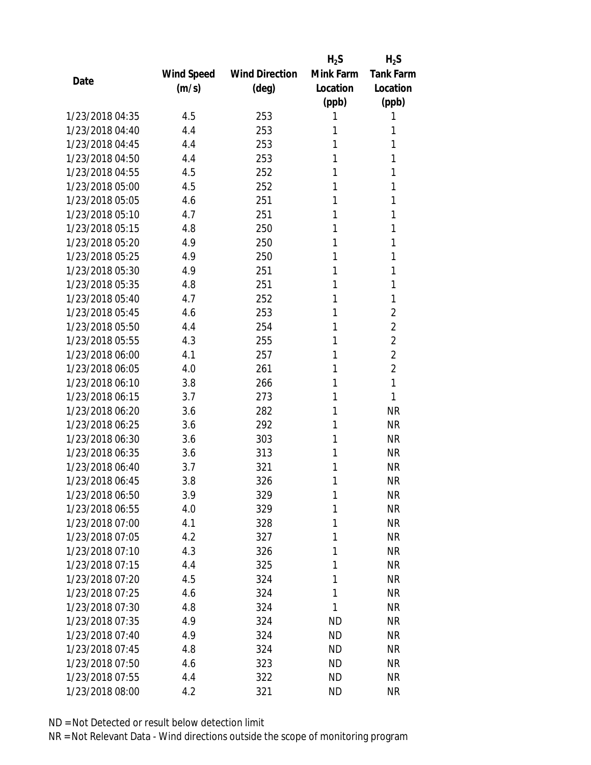|                 |            |                       | $H_2S$    | $H_2S$           |
|-----------------|------------|-----------------------|-----------|------------------|
|                 | Wind Speed | <b>Wind Direction</b> | Mink Farm | <b>Tank Farm</b> |
| Date            | (m/s)      | $(\text{deg})$        | Location  | Location         |
|                 |            |                       | (ppb)     | (ppb)            |
| 1/23/2018 04:35 | 4.5        | 253                   | 1         | 1                |
| 1/23/2018 04:40 | 4.4        | 253                   | 1         | 1                |
| 1/23/2018 04:45 | 4.4        | 253                   | 1         | 1                |
| 1/23/2018 04:50 | 4.4        | 253                   | 1         | 1                |
| 1/23/2018 04:55 | 4.5        | 252                   | 1         | 1                |
| 1/23/2018 05:00 | 4.5        | 252                   | 1         | 1                |
| 1/23/2018 05:05 | 4.6        | 251                   | 1         | 1                |
| 1/23/2018 05:10 | 4.7        | 251                   | 1         | 1                |
| 1/23/2018 05:15 | 4.8        | 250                   | 1         | 1                |
| 1/23/2018 05:20 | 4.9        | 250                   | 1         | 1                |
| 1/23/2018 05:25 | 4.9        | 250                   | 1         | 1                |
| 1/23/2018 05:30 | 4.9        | 251                   | 1         | 1                |
| 1/23/2018 05:35 | 4.8        | 251                   | 1         | 1                |
| 1/23/2018 05:40 | 4.7        | 252                   | 1         | 1                |
| 1/23/2018 05:45 | 4.6        | 253                   | 1         | $\overline{2}$   |
| 1/23/2018 05:50 | 4.4        | 254                   | 1         | $\overline{2}$   |
| 1/23/2018 05:55 | 4.3        | 255                   | 1         | $\overline{2}$   |
| 1/23/2018 06:00 | 4.1        | 257                   | 1         | $\overline{2}$   |
| 1/23/2018 06:05 | 4.0        | 261                   | 1         | $\overline{2}$   |
| 1/23/2018 06:10 | 3.8        | 266                   | 1         | 1                |
| 1/23/2018 06:15 | 3.7        | 273                   | 1         | 1                |
| 1/23/2018 06:20 | 3.6        | 282                   | 1         | <b>NR</b>        |
| 1/23/2018 06:25 | 3.6        | 292                   | 1         | <b>NR</b>        |
| 1/23/2018 06:30 | 3.6        | 303                   | 1         | <b>NR</b>        |
| 1/23/2018 06:35 | 3.6        | 313                   | 1         | <b>NR</b>        |
| 1/23/2018 06:40 | 3.7        | 321                   | 1         | <b>NR</b>        |
| 1/23/2018 06:45 | 3.8        | 326                   | 1         | <b>NR</b>        |
| 1/23/2018 06:50 | 3.9        | 329                   | 1         | <b>NR</b>        |
| 1/23/2018 06:55 | 4.0        | 329                   | 1         | <b>NR</b>        |
| 1/23/2018 07:00 | 4.1        | 328                   | 1         | <b>NR</b>        |
| 1/23/2018 07:05 | 4.2        | 327                   | 1         | <b>NR</b>        |
| 1/23/2018 07:10 | 4.3        | 326                   | 1         | <b>NR</b>        |
| 1/23/2018 07:15 | 4.4        | 325                   | 1         | <b>NR</b>        |
| 1/23/2018 07:20 | 4.5        | 324                   | 1         | <b>NR</b>        |
| 1/23/2018 07:25 | 4.6        | 324                   | 1         | <b>NR</b>        |
| 1/23/2018 07:30 | 4.8        | 324                   | 1         | <b>NR</b>        |
| 1/23/2018 07:35 | 4.9        | 324                   | ND        | ΝR               |
| 1/23/2018 07:40 | 4.9        | 324                   | <b>ND</b> | <b>NR</b>        |
| 1/23/2018 07:45 | 4.8        | 324                   | <b>ND</b> | NR               |
| 1/23/2018 07:50 | 4.6        | 323                   | ND        | <b>NR</b>        |
| 1/23/2018 07:55 | 4.4        | 322                   | ND        | <b>NR</b>        |
| 1/23/2018 08:00 | 4.2        | 321                   | <b>ND</b> | <b>NR</b>        |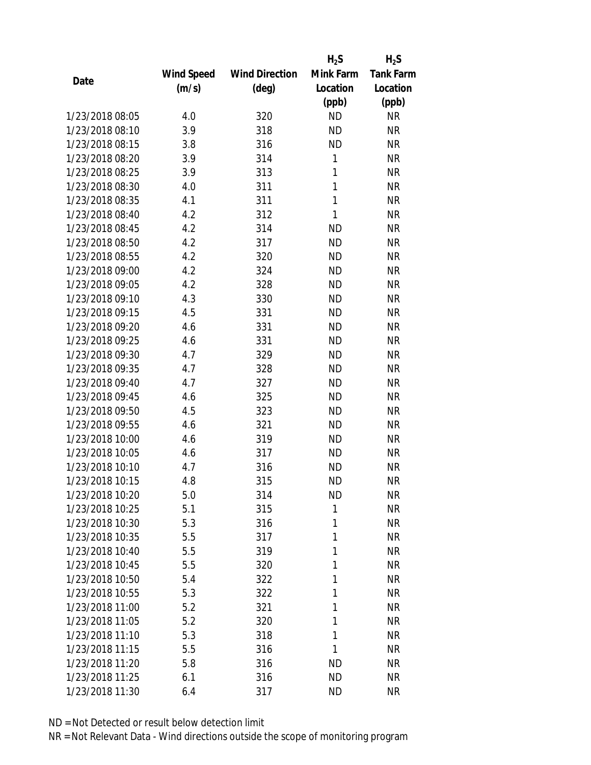|                 |            |                       | $H_2S$       | $H_2S$           |
|-----------------|------------|-----------------------|--------------|------------------|
|                 | Wind Speed | <b>Wind Direction</b> | Mink Farm    | <b>Tank Farm</b> |
| Date            | (m/s)      | (deg)                 | Location     | Location         |
|                 |            |                       | (ppb)        | (ppb)            |
| 1/23/2018 08:05 | 4.0        | 320                   | <b>ND</b>    | NR               |
| 1/23/2018 08:10 | 3.9        | 318                   | <b>ND</b>    | <b>NR</b>        |
| 1/23/2018 08:15 | 3.8        | 316                   | <b>ND</b>    | <b>NR</b>        |
| 1/23/2018 08:20 | 3.9        | 314                   | $\mathbf{1}$ | <b>NR</b>        |
| 1/23/2018 08:25 | 3.9        | 313                   | 1            | <b>NR</b>        |
| 1/23/2018 08:30 | 4.0        | 311                   | 1            | <b>NR</b>        |
| 1/23/2018 08:35 | 4.1        | 311                   | 1            | <b>NR</b>        |
| 1/23/2018 08:40 | 4.2        | 312                   | 1            | <b>NR</b>        |
| 1/23/2018 08:45 | 4.2        | 314                   | <b>ND</b>    | <b>NR</b>        |
| 1/23/2018 08:50 | 4.2        | 317                   | <b>ND</b>    | <b>NR</b>        |
| 1/23/2018 08:55 | 4.2        | 320                   | <b>ND</b>    | <b>NR</b>        |
| 1/23/2018 09:00 | 4.2        | 324                   | <b>ND</b>    | <b>NR</b>        |
| 1/23/2018 09:05 | 4.2        | 328                   | <b>ND</b>    | <b>NR</b>        |
| 1/23/2018 09:10 | 4.3        | 330                   | <b>ND</b>    | <b>NR</b>        |
| 1/23/2018 09:15 | 4.5        | 331                   | <b>ND</b>    | <b>NR</b>        |
| 1/23/2018 09:20 | 4.6        | 331                   | <b>ND</b>    | <b>NR</b>        |
| 1/23/2018 09:25 | 4.6        | 331                   | <b>ND</b>    | <b>NR</b>        |
| 1/23/2018 09:30 | 4.7        | 329                   | <b>ND</b>    | <b>NR</b>        |
| 1/23/2018 09:35 | 4.7        | 328                   | <b>ND</b>    | <b>NR</b>        |
| 1/23/2018 09:40 | 4.7        | 327                   | <b>ND</b>    | <b>NR</b>        |
| 1/23/2018 09:45 | 4.6        | 325                   | <b>ND</b>    | <b>NR</b>        |
| 1/23/2018 09:50 | 4.5        | 323                   | <b>ND</b>    | <b>NR</b>        |
| 1/23/2018 09:55 | 4.6        | 321                   | <b>ND</b>    | <b>NR</b>        |
| 1/23/2018 10:00 | 4.6        | 319                   | <b>ND</b>    | <b>NR</b>        |
| 1/23/2018 10:05 | 4.6        | 317                   | <b>ND</b>    | <b>NR</b>        |
| 1/23/2018 10:10 | 4.7        | 316                   | <b>ND</b>    | <b>NR</b>        |
| 1/23/2018 10:15 | 4.8        | 315                   | <b>ND</b>    | <b>NR</b>        |
| 1/23/2018 10:20 | 5.0        | 314                   | ND           | ΝR               |
| 1/23/2018 10:25 | 5.1        | 315                   | 1            | <b>NR</b>        |
| 1/23/2018 10:30 | 5.3        | 316                   | 1            | <b>NR</b>        |
| 1/23/2018 10:35 | 5.5        | 317                   | 1            | <b>NR</b>        |
| 1/23/2018 10:40 | 5.5        | 319                   | 1            | <b>NR</b>        |
| 1/23/2018 10:45 | 5.5        | 320                   | 1            | <b>NR</b>        |
| 1/23/2018 10:50 | 5.4        | 322                   | 1            | <b>NR</b>        |
| 1/23/2018 10:55 |            |                       | 1            |                  |
|                 | 5.3        | 322                   | 1            | <b>NR</b>        |
| 1/23/2018 11:00 | 5.2        | 321                   |              | <b>NR</b>        |
| 1/23/2018 11:05 | 5.2        | 320                   | 1            | <b>NR</b>        |
| 1/23/2018 11:10 | 5.3        | 318                   | 1            | NR               |
| 1/23/2018 11:15 | 5.5        | 316                   | 1            | NR               |
| 1/23/2018 11:20 | 5.8        | 316                   | ND           | NR               |
| 1/23/2018 11:25 | 6.1        | 316                   | <b>ND</b>    | NR               |
| 1/23/2018 11:30 | 6.4        | 317                   | <b>ND</b>    | <b>NR</b>        |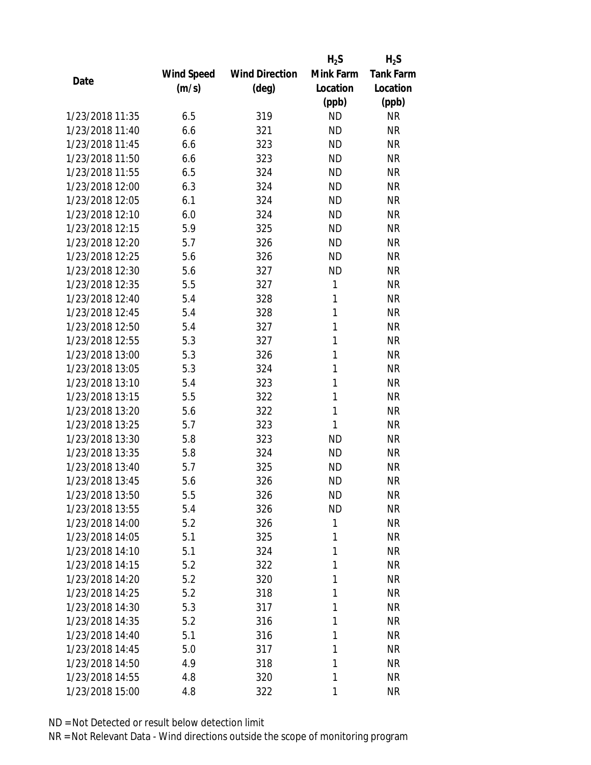|                 |            |                       | $H_2S$    | $H_2S$           |
|-----------------|------------|-----------------------|-----------|------------------|
|                 | Wind Speed | <b>Wind Direction</b> | Mink Farm | <b>Tank Farm</b> |
| Date            | (m/s)      | $(\text{deg})$        | Location  | Location         |
|                 |            |                       | (ppb)     | (ppb)            |
| 1/23/2018 11:35 | 6.5        | 319                   | <b>ND</b> | <b>NR</b>        |
| 1/23/2018 11:40 | 6.6        | 321                   | <b>ND</b> | <b>NR</b>        |
| 1/23/2018 11:45 | 6.6        | 323                   | <b>ND</b> | <b>NR</b>        |
| 1/23/2018 11:50 | 6.6        | 323                   | <b>ND</b> | <b>NR</b>        |
| 1/23/2018 11:55 | 6.5        | 324                   | <b>ND</b> | <b>NR</b>        |
| 1/23/2018 12:00 | 6.3        | 324                   | <b>ND</b> | <b>NR</b>        |
| 1/23/2018 12:05 | 6.1        | 324                   | <b>ND</b> | <b>NR</b>        |
| 1/23/2018 12:10 | 6.0        | 324                   | <b>ND</b> | <b>NR</b>        |
| 1/23/2018 12:15 | 5.9        | 325                   | <b>ND</b> | <b>NR</b>        |
| 1/23/2018 12:20 | 5.7        | 326                   | <b>ND</b> | <b>NR</b>        |
| 1/23/2018 12:25 | 5.6        | 326                   | <b>ND</b> | <b>NR</b>        |
| 1/23/2018 12:30 | 5.6        | 327                   | <b>ND</b> | <b>NR</b>        |
| 1/23/2018 12:35 | 5.5        | 327                   | 1         | <b>NR</b>        |
| 1/23/2018 12:40 | 5.4        | 328                   | 1         | <b>NR</b>        |
| 1/23/2018 12:45 | 5.4        | 328                   | 1         | <b>NR</b>        |
| 1/23/2018 12:50 | 5.4        | 327                   | 1         | <b>NR</b>        |
| 1/23/2018 12:55 | 5.3        | 327                   | 1         | <b>NR</b>        |
| 1/23/2018 13:00 | 5.3        | 326                   | 1         | <b>NR</b>        |
| 1/23/2018 13:05 | 5.3        | 324                   | 1         | <b>NR</b>        |
| 1/23/2018 13:10 | 5.4        | 323                   | 1         | <b>NR</b>        |
| 1/23/2018 13:15 | 5.5        | 322                   | 1         | <b>NR</b>        |
| 1/23/2018 13:20 | 5.6        | 322                   | 1         | <b>NR</b>        |
| 1/23/2018 13:25 | 5.7        | 323                   | 1         | <b>NR</b>        |
| 1/23/2018 13:30 | 5.8        | 323                   | <b>ND</b> | <b>NR</b>        |
| 1/23/2018 13:35 | 5.8        | 324                   | <b>ND</b> | <b>NR</b>        |
| 1/23/2018 13:40 | 5.7        | 325                   | <b>ND</b> | <b>NR</b>        |
| 1/23/2018 13:45 | 5.6        | 326                   | <b>ND</b> | <b>NR</b>        |
| 1/23/2018 13:50 | 5.5        | 326                   | <b>ND</b> | <b>NR</b>        |
| 1/23/2018 13:55 | 5.4        | 326                   | <b>ND</b> | <b>NR</b>        |
| 1/23/2018 14:00 | 5.2        | 326                   | 1         | <b>NR</b>        |
| 1/23/2018 14:05 | 5.1        | 325                   | 1         | <b>NR</b>        |
| 1/23/2018 14:10 | 5.1        | 324                   | 1         | <b>NR</b>        |
| 1/23/2018 14:15 | 5.2        | 322                   | 1         | <b>NR</b>        |
| 1/23/2018 14:20 | 5.2        | 320                   | 1         | <b>NR</b>        |
| 1/23/2018 14:25 | 5.2        | 318                   | 1         | <b>NR</b>        |
| 1/23/2018 14:30 | 5.3        | 317                   | 1         | <b>NR</b>        |
| 1/23/2018 14:35 | 5.2        | 316                   | 1         | <b>NR</b>        |
| 1/23/2018 14:40 | 5.1        | 316                   | 1         | <b>NR</b>        |
| 1/23/2018 14:45 | 5.0        | 317                   | 1         | <b>NR</b>        |
| 1/23/2018 14:50 | 4.9        | 318                   | 1         | <b>NR</b>        |
| 1/23/2018 14:55 | 4.8        | 320                   | 1         | <b>NR</b>        |
| 1/23/2018 15:00 | 4.8        | 322                   | 1         | <b>NR</b>        |
|                 |            |                       |           |                  |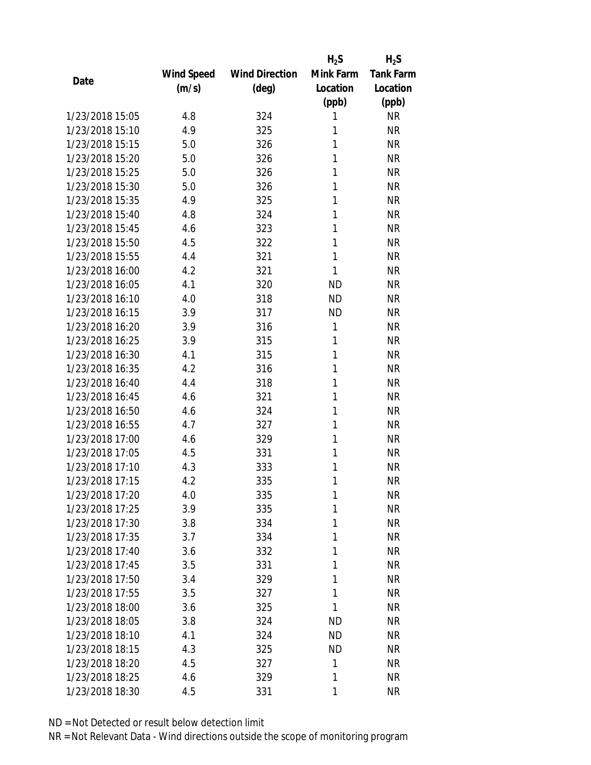|                 |                   |                       | $H_2S$    | $H_2S$           |
|-----------------|-------------------|-----------------------|-----------|------------------|
|                 | <b>Wind Speed</b> | <b>Wind Direction</b> | Mink Farm | <b>Tank Farm</b> |
| Date            | (m/s)             | (deg)                 | Location  | Location         |
|                 |                   |                       | (ppb)     | (ppb)            |
| 1/23/2018 15:05 | 4.8               | 324                   | 1         | <b>NR</b>        |
| 1/23/2018 15:10 | 4.9               | 325                   | 1         | <b>NR</b>        |
| 1/23/2018 15:15 | 5.0               | 326                   | 1         | <b>NR</b>        |
| 1/23/2018 15:20 | 5.0               | 326                   | 1         | <b>NR</b>        |
| 1/23/2018 15:25 | 5.0               | 326                   | 1         | <b>NR</b>        |
| 1/23/2018 15:30 | 5.0               | 326                   | 1         | <b>NR</b>        |
| 1/23/2018 15:35 | 4.9               | 325                   | 1         | <b>NR</b>        |
| 1/23/2018 15:40 | 4.8               | 324                   | 1         | <b>NR</b>        |
| 1/23/2018 15:45 | 4.6               | 323                   | 1         | <b>NR</b>        |
| 1/23/2018 15:50 | 4.5               | 322                   | 1         | <b>NR</b>        |
| 1/23/2018 15:55 | 4.4               | 321                   | 1         | <b>NR</b>        |
| 1/23/2018 16:00 | 4.2               | 321                   | 1         | <b>NR</b>        |
| 1/23/2018 16:05 | 4.1               | 320                   | <b>ND</b> | <b>NR</b>        |
| 1/23/2018 16:10 | 4.0               | 318                   | <b>ND</b> | <b>NR</b>        |
| 1/23/2018 16:15 | 3.9               | 317                   | <b>ND</b> | <b>NR</b>        |
| 1/23/2018 16:20 | 3.9               | 316                   | 1         | <b>NR</b>        |
| 1/23/2018 16:25 | 3.9               | 315                   | 1         | <b>NR</b>        |
| 1/23/2018 16:30 | 4.1               | 315                   | 1         | <b>NR</b>        |
| 1/23/2018 16:35 | 4.2               | 316                   | 1         | <b>NR</b>        |
| 1/23/2018 16:40 | 4.4               | 318                   | 1         | <b>NR</b>        |
| 1/23/2018 16:45 | 4.6               | 321                   | 1         | <b>NR</b>        |
| 1/23/2018 16:50 | 4.6               | 324                   | 1         | <b>NR</b>        |
| 1/23/2018 16:55 | 4.7               | 327                   | 1         | <b>NR</b>        |
| 1/23/2018 17:00 | 4.6               | 329                   | 1         | <b>NR</b>        |
| 1/23/2018 17:05 | 4.5               | 331                   | 1         | <b>NR</b>        |
| 1/23/2018 17:10 | 4.3               | 333                   | 1         | <b>NR</b>        |
| 1/23/2018 17:15 | 4.2               | 335                   | 1         | <b>NR</b>        |
| 1/23/2018 17:20 | 4.0               | 335                   | 1         | <b>NR</b>        |
| 1/23/2018 17:25 | 3.9               | 335                   | 1         | <b>NR</b>        |
| 1/23/2018 17:30 | 3.8               | 334                   | 1         | <b>NR</b>        |
| 1/23/2018 17:35 | 3.7               | 334                   | 1         | <b>NR</b>        |
| 1/23/2018 17:40 | 3.6               | 332                   | 1         | <b>NR</b>        |
| 1/23/2018 17:45 | 3.5               | 331                   | 1         | <b>NR</b>        |
| 1/23/2018 17:50 | 3.4               | 329                   | 1         | <b>NR</b>        |
| 1/23/2018 17:55 | 3.5               | 327                   | 1         | <b>NR</b>        |
| 1/23/2018 18:00 | 3.6               | 325                   | 1         | <b>NR</b>        |
| 1/23/2018 18:05 | 3.8               | 324                   | ND        | <b>NR</b>        |
| 1/23/2018 18:10 | 4.1               | 324                   | <b>ND</b> | <b>NR</b>        |
| 1/23/2018 18:15 | 4.3               | 325                   | <b>ND</b> | <b>NR</b>        |
| 1/23/2018 18:20 | 4.5               | 327                   | 1         | <b>NR</b>        |
| 1/23/2018 18:25 | 4.6               | 329                   | 1         | <b>NR</b>        |
| 1/23/2018 18:30 | 4.5               | 331                   | 1         | <b>NR</b>        |
|                 |                   |                       |           |                  |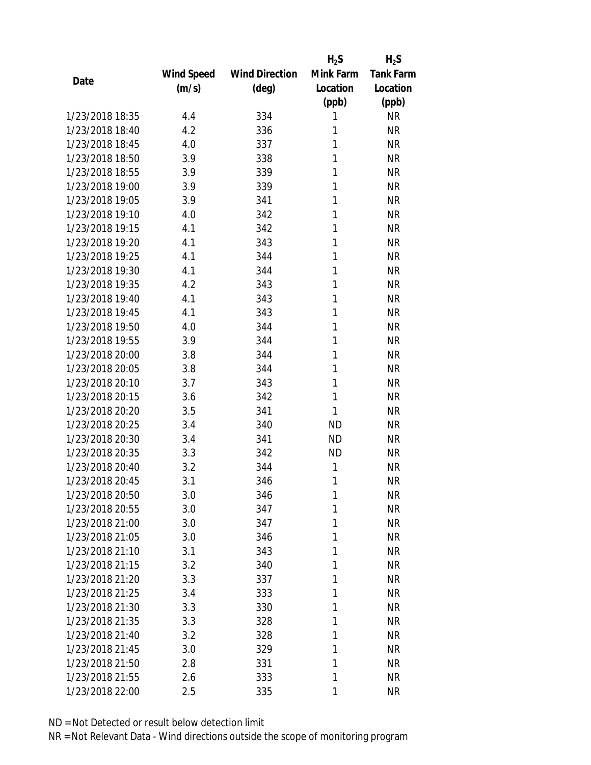|                 |            |                       | $H_2S$    | $H_2S$           |
|-----------------|------------|-----------------------|-----------|------------------|
|                 | Wind Speed | <b>Wind Direction</b> | Mink Farm | <b>Tank Farm</b> |
| Date            | (m/s)      | (deg)                 | Location  | Location         |
|                 |            |                       | (ppb)     | (ppb)            |
| 1/23/2018 18:35 | 4.4        | 334                   | 1         | <b>NR</b>        |
| 1/23/2018 18:40 | 4.2        | 336                   | 1         | <b>NR</b>        |
| 1/23/2018 18:45 | 4.0        | 337                   | 1         | <b>NR</b>        |
| 1/23/2018 18:50 | 3.9        | 338                   | 1         | <b>NR</b>        |
| 1/23/2018 18:55 | 3.9        | 339                   | 1         | <b>NR</b>        |
| 1/23/2018 19:00 | 3.9        | 339                   | 1         | <b>NR</b>        |
| 1/23/2018 19:05 | 3.9        | 341                   | 1         | <b>NR</b>        |
| 1/23/2018 19:10 | 4.0        | 342                   | 1         | <b>NR</b>        |
| 1/23/2018 19:15 | 4.1        | 342                   | 1         | <b>NR</b>        |
| 1/23/2018 19:20 | 4.1        | 343                   | 1         | <b>NR</b>        |
| 1/23/2018 19:25 | 4.1        | 344                   | 1         | <b>NR</b>        |
| 1/23/2018 19:30 | 4.1        | 344                   | 1         | <b>NR</b>        |
| 1/23/2018 19:35 | 4.2        | 343                   | 1         | <b>NR</b>        |
| 1/23/2018 19:40 | 4.1        | 343                   | 1         | <b>NR</b>        |
| 1/23/2018 19:45 | 4.1        | 343                   | 1         | <b>NR</b>        |
| 1/23/2018 19:50 | 4.0        | 344                   | 1         | <b>NR</b>        |
| 1/23/2018 19:55 | 3.9        | 344                   | 1         | <b>NR</b>        |
| 1/23/2018 20:00 | 3.8        | 344                   | 1         | <b>NR</b>        |
| 1/23/2018 20:05 | 3.8        | 344                   | 1         | <b>NR</b>        |
| 1/23/2018 20:10 | 3.7        | 343                   | 1         | <b>NR</b>        |
| 1/23/2018 20:15 | 3.6        | 342                   | 1         | <b>NR</b>        |
| 1/23/2018 20:20 | 3.5        | 341                   | 1         | <b>NR</b>        |
| 1/23/2018 20:25 | 3.4        | 340                   | <b>ND</b> | <b>NR</b>        |
| 1/23/2018 20:30 | 3.4        | 341                   | <b>ND</b> | <b>NR</b>        |
| 1/23/2018 20:35 | 3.3        | 342                   | <b>ND</b> | <b>NR</b>        |
| 1/23/2018 20:40 | 3.2        | 344                   | 1         | <b>NR</b>        |
| 1/23/2018 20:45 | 3.1        | 346                   | 1         | <b>NR</b>        |
| 1/23/2018 20:50 | 3.0        | 346                   | 1         | <b>NR</b>        |
| 1/23/2018 20:55 | 3.0        | 347                   | 1         | <b>NR</b>        |
| 1/23/2018 21:00 | 3.0        | 347                   | 1         | <b>NR</b>        |
| 1/23/2018 21:05 | 3.0        | 346                   | 1         | <b>NR</b>        |
| 1/23/2018 21:10 | 3.1        | 343                   | 1         | <b>NR</b>        |
| 1/23/2018 21:15 | 3.2        | 340                   | 1         | <b>NR</b>        |
| 1/23/2018 21:20 | 3.3        | 337                   | 1         | <b>NR</b>        |
| 1/23/2018 21:25 | 3.4        | 333                   | 1         | <b>NR</b>        |
| 1/23/2018 21:30 | 3.3        | 330                   | 1         | <b>NR</b>        |
| 1/23/2018 21:35 | 3.3        | 328                   | 1         | <b>NR</b>        |
| 1/23/2018 21:40 | 3.2        | 328                   | 1         | <b>NR</b>        |
| 1/23/2018 21:45 | 3.0        | 329                   | 1         | <b>NR</b>        |
| 1/23/2018 21:50 | 2.8        | 331                   | 1         | <b>NR</b>        |
| 1/23/2018 21:55 | 2.6        | 333                   | 1         | <b>NR</b>        |
| 1/23/2018 22:00 | 2.5        | 335                   | 1         | <b>NR</b>        |
|                 |            |                       |           |                  |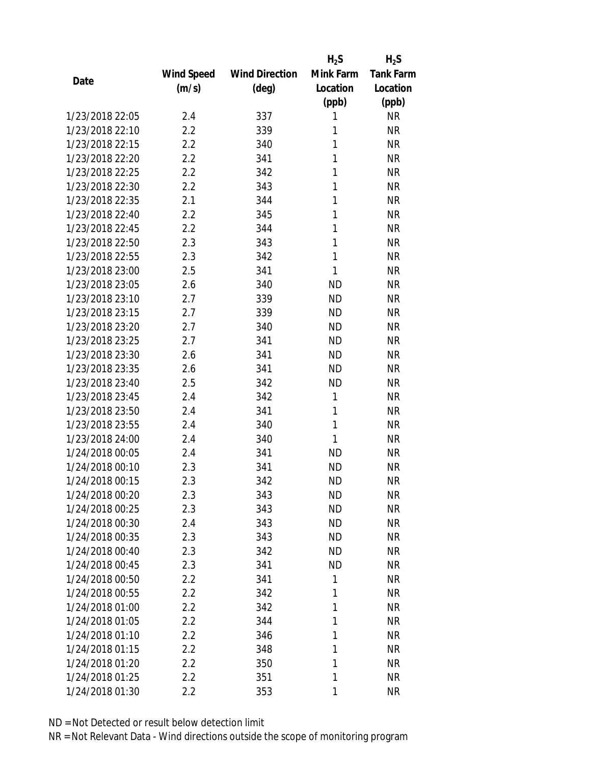|                 |            |                       | $H_2S$    | $H_2S$           |
|-----------------|------------|-----------------------|-----------|------------------|
|                 | Wind Speed | <b>Wind Direction</b> | Mink Farm | <b>Tank Farm</b> |
| Date            | (m/s)      | $(\text{deg})$        | Location  | Location         |
|                 |            |                       | (ppb)     | (ppb)            |
| 1/23/2018 22:05 | 2.4        | 337                   | 1         | <b>NR</b>        |
| 1/23/2018 22:10 | 2.2        | 339                   | 1         | <b>NR</b>        |
| 1/23/2018 22:15 | 2.2        | 340                   | 1         | <b>NR</b>        |
| 1/23/2018 22:20 | 2.2        | 341                   | 1         | <b>NR</b>        |
| 1/23/2018 22:25 | 2.2        | 342                   | 1         | <b>NR</b>        |
| 1/23/2018 22:30 | 2.2        | 343                   | 1         | <b>NR</b>        |
| 1/23/2018 22:35 | 2.1        | 344                   | 1         | <b>NR</b>        |
| 1/23/2018 22:40 | 2.2        | 345                   | 1         | <b>NR</b>        |
| 1/23/2018 22:45 | 2.2        | 344                   | 1         | <b>NR</b>        |
| 1/23/2018 22:50 | 2.3        | 343                   | 1         | <b>NR</b>        |
| 1/23/2018 22:55 | 2.3        | 342                   | 1         | <b>NR</b>        |
| 1/23/2018 23:00 | 2.5        | 341                   | 1         | <b>NR</b>        |
| 1/23/2018 23:05 | 2.6        | 340                   | <b>ND</b> | <b>NR</b>        |
| 1/23/2018 23:10 | 2.7        | 339                   | <b>ND</b> | <b>NR</b>        |
| 1/23/2018 23:15 | 2.7        | 339                   | <b>ND</b> | <b>NR</b>        |
| 1/23/2018 23:20 | 2.7        | 340                   | <b>ND</b> | <b>NR</b>        |
| 1/23/2018 23:25 | 2.7        | 341                   | <b>ND</b> | <b>NR</b>        |
| 1/23/2018 23:30 | 2.6        | 341                   | <b>ND</b> | <b>NR</b>        |
| 1/23/2018 23:35 | 2.6        | 341                   | <b>ND</b> | <b>NR</b>        |
| 1/23/2018 23:40 | 2.5        | 342                   | <b>ND</b> | <b>NR</b>        |
| 1/23/2018 23:45 | 2.4        | 342                   | 1         | <b>NR</b>        |
| 1/23/2018 23:50 | 2.4        | 341                   | 1         | <b>NR</b>        |
| 1/23/2018 23:55 | 2.4        | 340                   | 1         | <b>NR</b>        |
| 1/23/2018 24:00 | 2.4        | 340                   | 1         | <b>NR</b>        |
| 1/24/2018 00:05 | 2.4        | 341                   | <b>ND</b> | <b>NR</b>        |
| 1/24/2018 00:10 | 2.3        | 341                   | <b>ND</b> | <b>NR</b>        |
| 1/24/2018 00:15 | 2.3        | 342                   | <b>ND</b> | <b>NR</b>        |
| 1/24/2018 00:20 | 2.3        | 343                   | <b>ND</b> | <b>NR</b>        |
| 1/24/2018 00:25 | 2.3        | 343                   | <b>ND</b> | <b>NR</b>        |
| 1/24/2018 00:30 | 2.4        | 343                   | ND        | <b>NR</b>        |
| 1/24/2018 00:35 | 2.3        | 343                   | <b>ND</b> | <b>NR</b>        |
| 1/24/2018 00:40 | 2.3        | 342                   | <b>ND</b> | <b>NR</b>        |
| 1/24/2018 00:45 | 2.3        | 341                   | <b>ND</b> | <b>NR</b>        |
| 1/24/2018 00:50 | 2.2        | 341                   | 1         | <b>NR</b>        |
| 1/24/2018 00:55 | 2.2        | 342                   | 1         | <b>NR</b>        |
| 1/24/2018 01:00 | 2.2        | 342                   | 1         | <b>NR</b>        |
| 1/24/2018 01:05 | 2.2        | 344                   | 1         | <b>NR</b>        |
| 1/24/2018 01:10 | 2.2        | 346                   | 1         | <b>NR</b>        |
| 1/24/2018 01:15 | 2.2        | 348                   | 1         | <b>NR</b>        |
| 1/24/2018 01:20 | 2.2        | 350                   | 1         | <b>NR</b>        |
| 1/24/2018 01:25 | 2.2        | 351                   | 1         | <b>NR</b>        |
| 1/24/2018 01:30 | 2.2        | 353                   | 1         | <b>NR</b>        |
|                 |            |                       |           |                  |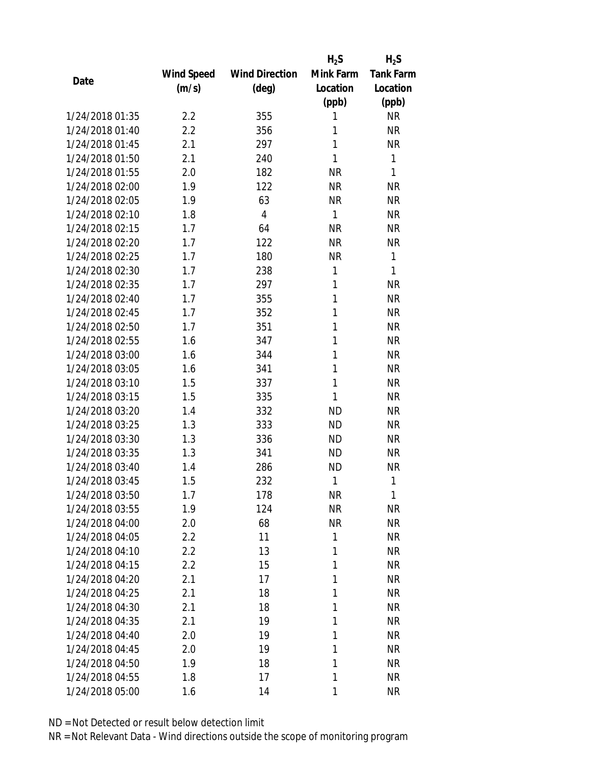|                 |            |                       | $H_2S$       | $H_2S$           |
|-----------------|------------|-----------------------|--------------|------------------|
|                 | Wind Speed | <b>Wind Direction</b> | Mink Farm    | <b>Tank Farm</b> |
| Date            | (m/s)      | $(\text{deg})$        | Location     | Location         |
|                 |            |                       | (ppb)        | (ppb)            |
| 1/24/2018 01:35 | 2.2        | 355                   | 1            | <b>NR</b>        |
| 1/24/2018 01:40 | 2.2        | 356                   | 1            | <b>NR</b>        |
| 1/24/2018 01:45 | 2.1        | 297                   | 1            | <b>NR</b>        |
| 1/24/2018 01:50 | 2.1        | 240                   | 1            | 1                |
| 1/24/2018 01:55 | 2.0        | 182                   | <b>NR</b>    | 1                |
| 1/24/2018 02:00 | 1.9        | 122                   | <b>NR</b>    | <b>NR</b>        |
| 1/24/2018 02:05 | 1.9        | 63                    | <b>NR</b>    | <b>NR</b>        |
| 1/24/2018 02:10 | 1.8        | $\overline{4}$        | $\mathbf{1}$ | <b>NR</b>        |
| 1/24/2018 02:15 | 1.7        | 64                    | <b>NR</b>    | <b>NR</b>        |
| 1/24/2018 02:20 | 1.7        | 122                   | <b>NR</b>    | <b>NR</b>        |
| 1/24/2018 02:25 | 1.7        | 180                   | <b>NR</b>    | 1                |
| 1/24/2018 02:30 | 1.7        | 238                   | 1            | 1                |
| 1/24/2018 02:35 | 1.7        | 297                   | 1            | <b>NR</b>        |
| 1/24/2018 02:40 | 1.7        | 355                   | 1            | <b>NR</b>        |
| 1/24/2018 02:45 | 1.7        | 352                   | 1            | <b>NR</b>        |
| 1/24/2018 02:50 | 1.7        | 351                   | 1            | <b>NR</b>        |
| 1/24/2018 02:55 | 1.6        | 347                   | 1            | <b>NR</b>        |
| 1/24/2018 03:00 | 1.6        | 344                   | 1            | <b>NR</b>        |
| 1/24/2018 03:05 | 1.6        | 341                   | 1            | <b>NR</b>        |
| 1/24/2018 03:10 | 1.5        | 337                   | 1            | <b>NR</b>        |
| 1/24/2018 03:15 | 1.5        | 335                   | 1            | <b>NR</b>        |
| 1/24/2018 03:20 | 1.4        | 332                   | <b>ND</b>    | <b>NR</b>        |
| 1/24/2018 03:25 | 1.3        | 333                   | <b>ND</b>    | <b>NR</b>        |
| 1/24/2018 03:30 | 1.3        | 336                   | <b>ND</b>    | <b>NR</b>        |
| 1/24/2018 03:35 | 1.3        | 341                   | <b>ND</b>    | <b>NR</b>        |
| 1/24/2018 03:40 | 1.4        | 286                   | <b>ND</b>    | <b>NR</b>        |
| 1/24/2018 03:45 | 1.5        | 232                   | 1            | 1                |
| 1/24/2018 03:50 | 1.7        | 178                   | <b>NR</b>    | 1                |
| 1/24/2018 03:55 | 1.9        | 124                   | <b>NR</b>    | <b>NR</b>        |
| 1/24/2018 04:00 | 2.0        | 68                    | <b>NR</b>    | <b>NR</b>        |
| 1/24/2018 04:05 | 2.2        | 11                    | 1            | <b>NR</b>        |
| 1/24/2018 04:10 | 2.2        | 13                    | 1            | <b>NR</b>        |
| 1/24/2018 04:15 | 2.2        | 15                    | 1            | <b>NR</b>        |
| 1/24/2018 04:20 | 2.1        | 17                    | 1            | <b>NR</b>        |
| 1/24/2018 04:25 | 2.1        | 18                    | 1            | <b>NR</b>        |
| 1/24/2018 04:30 | 2.1        | 18                    | 1            | <b>NR</b>        |
| 1/24/2018 04:35 | 2.1        | 19                    | 1            | <b>NR</b>        |
| 1/24/2018 04:40 | 2.0        | 19                    | 1            | <b>NR</b>        |
| 1/24/2018 04:45 | 2.0        | 19                    | 1            | <b>NR</b>        |
| 1/24/2018 04:50 | 1.9        | 18                    | 1            | <b>NR</b>        |
| 1/24/2018 04:55 | 1.8        | 17                    | 1            | <b>NR</b>        |
| 1/24/2018 05:00 | 1.6        | 14                    | 1            | <b>NR</b>        |
|                 |            |                       |              |                  |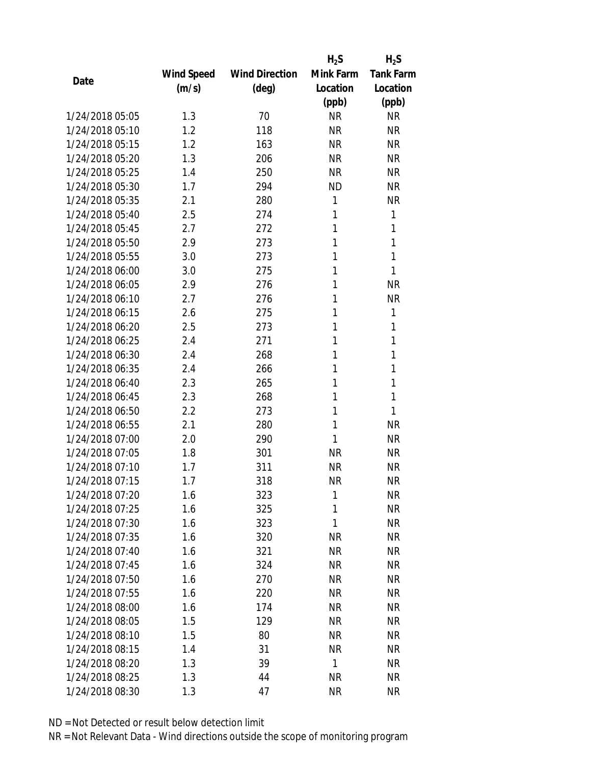|                 |            |                       | $H_2S$    | $H_2S$           |
|-----------------|------------|-----------------------|-----------|------------------|
|                 | Wind Speed | <b>Wind Direction</b> | Mink Farm | <b>Tank Farm</b> |
| Date            | (m/s)      | $(\text{deg})$        | Location  | Location         |
|                 |            |                       | (ppb)     | (ppb)            |
| 1/24/2018 05:05 | 1.3        | 70                    | <b>NR</b> | <b>NR</b>        |
| 1/24/2018 05:10 | 1.2        | 118                   | <b>NR</b> | <b>NR</b>        |
| 1/24/2018 05:15 | 1.2        | 163                   | <b>NR</b> | <b>NR</b>        |
| 1/24/2018 05:20 | 1.3        | 206                   | <b>NR</b> | <b>NR</b>        |
| 1/24/2018 05:25 | 1.4        | 250                   | <b>NR</b> | <b>NR</b>        |
| 1/24/2018 05:30 | 1.7        | 294                   | <b>ND</b> | <b>NR</b>        |
| 1/24/2018 05:35 | 2.1        | 280                   | 1         | <b>NR</b>        |
| 1/24/2018 05:40 | 2.5        | 274                   | 1         | 1                |
| 1/24/2018 05:45 | 2.7        | 272                   | 1         | 1                |
| 1/24/2018 05:50 | 2.9        | 273                   | 1         | 1                |
| 1/24/2018 05:55 | 3.0        | 273                   | 1         | 1                |
| 1/24/2018 06:00 | 3.0        | 275                   | 1         | 1                |
| 1/24/2018 06:05 | 2.9        | 276                   | 1         | <b>NR</b>        |
| 1/24/2018 06:10 | 2.7        | 276                   | 1         | <b>NR</b>        |
| 1/24/2018 06:15 | 2.6        | 275                   | 1         | 1                |
| 1/24/2018 06:20 | 2.5        | 273                   | 1         | 1                |
| 1/24/2018 06:25 | 2.4        | 271                   | 1         | 1                |
| 1/24/2018 06:30 | 2.4        | 268                   | 1         | 1                |
| 1/24/2018 06:35 | 2.4        | 266                   | 1         | 1                |
| 1/24/2018 06:40 | 2.3        | 265                   | 1         | 1                |
| 1/24/2018 06:45 | 2.3        | 268                   | 1         | 1                |
| 1/24/2018 06:50 | 2.2        | 273                   | 1         | 1                |
| 1/24/2018 06:55 | 2.1        | 280                   | 1         | <b>NR</b>        |
| 1/24/2018 07:00 | 2.0        | 290                   | 1         | <b>NR</b>        |
| 1/24/2018 07:05 | 1.8        | 301                   | <b>NR</b> | <b>NR</b>        |
| 1/24/2018 07:10 | 1.7        | 311                   | <b>NR</b> | <b>NR</b>        |
| 1/24/2018 07:15 | 1.7        | 318                   | <b>NR</b> | <b>NR</b>        |
| 1/24/2018 07:20 | 1.6        | 323                   | 1         | ΝR               |
| 1/24/2018 07:25 | 1.6        | 325                   | 1         | <b>NR</b>        |
| 1/24/2018 07:30 | 1.6        | 323                   | 1         | <b>NR</b>        |
| 1/24/2018 07:35 | 1.6        | 320                   | <b>NR</b> | NR               |
| 1/24/2018 07:40 | 1.6        | 321                   | <b>NR</b> | NR               |
| 1/24/2018 07:45 | 1.6        | 324                   | <b>NR</b> | NR               |
| 1/24/2018 07:50 | 1.6        | 270                   | <b>NR</b> | <b>NR</b>        |
| 1/24/2018 07:55 | 1.6        | 220                   | <b>NR</b> | <b>NR</b>        |
| 1/24/2018 08:00 | 1.6        | 174                   | <b>NR</b> | <b>NR</b>        |
| 1/24/2018 08:05 | 1.5        | 129                   | NR        | NR               |
| 1/24/2018 08:10 | 1.5        | 80                    | NR        | NR               |
| 1/24/2018 08:15 | 1.4        | 31                    | <b>NR</b> | <b>NR</b>        |
| 1/24/2018 08:20 | 1.3        | 39                    | 1         | <b>NR</b>        |
|                 |            |                       |           |                  |
| 1/24/2018 08:25 | 1.3        | 44                    | <b>NR</b> | NR               |
| 1/24/2018 08:30 | 1.3        | 47                    | <b>NR</b> | <b>NR</b>        |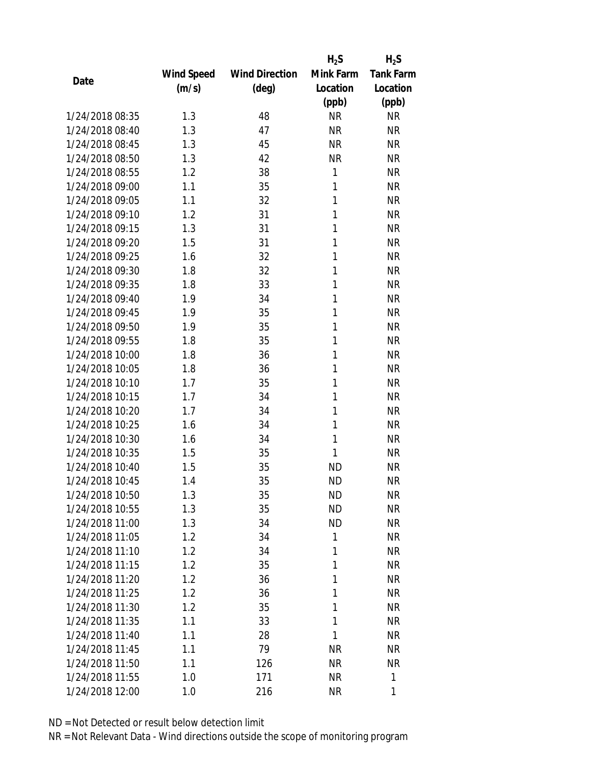|                 |            |                       | $H_2S$    | $H_2S$           |
|-----------------|------------|-----------------------|-----------|------------------|
|                 | Wind Speed | <b>Wind Direction</b> | Mink Farm | <b>Tank Farm</b> |
| Date            | (m/s)      | $(\text{deg})$        | Location  | Location         |
|                 |            |                       | (ppb)     | (ppb)            |
| 1/24/2018 08:35 | 1.3        | 48                    | <b>NR</b> | <b>NR</b>        |
| 1/24/2018 08:40 | 1.3        | 47                    | <b>NR</b> | <b>NR</b>        |
| 1/24/2018 08:45 | 1.3        | 45                    | <b>NR</b> | <b>NR</b>        |
| 1/24/2018 08:50 | 1.3        | 42                    | <b>NR</b> | <b>NR</b>        |
| 1/24/2018 08:55 | 1.2        | 38                    | 1         | <b>NR</b>        |
| 1/24/2018 09:00 | 1.1        | 35                    | 1         | <b>NR</b>        |
| 1/24/2018 09:05 | 1.1        | 32                    | 1         | <b>NR</b>        |
| 1/24/2018 09:10 | 1.2        | 31                    | 1         | <b>NR</b>        |
| 1/24/2018 09:15 | 1.3        | 31                    | 1         | <b>NR</b>        |
| 1/24/2018 09:20 | 1.5        | 31                    | 1         | <b>NR</b>        |
| 1/24/2018 09:25 | 1.6        | 32                    | 1         | <b>NR</b>        |
| 1/24/2018 09:30 | 1.8        | 32                    | 1         | <b>NR</b>        |
| 1/24/2018 09:35 | 1.8        | 33                    | 1         | <b>NR</b>        |
| 1/24/2018 09:40 | 1.9        | 34                    | 1         | <b>NR</b>        |
| 1/24/2018 09:45 | 1.9        | 35                    | 1         | <b>NR</b>        |
| 1/24/2018 09:50 | 1.9        | 35                    | 1         | <b>NR</b>        |
| 1/24/2018 09:55 | 1.8        | 35                    | 1         | <b>NR</b>        |
| 1/24/2018 10:00 | 1.8        | 36                    | 1         | <b>NR</b>        |
| 1/24/2018 10:05 | 1.8        | 36                    | 1         | <b>NR</b>        |
| 1/24/2018 10:10 | 1.7        | 35                    | 1         | <b>NR</b>        |
| 1/24/2018 10:15 | 1.7        | 34                    | 1         | <b>NR</b>        |
| 1/24/2018 10:20 | 1.7        | 34                    | 1         | <b>NR</b>        |
| 1/24/2018 10:25 | 1.6        | 34                    | 1         | <b>NR</b>        |
| 1/24/2018 10:30 | 1.6        | 34                    | 1         | <b>NR</b>        |
| 1/24/2018 10:35 | 1.5        | 35                    | 1         | <b>NR</b>        |
| 1/24/2018 10:40 | 1.5        | 35                    | <b>ND</b> | <b>NR</b>        |
| 1/24/2018 10:45 | 1.4        | 35                    | <b>ND</b> | <b>NR</b>        |
| 1/24/2018 10:50 | 1.3        | 35                    | ND        | <b>NR</b>        |
| 1/24/2018 10:55 | 1.3        | 35                    | <b>ND</b> | <b>NR</b>        |
| 1/24/2018 11:00 | 1.3        | 34                    | <b>ND</b> | <b>NR</b>        |
| 1/24/2018 11:05 | 1.2        | 34                    | 1         | <b>NR</b>        |
| 1/24/2018 11:10 | 1.2        | 34                    | 1         | <b>NR</b>        |
| 1/24/2018 11:15 | 1.2        | 35                    | 1         | <b>NR</b>        |
| 1/24/2018 11:20 | 1.2        | 36                    | 1         | <b>NR</b>        |
| 1/24/2018 11:25 | 1.2        | 36                    | 1         | <b>NR</b>        |
| 1/24/2018 11:30 | 1.2        | 35                    | 1         | <b>NR</b>        |
| 1/24/2018 11:35 | 1.1        | 33                    | 1         | <b>NR</b>        |
| 1/24/2018 11:40 | 1.1        | 28                    | 1         | <b>NR</b>        |
| 1/24/2018 11:45 | 1.1        | 79                    | <b>NR</b> | <b>NR</b>        |
| 1/24/2018 11:50 | 1.1        | 126                   | NR        | <b>NR</b>        |
| 1/24/2018 11:55 | 1.0        | 171                   | <b>NR</b> | 1                |
| 1/24/2018 12:00 | 1.0        | 216                   | <b>NR</b> | 1                |
|                 |            |                       |           |                  |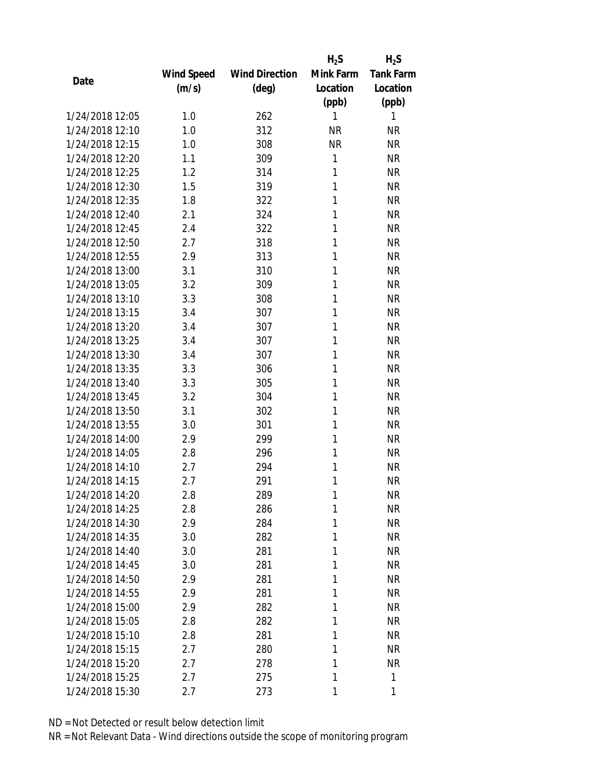|                 |                   |                       | $H_2S$    | $H_2S$           |
|-----------------|-------------------|-----------------------|-----------|------------------|
|                 | <b>Wind Speed</b> | <b>Wind Direction</b> | Mink Farm | <b>Tank Farm</b> |
| Date            | (m/s)             | (deg)                 | Location  | Location         |
|                 |                   |                       | (ppb)     | (ppb)            |
| 1/24/2018 12:05 | 1.0               | 262                   | 1         | 1                |
| 1/24/2018 12:10 | 1.0               | 312                   | <b>NR</b> | <b>NR</b>        |
| 1/24/2018 12:15 | 1.0               | 308                   | <b>NR</b> | <b>NR</b>        |
| 1/24/2018 12:20 | 1.1               | 309                   | 1         | <b>NR</b>        |
| 1/24/2018 12:25 | 1.2               | 314                   | 1         | <b>NR</b>        |
| 1/24/2018 12:30 | 1.5               | 319                   | 1         | <b>NR</b>        |
| 1/24/2018 12:35 | 1.8               | 322                   | 1         | <b>NR</b>        |
| 1/24/2018 12:40 | 2.1               | 324                   | 1         | <b>NR</b>        |
| 1/24/2018 12:45 | 2.4               | 322                   | 1         | <b>NR</b>        |
| 1/24/2018 12:50 | 2.7               | 318                   | 1         | <b>NR</b>        |
| 1/24/2018 12:55 | 2.9               | 313                   | 1         | <b>NR</b>        |
| 1/24/2018 13:00 | 3.1               | 310                   | 1         | <b>NR</b>        |
| 1/24/2018 13:05 | 3.2               | 309                   | 1         | <b>NR</b>        |
| 1/24/2018 13:10 | 3.3               | 308                   | 1         | <b>NR</b>        |
| 1/24/2018 13:15 | 3.4               | 307                   | 1         | <b>NR</b>        |
| 1/24/2018 13:20 | 3.4               | 307                   | 1         | <b>NR</b>        |
| 1/24/2018 13:25 | 3.4               | 307                   | 1         | <b>NR</b>        |
| 1/24/2018 13:30 | 3.4               | 307                   | 1         | <b>NR</b>        |
| 1/24/2018 13:35 | 3.3               | 306                   | 1         | <b>NR</b>        |
| 1/24/2018 13:40 | 3.3               | 305                   | 1         | <b>NR</b>        |
| 1/24/2018 13:45 | 3.2               | 304                   | 1         | <b>NR</b>        |
| 1/24/2018 13:50 | 3.1               | 302                   | 1         | <b>NR</b>        |
| 1/24/2018 13:55 | 3.0               | 301                   | 1         | <b>NR</b>        |
| 1/24/2018 14:00 | 2.9               | 299                   | 1         | <b>NR</b>        |
| 1/24/2018 14:05 | 2.8               | 296                   | 1         | <b>NR</b>        |
| 1/24/2018 14:10 | 2.7               | 294                   | 1         | <b>NR</b>        |
| 1/24/2018 14:15 | 2.7               | 291                   | 1         | <b>NR</b>        |
| 1/24/2018 14:20 | 2.8               | 289                   | 1         | <b>NR</b>        |
| 1/24/2018 14:25 | 2.8               | 286                   | 1         | <b>NR</b>        |
| 1/24/2018 14:30 | 2.9               | 284                   | 1         | <b>NR</b>        |
| 1/24/2018 14:35 | 3.0               | 282                   | 1         | <b>NR</b>        |
| 1/24/2018 14:40 | 3.0               | 281                   | 1         | <b>NR</b>        |
| 1/24/2018 14:45 | 3.0               | 281                   | 1         | <b>NR</b>        |
| 1/24/2018 14:50 | 2.9               | 281                   | 1         | <b>NR</b>        |
| 1/24/2018 14:55 | 2.9               | 281                   | 1         | <b>NR</b>        |
| 1/24/2018 15:00 | 2.9               | 282                   | 1         | <b>NR</b>        |
| 1/24/2018 15:05 | 2.8               | 282                   | 1         | <b>NR</b>        |
| 1/24/2018 15:10 | 2.8               | 281                   | 1         | <b>NR</b>        |
| 1/24/2018 15:15 | 2.7               | 280                   | 1         | <b>NR</b>        |
| 1/24/2018 15:20 | 2.7               | 278                   | 1         | <b>NR</b>        |
| 1/24/2018 15:25 | 2.7               | 275                   | 1         | $\mathbf{1}$     |
| 1/24/2018 15:30 | 2.7               | 273                   | 1         | 1                |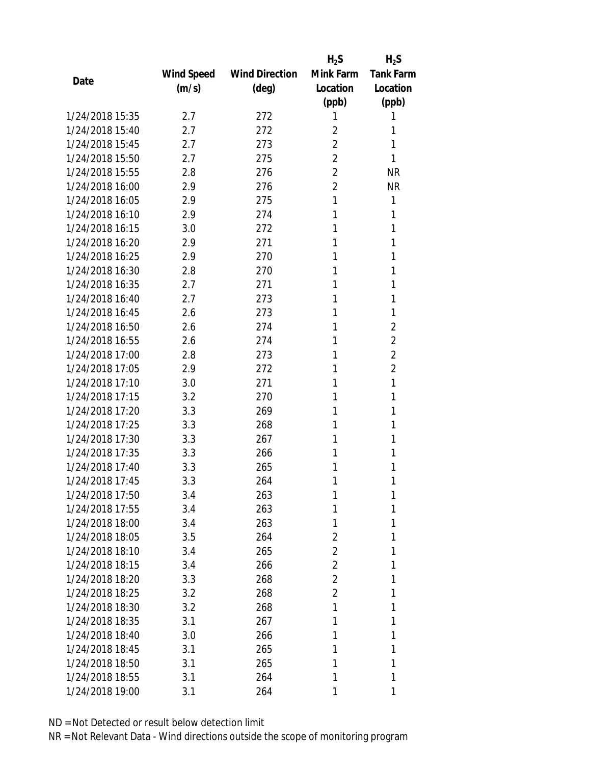|                 |            |                       | $H_2S$         | $H_2S$           |
|-----------------|------------|-----------------------|----------------|------------------|
|                 | Wind Speed | <b>Wind Direction</b> | Mink Farm      | <b>Tank Farm</b> |
| Date            | (m/s)      | $(\text{deg})$        | Location       | Location         |
|                 |            |                       | (ppb)          | (ppb)            |
| 1/24/2018 15:35 | 2.7        | 272                   | 1              | 1                |
| 1/24/2018 15:40 | 2.7        | 272                   | $\overline{2}$ | 1                |
| 1/24/2018 15:45 | 2.7        | 273                   | $\overline{2}$ | 1                |
| 1/24/2018 15:50 | 2.7        | 275                   | $\overline{2}$ | 1                |
| 1/24/2018 15:55 | 2.8        | 276                   | $\overline{2}$ | <b>NR</b>        |
| 1/24/2018 16:00 | 2.9        | 276                   | $\overline{2}$ | <b>NR</b>        |
| 1/24/2018 16:05 | 2.9        | 275                   | 1              | 1                |
| 1/24/2018 16:10 | 2.9        | 274                   | 1              | 1                |
| 1/24/2018 16:15 | 3.0        | 272                   | 1              | 1                |
| 1/24/2018 16:20 | 2.9        | 271                   | 1              | 1                |
| 1/24/2018 16:25 | 2.9        | 270                   | 1              | 1                |
| 1/24/2018 16:30 | 2.8        | 270                   | 1              | 1                |
| 1/24/2018 16:35 | 2.7        | 271                   | 1              | 1                |
| 1/24/2018 16:40 | 2.7        | 273                   | 1              | 1                |
| 1/24/2018 16:45 | 2.6        | 273                   | 1              | 1                |
| 1/24/2018 16:50 | 2.6        | 274                   | 1              | $\overline{2}$   |
| 1/24/2018 16:55 | 2.6        | 274                   | 1              | $\overline{2}$   |
| 1/24/2018 17:00 | 2.8        | 273                   | 1              | $\overline{2}$   |
| 1/24/2018 17:05 | 2.9        | 272                   | 1              | $\overline{2}$   |
| 1/24/2018 17:10 | 3.0        | 271                   | 1              | 1                |
| 1/24/2018 17:15 | 3.2        | 270                   | 1              | 1                |
| 1/24/2018 17:20 | 3.3        | 269                   | 1              | 1                |
| 1/24/2018 17:25 | 3.3        | 268                   | 1              | 1                |
| 1/24/2018 17:30 | 3.3        | 267                   | 1              | 1                |
| 1/24/2018 17:35 | 3.3        | 266                   | 1              | 1                |
| 1/24/2018 17:40 | 3.3        | 265                   | 1              | 1                |
| 1/24/2018 17:45 | 3.3        | 264                   | 1              | 1                |
| 1/24/2018 17:50 | 3.4        | 263                   | 1              | 1                |
| 1/24/2018 17:55 | 3.4        | 263                   | 1              | 1                |
| 1/24/2018 18:00 | 3.4        | 263                   | 1              | 1                |
| 1/24/2018 18:05 | 3.5        | 264                   | 2              | 1                |
| 1/24/2018 18:10 | 3.4        | 265                   | $\overline{2}$ | 1                |
| 1/24/2018 18:15 | 3.4        | 266                   | $\overline{2}$ | 1                |
| 1/24/2018 18:20 | 3.3        | 268                   | $\overline{2}$ | 1                |
| 1/24/2018 18:25 | 3.2        | 268                   | $\overline{2}$ | 1                |
| 1/24/2018 18:30 | 3.2        | 268                   | 1              | 1                |
| 1/24/2018 18:35 | 3.1        | 267                   | 1              | 1                |
| 1/24/2018 18:40 | 3.0        | 266                   | 1              | 1                |
| 1/24/2018 18:45 | 3.1        | 265                   | 1              | 1                |
| 1/24/2018 18:50 | 3.1        | 265                   | 1              | 1                |
| 1/24/2018 18:55 | 3.1        | 264                   | 1              | 1                |
| 1/24/2018 19:00 | 3.1        | 264                   | 1              | 1                |
|                 |            |                       |                |                  |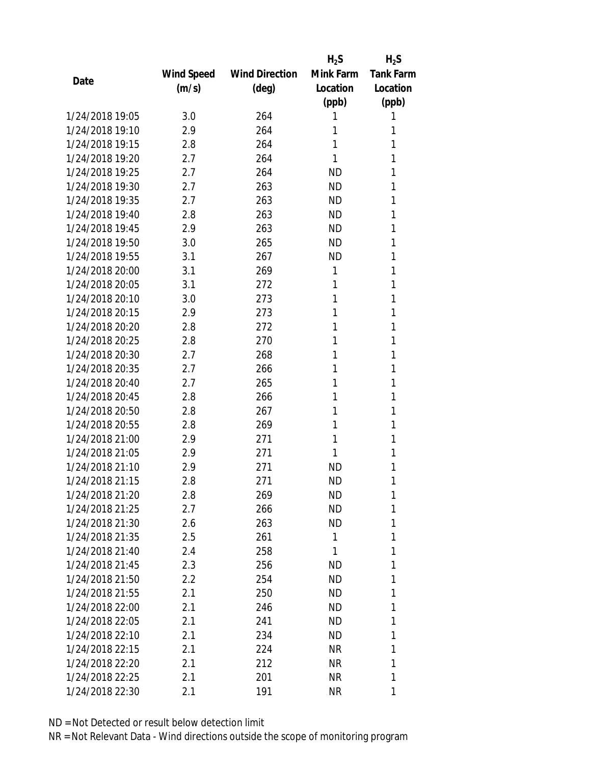|                 |            |                       | $H_2S$    | $H_2S$           |
|-----------------|------------|-----------------------|-----------|------------------|
|                 | Wind Speed | <b>Wind Direction</b> | Mink Farm | <b>Tank Farm</b> |
| Date            | (m/s)      | $(\text{deg})$        | Location  | Location         |
|                 |            |                       | (ppb)     | (ppb)            |
| 1/24/2018 19:05 | 3.0        | 264                   | 1         | 1                |
| 1/24/2018 19:10 | 2.9        | 264                   | 1         | 1                |
| 1/24/2018 19:15 | 2.8        | 264                   | 1         | 1                |
| 1/24/2018 19:20 | 2.7        | 264                   | 1         | 1                |
| 1/24/2018 19:25 | 2.7        | 264                   | <b>ND</b> | 1                |
| 1/24/2018 19:30 | 2.7        | 263                   | <b>ND</b> | 1                |
| 1/24/2018 19:35 | 2.7        | 263                   | <b>ND</b> | 1                |
| 1/24/2018 19:40 | 2.8        | 263                   | <b>ND</b> | 1                |
| 1/24/2018 19:45 | 2.9        | 263                   | <b>ND</b> | 1                |
| 1/24/2018 19:50 | 3.0        | 265                   | <b>ND</b> | 1                |
| 1/24/2018 19:55 | 3.1        | 267                   | <b>ND</b> | 1                |
| 1/24/2018 20:00 | 3.1        | 269                   | 1         | 1                |
| 1/24/2018 20:05 | 3.1        | 272                   | 1         | 1                |
| 1/24/2018 20:10 | 3.0        | 273                   | 1         | 1                |
| 1/24/2018 20:15 | 2.9        | 273                   | 1         | 1                |
| 1/24/2018 20:20 | 2.8        | 272                   | 1         | 1                |
| 1/24/2018 20:25 | 2.8        | 270                   | 1         | 1                |
| 1/24/2018 20:30 | 2.7        | 268                   | 1         | 1                |
| 1/24/2018 20:35 | 2.7        | 266                   | 1         | 1                |
| 1/24/2018 20:40 | 2.7        | 265                   | 1         | 1                |
| 1/24/2018 20:45 | 2.8        | 266                   | 1         | 1                |
| 1/24/2018 20:50 | 2.8        | 267                   | 1         | 1                |
| 1/24/2018 20:55 | 2.8        | 269                   | 1         | 1                |
| 1/24/2018 21:00 | 2.9        | 271                   | 1         | 1                |
| 1/24/2018 21:05 | 2.9        | 271                   | 1         | 1                |
| 1/24/2018 21:10 | 2.9        | 271                   | <b>ND</b> | 1                |
| 1/24/2018 21:15 | 2.8        | 271                   | <b>ND</b> | 1                |
| 1/24/2018 21:20 | 2.8        | 269                   | ND        | 1                |
| 1/24/2018 21:25 | 2.7        | 266                   | <b>ND</b> | 1                |
| 1/24/2018 21:30 | 2.6        | 263                   | ND        | 1                |
| 1/24/2018 21:35 | 2.5        | 261                   | 1         | 1                |
| 1/24/2018 21:40 | 2.4        | 258                   | 1         | 1                |
| 1/24/2018 21:45 | 2.3        | 256                   | ND        | 1                |
| 1/24/2018 21:50 | 2.2        | 254                   | <b>ND</b> | 1                |
| 1/24/2018 21:55 | 2.1        | 250                   | ND.       | 1                |
| 1/24/2018 22:00 | 2.1        | 246                   | ND        | 1                |
| 1/24/2018 22:05 | 2.1        | 241                   | ND        | 1                |
| 1/24/2018 22:10 | 2.1        | 234                   | ND        | 1                |
| 1/24/2018 22:15 | 2.1        | 224                   | NR        | 1                |
| 1/24/2018 22:20 | 2.1        | 212                   | NR        | 1                |
| 1/24/2018 22:25 | 2.1        | 201                   | NR        | 1                |
| 1/24/2018 22:30 | 2.1        | 191                   | ΝR        | 1                |
|                 |            |                       |           |                  |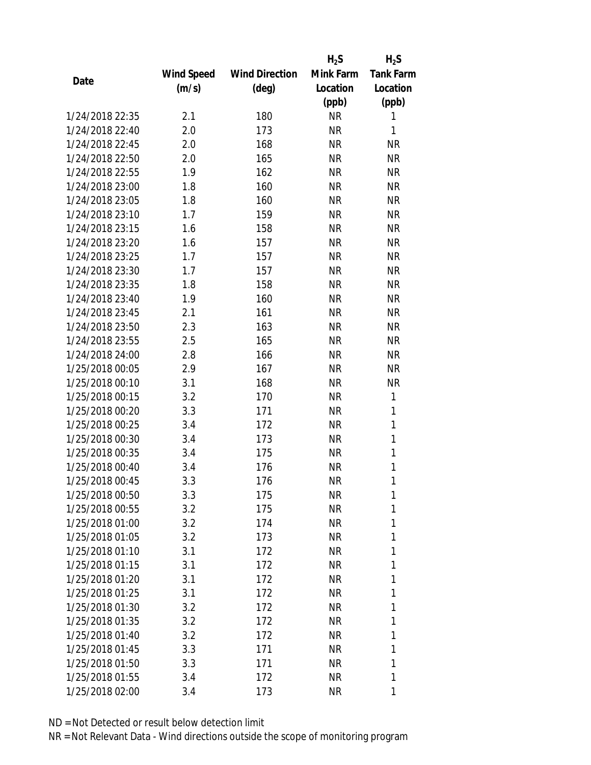|                 |            |                       | $H_2S$    | $H_2S$           |
|-----------------|------------|-----------------------|-----------|------------------|
|                 | Wind Speed | <b>Wind Direction</b> | Mink Farm | <b>Tank Farm</b> |
| Date            | (m/s)      | (deg)                 | Location  | Location         |
|                 |            |                       | (ppb)     | (ppb)            |
| 1/24/2018 22:35 | 2.1        | 180                   | <b>NR</b> | 1                |
| 1/24/2018 22:40 | 2.0        | 173                   | <b>NR</b> | 1                |
| 1/24/2018 22:45 | 2.0        | 168                   | <b>NR</b> | <b>NR</b>        |
| 1/24/2018 22:50 | 2.0        | 165                   | <b>NR</b> | <b>NR</b>        |
| 1/24/2018 22:55 | 1.9        | 162                   | <b>NR</b> | <b>NR</b>        |
| 1/24/2018 23:00 | 1.8        | 160                   | <b>NR</b> | <b>NR</b>        |
| 1/24/2018 23:05 | 1.8        | 160                   | <b>NR</b> | <b>NR</b>        |
| 1/24/2018 23:10 | 1.7        | 159                   | <b>NR</b> | <b>NR</b>        |
| 1/24/2018 23:15 | 1.6        | 158                   | <b>NR</b> | <b>NR</b>        |
| 1/24/2018 23:20 | 1.6        | 157                   | <b>NR</b> | <b>NR</b>        |
| 1/24/2018 23:25 | 1.7        | 157                   | <b>NR</b> | <b>NR</b>        |
| 1/24/2018 23:30 | 1.7        | 157                   | <b>NR</b> | <b>NR</b>        |
| 1/24/2018 23:35 | 1.8        | 158                   | <b>NR</b> | <b>NR</b>        |
| 1/24/2018 23:40 | 1.9        | 160                   | <b>NR</b> | <b>NR</b>        |
| 1/24/2018 23:45 | 2.1        | 161                   | <b>NR</b> | <b>NR</b>        |
| 1/24/2018 23:50 | 2.3        | 163                   | <b>NR</b> | <b>NR</b>        |
| 1/24/2018 23:55 | 2.5        | 165                   | <b>NR</b> | <b>NR</b>        |
| 1/24/2018 24:00 | 2.8        | 166                   | <b>NR</b> | <b>NR</b>        |
| 1/25/2018 00:05 | 2.9        | 167                   | <b>NR</b> | <b>NR</b>        |
| 1/25/2018 00:10 | 3.1        | 168                   | <b>NR</b> | <b>NR</b>        |
| 1/25/2018 00:15 | 3.2        | 170                   | <b>NR</b> | 1                |
| 1/25/2018 00:20 | 3.3        | 171                   | <b>NR</b> | 1                |
| 1/25/2018 00:25 | 3.4        | 172                   | <b>NR</b> | 1                |
| 1/25/2018 00:30 | 3.4        | 173                   | <b>NR</b> | $\mathbf{1}$     |
| 1/25/2018 00:35 | 3.4        | 175                   | <b>NR</b> | 1                |
| 1/25/2018 00:40 | 3.4        | 176                   | <b>NR</b> | 1                |
| 1/25/2018 00:45 | 3.3        | 176                   | <b>NR</b> | $\mathbf{1}$     |
| 1/25/2018 00:50 | 3.3        | 175                   | NR        | 1                |
| 1/25/2018 00:55 | 3.2        | 175                   | <b>NR</b> | 1                |
| 1/25/2018 01:00 | 3.2        | 174                   | <b>NR</b> | 1                |
| 1/25/2018 01:05 | 3.2        | 173                   | NR        | 1                |
| 1/25/2018 01:10 | 3.1        | 172                   | <b>NR</b> | 1                |
| 1/25/2018 01:15 | 3.1        | 172                   | NR        | 1                |
| 1/25/2018 01:20 | 3.1        | 172                   | <b>NR</b> | 1                |
| 1/25/2018 01:25 | 3.1        | 172                   | NR        | 1                |
| 1/25/2018 01:30 | 3.2        | 172                   | <b>NR</b> | 1                |
| 1/25/2018 01:35 | 3.2        | 172                   | NR        | 1                |
| 1/25/2018 01:40 | 3.2        | 172                   | NR        | 1                |
| 1/25/2018 01:45 | 3.3        | 171                   | <b>NR</b> | 1                |
| 1/25/2018 01:50 | 3.3        | 171                   | NR        | 1                |
| 1/25/2018 01:55 | 3.4        | 172                   | <b>NR</b> | 1                |
| 1/25/2018 02:00 | 3.4        | 173                   | <b>NR</b> | 1                |
|                 |            |                       |           |                  |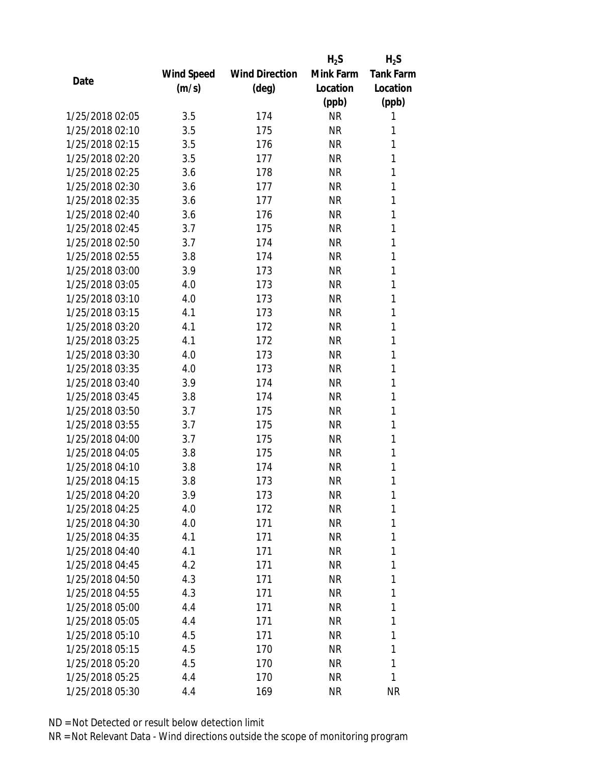|                 |            |                       | $H_2S$    | $H_2S$           |
|-----------------|------------|-----------------------|-----------|------------------|
|                 | Wind Speed | <b>Wind Direction</b> | Mink Farm | <b>Tank Farm</b> |
| Date            | (m/s)      | (deg)                 | Location  | Location         |
|                 |            |                       | (ppb)     | (ppb)            |
| 1/25/2018 02:05 | 3.5        | 174                   | <b>NR</b> | 1                |
| 1/25/2018 02:10 | 3.5        | 175                   | <b>NR</b> | 1                |
| 1/25/2018 02:15 | 3.5        | 176                   | <b>NR</b> | 1                |
| 1/25/2018 02:20 | 3.5        | 177                   | <b>NR</b> | 1                |
| 1/25/2018 02:25 | 3.6        | 178                   | <b>NR</b> | 1                |
| 1/25/2018 02:30 | 3.6        | 177                   | <b>NR</b> | 1                |
| 1/25/2018 02:35 | 3.6        | 177                   | <b>NR</b> | 1                |
| 1/25/2018 02:40 | 3.6        | 176                   | <b>NR</b> | 1                |
| 1/25/2018 02:45 | 3.7        | 175                   | <b>NR</b> | 1                |
| 1/25/2018 02:50 | 3.7        | 174                   | <b>NR</b> | 1                |
| 1/25/2018 02:55 | 3.8        | 174                   | NR        | 1                |
| 1/25/2018 03:00 | 3.9        | 173                   | <b>NR</b> | 1                |
| 1/25/2018 03:05 | 4.0        | 173                   | <b>NR</b> | 1                |
| 1/25/2018 03:10 | 4.0        | 173                   | <b>NR</b> | 1                |
| 1/25/2018 03:15 | 4.1        | 173                   | <b>NR</b> | 1                |
| 1/25/2018 03:20 | 4.1        | 172                   | <b>NR</b> | 1                |
| 1/25/2018 03:25 | 4.1        | 172                   | <b>NR</b> | 1                |
| 1/25/2018 03:30 | 4.0        | 173                   | <b>NR</b> | 1                |
| 1/25/2018 03:35 | 4.0        | 173                   | <b>NR</b> | 1                |
| 1/25/2018 03:40 | 3.9        | 174                   | <b>NR</b> | 1                |
| 1/25/2018 03:45 | 3.8        | 174                   | <b>NR</b> | 1                |
| 1/25/2018 03:50 | 3.7        | 175                   | <b>NR</b> | 1                |
| 1/25/2018 03:55 | 3.7        | 175                   | <b>NR</b> | 1                |
| 1/25/2018 04:00 | 3.7        | 175                   | <b>NR</b> | 1                |
| 1/25/2018 04:05 | 3.8        | 175                   | <b>NR</b> | 1                |
| 1/25/2018 04:10 | 3.8        | 174                   | <b>NR</b> | 1                |
| 1/25/2018 04:15 | 3.8        | 173                   | <b>NR</b> | 1                |
| 1/25/2018 04:20 | 3.9        | 173                   | NR        | 1                |
| 1/25/2018 04:25 | 4.0        | 172                   | <b>NR</b> | 1                |
| 1/25/2018 04:30 | 4.0        | 171                   | NR        | 1                |
| 1/25/2018 04:35 | 4.1        | 171                   | NR        | 1                |
| 1/25/2018 04:40 | 4.1        | 171                   | <b>NR</b> | 1                |
| 1/25/2018 04:45 | 4.2        | 171                   | NR        | 1                |
| 1/25/2018 04:50 | 4.3        | 171                   | <b>NR</b> | 1                |
| 1/25/2018 04:55 | 4.3        | 171                   | NR        | 1                |
| 1/25/2018 05:00 | 4.4        | 171                   | NR        | 1                |
| 1/25/2018 05:05 | 4.4        | 171                   | NR        | 1                |
| 1/25/2018 05:10 | 4.5        | 171                   | NR        | 1                |
| 1/25/2018 05:15 | 4.5        | 170                   | <b>NR</b> | 1                |
| 1/25/2018 05:20 | 4.5        | 170                   | NR        | 1                |
| 1/25/2018 05:25 | 4.4        | 170                   | NR        | 1                |
| 1/25/2018 05:30 | 4.4        | 169                   | NR        | <b>NR</b>        |
|                 |            |                       |           |                  |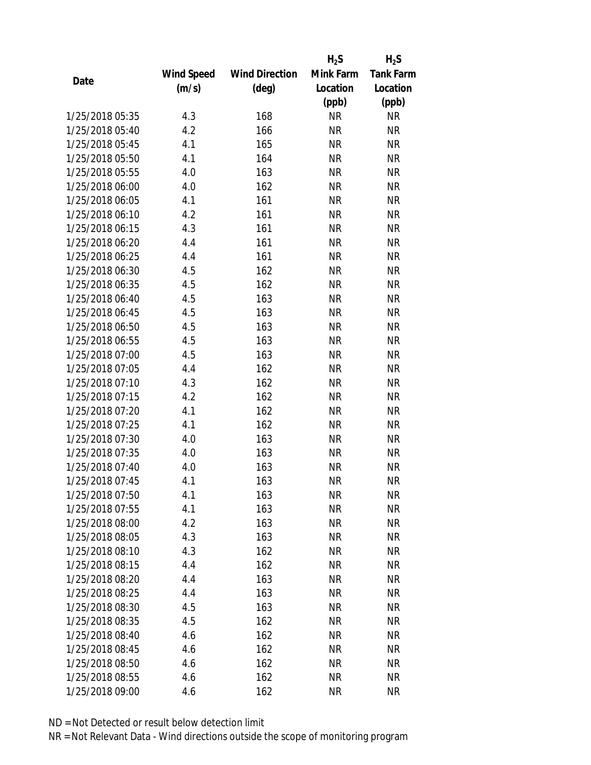|                 |            |                       | $H_2S$    | $H_2S$           |
|-----------------|------------|-----------------------|-----------|------------------|
|                 | Wind Speed | <b>Wind Direction</b> | Mink Farm | <b>Tank Farm</b> |
| Date            | (m/s)      | (deg)                 | Location  | Location         |
|                 |            |                       | (ppb)     | (ppb)            |
| 1/25/2018 05:35 | 4.3        | 168                   | <b>NR</b> | <b>NR</b>        |
| 1/25/2018 05:40 | 4.2        | 166                   | <b>NR</b> | <b>NR</b>        |
| 1/25/2018 05:45 | 4.1        | 165                   | <b>NR</b> | <b>NR</b>        |
| 1/25/2018 05:50 | 4.1        | 164                   | <b>NR</b> | <b>NR</b>        |
| 1/25/2018 05:55 | 4.0        | 163                   | <b>NR</b> | <b>NR</b>        |
| 1/25/2018 06:00 | 4.0        | 162                   | <b>NR</b> | <b>NR</b>        |
| 1/25/2018 06:05 | 4.1        | 161                   | <b>NR</b> | <b>NR</b>        |
| 1/25/2018 06:10 | 4.2        | 161                   | <b>NR</b> | <b>NR</b>        |
| 1/25/2018 06:15 | 4.3        | 161                   | <b>NR</b> | <b>NR</b>        |
| 1/25/2018 06:20 | 4.4        | 161                   | <b>NR</b> | <b>NR</b>        |
| 1/25/2018 06:25 | 4.4        | 161                   | <b>NR</b> | <b>NR</b>        |
| 1/25/2018 06:30 | 4.5        | 162                   | <b>NR</b> | <b>NR</b>        |
| 1/25/2018 06:35 | 4.5        | 162                   | <b>NR</b> | <b>NR</b>        |
| 1/25/2018 06:40 | 4.5        | 163                   | <b>NR</b> | <b>NR</b>        |
| 1/25/2018 06:45 | 4.5        | 163                   | <b>NR</b> | <b>NR</b>        |
| 1/25/2018 06:50 | 4.5        | 163                   | <b>NR</b> | <b>NR</b>        |
| 1/25/2018 06:55 | 4.5        | 163                   | <b>NR</b> | <b>NR</b>        |
| 1/25/2018 07:00 | 4.5        | 163                   | <b>NR</b> | <b>NR</b>        |
| 1/25/2018 07:05 | 4.4        | 162                   | <b>NR</b> | <b>NR</b>        |
| 1/25/2018 07:10 | 4.3        | 162                   | <b>NR</b> | <b>NR</b>        |
| 1/25/2018 07:15 | 4.2        | 162                   | <b>NR</b> | <b>NR</b>        |
| 1/25/2018 07:20 | 4.1        | 162                   | <b>NR</b> | <b>NR</b>        |
| 1/25/2018 07:25 | 4.1        | 162                   | <b>NR</b> | <b>NR</b>        |
| 1/25/2018 07:30 | 4.0        | 163                   | <b>NR</b> | <b>NR</b>        |
| 1/25/2018 07:35 | 4.0        | 163                   | <b>NR</b> | <b>NR</b>        |
| 1/25/2018 07:40 | 4.0        | 163                   | <b>NR</b> | <b>NR</b>        |
| 1/25/2018 07:45 | 4.1        | 163                   | <b>NR</b> | <b>NR</b>        |
| 1/25/2018 07:50 | 4.1        | 163                   | ΝR        | ΝR               |
| 1/25/2018 07:55 | 4.1        | 163                   | <b>NR</b> | <b>NR</b>        |
| 1/25/2018 08:00 | 4.2        | 163                   | NR        | <b>NR</b>        |
| 1/25/2018 08:05 | 4.3        | 163                   | <b>NR</b> | NR               |
| 1/25/2018 08:10 | 4.3        | 162                   | <b>NR</b> | NR               |
| 1/25/2018 08:15 | 4.4        | 162                   | NR        | NR               |
| 1/25/2018 08:20 | 4.4        | 163                   | <b>NR</b> | <b>NR</b>        |
| 1/25/2018 08:25 | 4.4        | 163                   | <b>NR</b> | <b>NR</b>        |
| 1/25/2018 08:30 | 4.5        | 163                   | <b>NR</b> | NR               |
| 1/25/2018 08:35 | 4.5        | 162                   | NR        | NR               |
| 1/25/2018 08:40 | 4.6        | 162                   | NR        | NR               |
| 1/25/2018 08:45 | 4.6        | 162                   | <b>NR</b> | NR               |
| 1/25/2018 08:50 | 4.6        |                       | NR        | NR               |
|                 |            | 162                   |           |                  |
| 1/25/2018 08:55 | 4.6        | 162                   | <b>NR</b> | NR               |
| 1/25/2018 09:00 | 4.6        | 162                   | <b>NR</b> | <b>NR</b>        |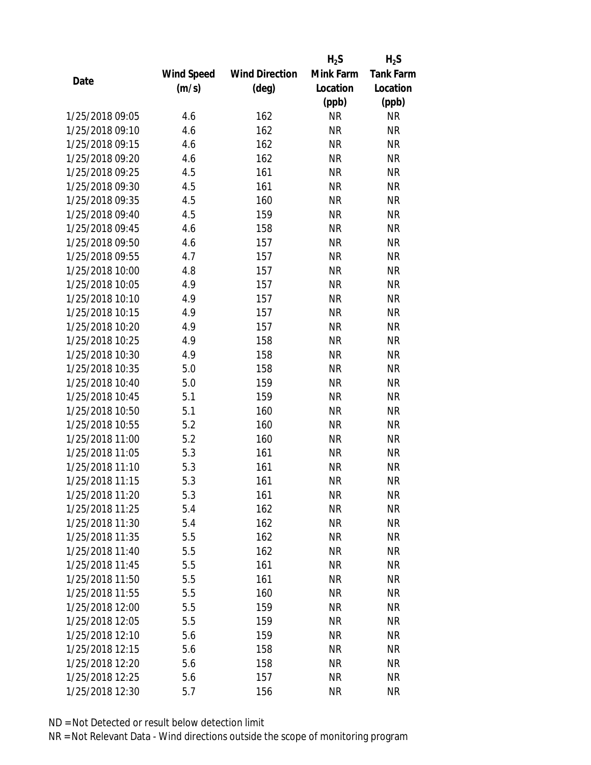|                 |            |                       | $H_2S$    | $H_2S$           |
|-----------------|------------|-----------------------|-----------|------------------|
|                 | Wind Speed | <b>Wind Direction</b> | Mink Farm | <b>Tank Farm</b> |
| Date            | (m/s)      | $(\text{deg})$        | Location  | Location         |
|                 |            |                       | (ppb)     | (ppb)            |
| 1/25/2018 09:05 | 4.6        | 162                   | <b>NR</b> | <b>NR</b>        |
| 1/25/2018 09:10 | 4.6        | 162                   | <b>NR</b> | <b>NR</b>        |
| 1/25/2018 09:15 | 4.6        | 162                   | <b>NR</b> | <b>NR</b>        |
| 1/25/2018 09:20 | 4.6        | 162                   | <b>NR</b> | <b>NR</b>        |
| 1/25/2018 09:25 | 4.5        | 161                   | <b>NR</b> | <b>NR</b>        |
| 1/25/2018 09:30 | 4.5        | 161                   | <b>NR</b> | <b>NR</b>        |
| 1/25/2018 09:35 | 4.5        | 160                   | <b>NR</b> | <b>NR</b>        |
| 1/25/2018 09:40 | 4.5        | 159                   | <b>NR</b> | <b>NR</b>        |
| 1/25/2018 09:45 | 4.6        | 158                   | <b>NR</b> | <b>NR</b>        |
| 1/25/2018 09:50 | 4.6        | 157                   | <b>NR</b> | <b>NR</b>        |
| 1/25/2018 09:55 | 4.7        | 157                   | <b>NR</b> | <b>NR</b>        |
| 1/25/2018 10:00 | 4.8        | 157                   | <b>NR</b> | <b>NR</b>        |
| 1/25/2018 10:05 | 4.9        | 157                   | <b>NR</b> | <b>NR</b>        |
| 1/25/2018 10:10 | 4.9        | 157                   | <b>NR</b> | <b>NR</b>        |
| 1/25/2018 10:15 | 4.9        | 157                   | <b>NR</b> | <b>NR</b>        |
| 1/25/2018 10:20 | 4.9        | 157                   | <b>NR</b> | <b>NR</b>        |
| 1/25/2018 10:25 | 4.9        | 158                   | <b>NR</b> | <b>NR</b>        |
| 1/25/2018 10:30 | 4.9        | 158                   | <b>NR</b> | <b>NR</b>        |
| 1/25/2018 10:35 | 5.0        | 158                   | <b>NR</b> | <b>NR</b>        |
| 1/25/2018 10:40 | 5.0        | 159                   | <b>NR</b> | <b>NR</b>        |
| 1/25/2018 10:45 | 5.1        | 159                   | <b>NR</b> | <b>NR</b>        |
| 1/25/2018 10:50 | 5.1        | 160                   | <b>NR</b> | <b>NR</b>        |
| 1/25/2018 10:55 | 5.2        | 160                   | <b>NR</b> | <b>NR</b>        |
| 1/25/2018 11:00 | 5.2        | 160                   | <b>NR</b> | <b>NR</b>        |
| 1/25/2018 11:05 | 5.3        | 161                   | <b>NR</b> | <b>NR</b>        |
| 1/25/2018 11:10 | 5.3        | 161                   | <b>NR</b> | <b>NR</b>        |
| 1/25/2018 11:15 | 5.3        | 161                   | <b>NR</b> | <b>NR</b>        |
| 1/25/2018 11:20 | 5.3        | 161                   | NR        | <b>NR</b>        |
| 1/25/2018 11:25 | 5.4        | 162                   | <b>NR</b> | <b>NR</b>        |
| 1/25/2018 11:30 | 5.4        | 162                   | NR        | <b>NR</b>        |
| 1/25/2018 11:35 | 5.5        | 162                   | <b>NR</b> | <b>NR</b>        |
| 1/25/2018 11:40 | 5.5        | 162                   | <b>NR</b> | <b>NR</b>        |
| 1/25/2018 11:45 | 5.5        | 161                   | ΝR        | <b>NR</b>        |
| 1/25/2018 11:50 | 5.5        | 161                   | <b>NR</b> | <b>NR</b>        |
| 1/25/2018 11:55 | 5.5        | 160                   | <b>NR</b> | <b>NR</b>        |
| 1/25/2018 12:00 | 5.5        | 159                   | <b>NR</b> | <b>NR</b>        |
| 1/25/2018 12:05 | 5.5        | 159                   | ΝR        | <b>NR</b>        |
| 1/25/2018 12:10 | 5.6        | 159                   | ΝR        | <b>NR</b>        |
| 1/25/2018 12:15 | 5.6        | 158                   | <b>NR</b> | <b>NR</b>        |
| 1/25/2018 12:20 | 5.6        | 158                   | ΝR        | <b>NR</b>        |
| 1/25/2018 12:25 | 5.6        | 157                   | <b>NR</b> | <b>NR</b>        |
| 1/25/2018 12:30 | 5.7        | 156                   | <b>NR</b> | <b>NR</b>        |
|                 |            |                       |           |                  |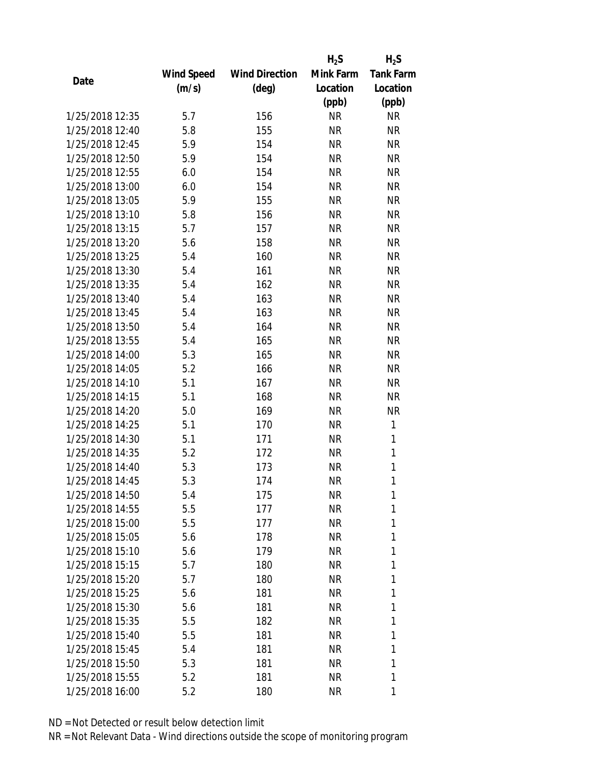|                 |            |                       | $H_2S$    | $H_2S$           |
|-----------------|------------|-----------------------|-----------|------------------|
|                 | Wind Speed | <b>Wind Direction</b> | Mink Farm | <b>Tank Farm</b> |
| Date            | (m/s)      | (deg)                 | Location  | Location         |
|                 |            |                       | (ppb)     | (ppb)            |
| 1/25/2018 12:35 | 5.7        | 156                   | <b>NR</b> | <b>NR</b>        |
| 1/25/2018 12:40 | 5.8        | 155                   | <b>NR</b> | <b>NR</b>        |
| 1/25/2018 12:45 | 5.9        | 154                   | <b>NR</b> | <b>NR</b>        |
| 1/25/2018 12:50 | 5.9        | 154                   | <b>NR</b> | <b>NR</b>        |
| 1/25/2018 12:55 | 6.0        | 154                   | <b>NR</b> | <b>NR</b>        |
| 1/25/2018 13:00 | 6.0        | 154                   | <b>NR</b> | <b>NR</b>        |
| 1/25/2018 13:05 | 5.9        | 155                   | <b>NR</b> | <b>NR</b>        |
| 1/25/2018 13:10 | 5.8        | 156                   | <b>NR</b> | <b>NR</b>        |
| 1/25/2018 13:15 | 5.7        | 157                   | <b>NR</b> | <b>NR</b>        |
| 1/25/2018 13:20 | 5.6        | 158                   | <b>NR</b> | <b>NR</b>        |
| 1/25/2018 13:25 | 5.4        | 160                   | <b>NR</b> | <b>NR</b>        |
| 1/25/2018 13:30 | 5.4        | 161                   | <b>NR</b> | <b>NR</b>        |
| 1/25/2018 13:35 | 5.4        | 162                   | <b>NR</b> | <b>NR</b>        |
| 1/25/2018 13:40 | 5.4        | 163                   | <b>NR</b> | <b>NR</b>        |
| 1/25/2018 13:45 | 5.4        | 163                   | <b>NR</b> | <b>NR</b>        |
| 1/25/2018 13:50 | 5.4        | 164                   | <b>NR</b> | <b>NR</b>        |
| 1/25/2018 13:55 | 5.4        | 165                   | <b>NR</b> | <b>NR</b>        |
| 1/25/2018 14:00 | 5.3        | 165                   | <b>NR</b> | <b>NR</b>        |
| 1/25/2018 14:05 | 5.2        | 166                   | <b>NR</b> | <b>NR</b>        |
| 1/25/2018 14:10 | 5.1        | 167                   | <b>NR</b> | <b>NR</b>        |
| 1/25/2018 14:15 | 5.1        | 168                   | <b>NR</b> | <b>NR</b>        |
| 1/25/2018 14:20 | 5.0        | 169                   | <b>NR</b> | <b>NR</b>        |
| 1/25/2018 14:25 | 5.1        | 170                   | <b>NR</b> | 1                |
| 1/25/2018 14:30 | 5.1        | 171                   | <b>NR</b> | 1                |
| 1/25/2018 14:35 | 5.2        | 172                   | <b>NR</b> | 1                |
| 1/25/2018 14:40 | 5.3        | 173                   | <b>NR</b> | $\mathbf{1}$     |
| 1/25/2018 14:45 | 5.3        | 174                   | <b>NR</b> | 1                |
| 1/25/2018 14:50 | 5.4        | 175                   | ΝR        | 1                |
| 1/25/2018 14:55 | 5.5        | 177                   | <b>NR</b> | 1                |
| 1/25/2018 15:00 | 5.5        | 177                   | NR        | 1                |
| 1/25/2018 15:05 | 5.6        | 178                   | <b>NR</b> | 1                |
| 1/25/2018 15:10 | 5.6        | 179                   | NR        | 1                |
| 1/25/2018 15:15 | 5.7        | 180                   | NR        | 1                |
| 1/25/2018 15:20 | 5.7        | 180                   | <b>NR</b> | 1                |
| 1/25/2018 15:25 | 5.6        | 181                   | NR        | 1                |
| 1/25/2018 15:30 | 5.6        | 181                   | <b>NR</b> | 1                |
| 1/25/2018 15:35 | 5.5        | 182                   | NR        | 1                |
| 1/25/2018 15:40 | 5.5        | 181                   | NR        | 1                |
| 1/25/2018 15:45 |            |                       |           | 1                |
| 1/25/2018 15:50 | 5.4        | 181                   | NR        | 1                |
|                 | 5.3        | 181                   | ΝR        |                  |
| 1/25/2018 15:55 | 5.2        | 181                   | <b>NR</b> | 1                |
| 1/25/2018 16:00 | 5.2        | 180                   | ΝR        | 1                |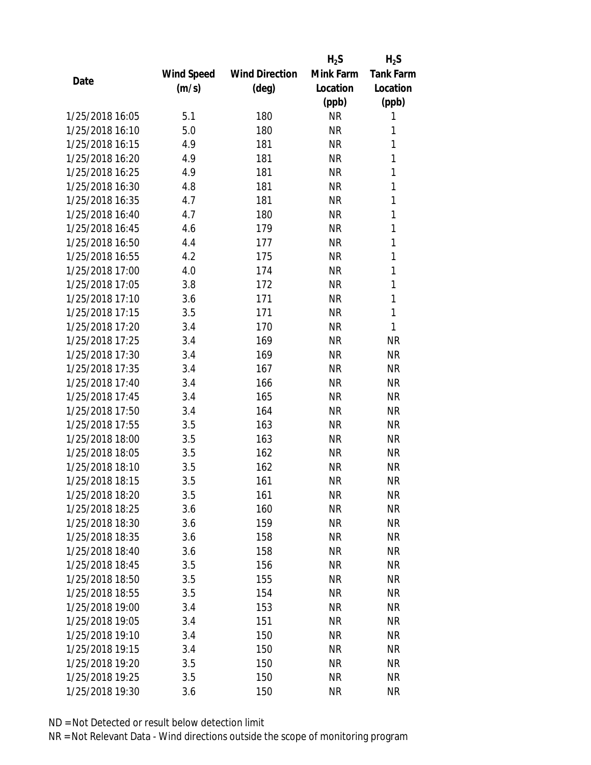|                 |            |                       | $H_2S$    | $H_2S$           |
|-----------------|------------|-----------------------|-----------|------------------|
|                 | Wind Speed | <b>Wind Direction</b> | Mink Farm | <b>Tank Farm</b> |
| Date            | (m/s)      | (deg)                 | Location  | Location         |
|                 |            |                       | (ppb)     | (ppb)            |
| 1/25/2018 16:05 | 5.1        | 180                   | <b>NR</b> | 1                |
| 1/25/2018 16:10 | 5.0        | 180                   | <b>NR</b> | 1                |
| 1/25/2018 16:15 | 4.9        | 181                   | <b>NR</b> | 1                |
| 1/25/2018 16:20 | 4.9        | 181                   | <b>NR</b> | 1                |
| 1/25/2018 16:25 | 4.9        | 181                   | <b>NR</b> | 1                |
| 1/25/2018 16:30 | 4.8        | 181                   | <b>NR</b> | 1                |
| 1/25/2018 16:35 | 4.7        | 181                   | <b>NR</b> | 1                |
| 1/25/2018 16:40 | 4.7        | 180                   | <b>NR</b> | 1                |
| 1/25/2018 16:45 | 4.6        | 179                   | <b>NR</b> | 1                |
| 1/25/2018 16:50 | 4.4        | 177                   | <b>NR</b> | $\mathbf{1}$     |
| 1/25/2018 16:55 | 4.2        | 175                   | <b>NR</b> | 1                |
| 1/25/2018 17:00 | 4.0        | 174                   | <b>NR</b> | 1                |
| 1/25/2018 17:05 | 3.8        | 172                   | <b>NR</b> | 1                |
| 1/25/2018 17:10 | 3.6        | 171                   | <b>NR</b> | 1                |
| 1/25/2018 17:15 | 3.5        | 171                   | <b>NR</b> | 1                |
| 1/25/2018 17:20 | 3.4        | 170                   | <b>NR</b> | 1                |
| 1/25/2018 17:25 | 3.4        | 169                   | <b>NR</b> | <b>NR</b>        |
| 1/25/2018 17:30 | 3.4        | 169                   | <b>NR</b> | <b>NR</b>        |
| 1/25/2018 17:35 | 3.4        | 167                   | <b>NR</b> | <b>NR</b>        |
| 1/25/2018 17:40 | 3.4        | 166                   | <b>NR</b> | <b>NR</b>        |
| 1/25/2018 17:45 | 3.4        | 165                   | <b>NR</b> | <b>NR</b>        |
| 1/25/2018 17:50 | 3.4        | 164                   | <b>NR</b> | <b>NR</b>        |
| 1/25/2018 17:55 | 3.5        | 163                   | <b>NR</b> | <b>NR</b>        |
| 1/25/2018 18:00 | 3.5        | 163                   | <b>NR</b> | <b>NR</b>        |
| 1/25/2018 18:05 | 3.5        | 162                   | <b>NR</b> | <b>NR</b>        |
| 1/25/2018 18:10 | 3.5        | 162                   | <b>NR</b> | <b>NR</b>        |
| 1/25/2018 18:15 | 3.5        | 161                   | <b>NR</b> | <b>NR</b>        |
| 1/25/2018 18:20 | 3.5        | 161                   | ΝR        | <b>NR</b>        |
| 1/25/2018 18:25 | 3.6        | 160                   | <b>NR</b> | <b>NR</b>        |
| 1/25/2018 18:30 | 3.6        | 159                   | NR        | <b>NR</b>        |
| 1/25/2018 18:35 | 3.6        | 158                   | <b>NR</b> | <b>NR</b>        |
| 1/25/2018 18:40 | 3.6        | 158                   | <b>NR</b> | <b>NR</b>        |
| 1/25/2018 18:45 | 3.5        | 156                   | ΝR        | <b>NR</b>        |
| 1/25/2018 18:50 | 3.5        | 155                   | <b>NR</b> | <b>NR</b>        |
| 1/25/2018 18:55 | 3.5        | 154                   | <b>NR</b> | <b>NR</b>        |
| 1/25/2018 19:00 | 3.4        | 153                   | <b>NR</b> | <b>NR</b>        |
| 1/25/2018 19:05 | 3.4        | 151                   | ΝR        | <b>NR</b>        |
| 1/25/2018 19:10 | 3.4        | 150                   | ΝR        | <b>NR</b>        |
| 1/25/2018 19:15 | 3.4        | 150                   | <b>NR</b> | <b>NR</b>        |
| 1/25/2018 19:20 | 3.5        | 150                   | ΝR        | <b>NR</b>        |
| 1/25/2018 19:25 | 3.5        | 150                   | <b>NR</b> | <b>NR</b>        |
| 1/25/2018 19:30 | 3.6        | 150                   | <b>NR</b> | <b>NR</b>        |
|                 |            |                       |           |                  |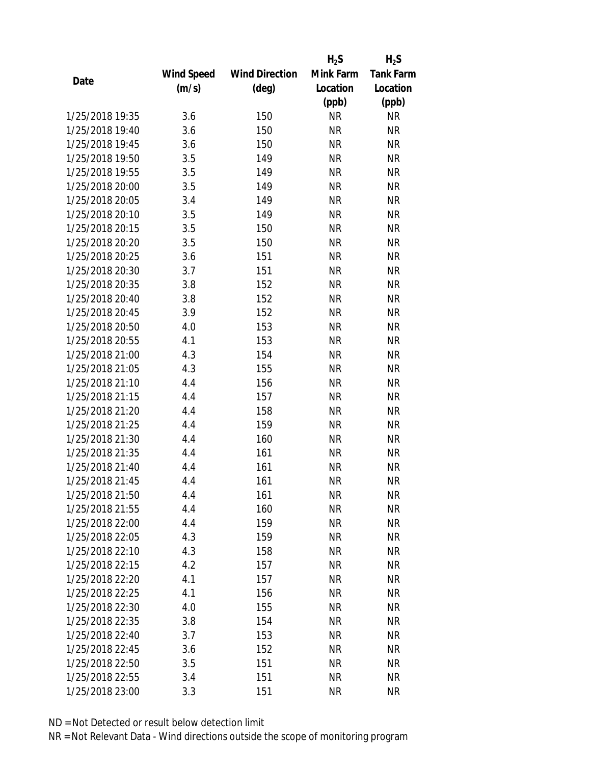|                 |            |                       | $H_2S$    | $H_2S$           |
|-----------------|------------|-----------------------|-----------|------------------|
|                 | Wind Speed | <b>Wind Direction</b> | Mink Farm | <b>Tank Farm</b> |
| Date            | (m/s)      | $(\text{deg})$        | Location  | Location         |
|                 |            |                       | (ppb)     | (ppb)            |
| 1/25/2018 19:35 | 3.6        | 150                   | <b>NR</b> | <b>NR</b>        |
| 1/25/2018 19:40 | 3.6        | 150                   | <b>NR</b> | <b>NR</b>        |
| 1/25/2018 19:45 | 3.6        | 150                   | <b>NR</b> | <b>NR</b>        |
| 1/25/2018 19:50 | 3.5        | 149                   | <b>NR</b> | <b>NR</b>        |
| 1/25/2018 19:55 | 3.5        | 149                   | <b>NR</b> | <b>NR</b>        |
| 1/25/2018 20:00 | 3.5        | 149                   | <b>NR</b> | <b>NR</b>        |
| 1/25/2018 20:05 | 3.4        | 149                   | <b>NR</b> | <b>NR</b>        |
| 1/25/2018 20:10 | 3.5        | 149                   | <b>NR</b> | <b>NR</b>        |
| 1/25/2018 20:15 | 3.5        | 150                   | <b>NR</b> | <b>NR</b>        |
| 1/25/2018 20:20 | 3.5        | 150                   | <b>NR</b> | <b>NR</b>        |
| 1/25/2018 20:25 | 3.6        | 151                   | <b>NR</b> | <b>NR</b>        |
| 1/25/2018 20:30 | 3.7        | 151                   | <b>NR</b> | <b>NR</b>        |
| 1/25/2018 20:35 | 3.8        | 152                   | <b>NR</b> | <b>NR</b>        |
| 1/25/2018 20:40 | 3.8        | 152                   | <b>NR</b> | <b>NR</b>        |
| 1/25/2018 20:45 | 3.9        | 152                   | <b>NR</b> | <b>NR</b>        |
| 1/25/2018 20:50 | 4.0        | 153                   | <b>NR</b> | <b>NR</b>        |
| 1/25/2018 20:55 | 4.1        | 153                   | <b>NR</b> | <b>NR</b>        |
| 1/25/2018 21:00 | 4.3        | 154                   | <b>NR</b> | <b>NR</b>        |
| 1/25/2018 21:05 | 4.3        | 155                   | <b>NR</b> | <b>NR</b>        |
| 1/25/2018 21:10 | 4.4        | 156                   | <b>NR</b> | <b>NR</b>        |
| 1/25/2018 21:15 | 4.4        | 157                   | <b>NR</b> | <b>NR</b>        |
| 1/25/2018 21:20 | 4.4        | 158                   | <b>NR</b> | <b>NR</b>        |
| 1/25/2018 21:25 | 4.4        | 159                   | <b>NR</b> | <b>NR</b>        |
| 1/25/2018 21:30 | 4.4        | 160                   | <b>NR</b> | <b>NR</b>        |
| 1/25/2018 21:35 | 4.4        | 161                   | <b>NR</b> | <b>NR</b>        |
| 1/25/2018 21:40 | 4.4        | 161                   | <b>NR</b> | <b>NR</b>        |
| 1/25/2018 21:45 | 4.4        | 161                   | <b>NR</b> | <b>NR</b>        |
| 1/25/2018 21:50 | 4.4        | 161                   | ΝR        | <b>NR</b>        |
| 1/25/2018 21:55 | 4.4        | 160                   | <b>NR</b> | <b>NR</b>        |
| 1/25/2018 22:00 | 4.4        | 159                   | <b>NR</b> | <b>NR</b>        |
| 1/25/2018 22:05 | 4.3        | 159                   | <b>NR</b> | <b>NR</b>        |
| 1/25/2018 22:10 | 4.3        | 158                   | <b>NR</b> | <b>NR</b>        |
| 1/25/2018 22:15 | 4.2        | 157                   | ΝR        | <b>NR</b>        |
| 1/25/2018 22:20 | 4.1        | 157                   | <b>NR</b> | <b>NR</b>        |
| 1/25/2018 22:25 | 4.1        | 156                   | <b>NR</b> | <b>NR</b>        |
| 1/25/2018 22:30 | 4.0        | 155                   | <b>NR</b> | <b>NR</b>        |
| 1/25/2018 22:35 | 3.8        | 154                   | ΝR        | <b>NR</b>        |
| 1/25/2018 22:40 | 3.7        | 153                   | ΝR        | <b>NR</b>        |
| 1/25/2018 22:45 | 3.6        | 152                   | <b>NR</b> | <b>NR</b>        |
| 1/25/2018 22:50 | 3.5        | 151                   | NR        | <b>NR</b>        |
| 1/25/2018 22:55 | 3.4        | 151                   | <b>NR</b> | <b>NR</b>        |
| 1/25/2018 23:00 | 3.3        | 151                   | <b>NR</b> | <b>NR</b>        |
|                 |            |                       |           |                  |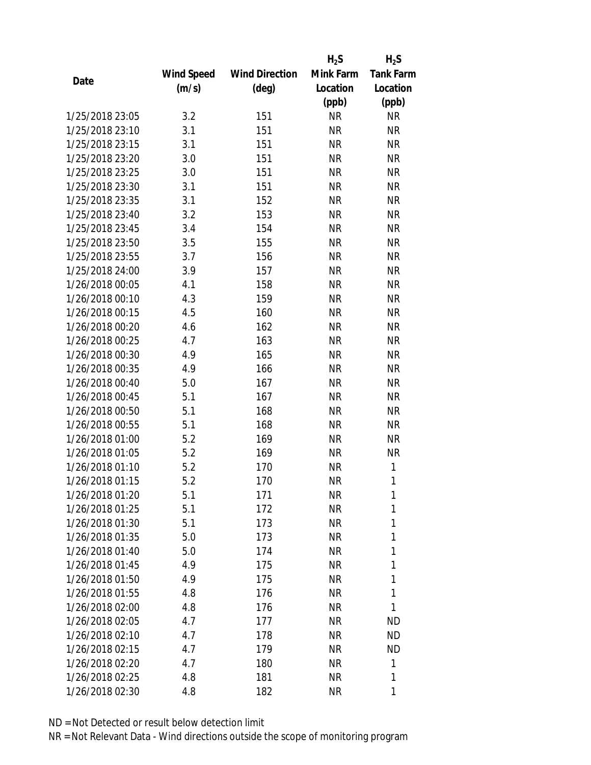|                 |            |                       | $H_2S$    | $H_2S$           |
|-----------------|------------|-----------------------|-----------|------------------|
|                 | Wind Speed | <b>Wind Direction</b> | Mink Farm | <b>Tank Farm</b> |
| Date            | (m/s)      | (deg)                 | Location  | Location         |
|                 |            |                       | (ppb)     | (ppb)            |
| 1/25/2018 23:05 | 3.2        | 151                   | <b>NR</b> | <b>NR</b>        |
| 1/25/2018 23:10 | 3.1        | 151                   | <b>NR</b> | <b>NR</b>        |
| 1/25/2018 23:15 | 3.1        | 151                   | <b>NR</b> | <b>NR</b>        |
| 1/25/2018 23:20 | 3.0        | 151                   | <b>NR</b> | <b>NR</b>        |
| 1/25/2018 23:25 | 3.0        | 151                   | <b>NR</b> | <b>NR</b>        |
| 1/25/2018 23:30 | 3.1        | 151                   | <b>NR</b> | <b>NR</b>        |
| 1/25/2018 23:35 | 3.1        | 152                   | <b>NR</b> | <b>NR</b>        |
| 1/25/2018 23:40 | 3.2        | 153                   | <b>NR</b> | <b>NR</b>        |
| 1/25/2018 23:45 | 3.4        | 154                   | <b>NR</b> | <b>NR</b>        |
| 1/25/2018 23:50 | 3.5        | 155                   | <b>NR</b> | <b>NR</b>        |
| 1/25/2018 23:55 | 3.7        | 156                   | <b>NR</b> | <b>NR</b>        |
| 1/25/2018 24:00 | 3.9        | 157                   | <b>NR</b> | <b>NR</b>        |
| 1/26/2018 00:05 | 4.1        | 158                   | <b>NR</b> | <b>NR</b>        |
| 1/26/2018 00:10 | 4.3        | 159                   | <b>NR</b> | <b>NR</b>        |
| 1/26/2018 00:15 | 4.5        | 160                   | <b>NR</b> | <b>NR</b>        |
| 1/26/2018 00:20 | 4.6        | 162                   | <b>NR</b> | <b>NR</b>        |
| 1/26/2018 00:25 | 4.7        | 163                   | <b>NR</b> | <b>NR</b>        |
| 1/26/2018 00:30 | 4.9        | 165                   | <b>NR</b> | <b>NR</b>        |
| 1/26/2018 00:35 | 4.9        | 166                   | <b>NR</b> | <b>NR</b>        |
| 1/26/2018 00:40 | 5.0        | 167                   | <b>NR</b> | <b>NR</b>        |
| 1/26/2018 00:45 | 5.1        | 167                   | <b>NR</b> | <b>NR</b>        |
| 1/26/2018 00:50 | 5.1        | 168                   | <b>NR</b> | <b>NR</b>        |
| 1/26/2018 00:55 | 5.1        | 168                   | <b>NR</b> | <b>NR</b>        |
| 1/26/2018 01:00 | 5.2        | 169                   | <b>NR</b> | <b>NR</b>        |
| 1/26/2018 01:05 | 5.2        | 169                   | <b>NR</b> | <b>NR</b>        |
| 1/26/2018 01:10 | 5.2        | 170                   | <b>NR</b> | 1                |
| 1/26/2018 01:15 | 5.2        | 170                   | <b>NR</b> | 1                |
| 1/26/2018 01:20 | 5.1        | 171                   | NR        | 1                |
| 1/26/2018 01:25 | 5.1        | 172                   | <b>NR</b> | 1                |
| 1/26/2018 01:30 | 5.1        | 173                   | NR        | 1                |
| 1/26/2018 01:35 | 5.0        | 173                   | <b>NR</b> | 1                |
| 1/26/2018 01:40 | 5.0        | 174                   | NR        | 1                |
| 1/26/2018 01:45 | 4.9        | 175                   | NR        | 1                |
| 1/26/2018 01:50 | 4.9        | 175                   | <b>NR</b> | 1                |
| 1/26/2018 01:55 | 4.8        | 176                   | NR        | 1                |
| 1/26/2018 02:00 | 4.8        | 176                   | <b>NR</b> | 1                |
| 1/26/2018 02:05 | 4.7        | 177                   | NR        | <b>ND</b>        |
| 1/26/2018 02:10 | 4.7        | 178                   | NR        | <b>ND</b>        |
| 1/26/2018 02:15 |            |                       |           |                  |
|                 | 4.7        | 179                   | NR        | <b>ND</b>        |
| 1/26/2018 02:20 | 4.7        | 180                   | NR        | 1                |
| 1/26/2018 02:25 | 4.8        | 181                   | <b>NR</b> | 1                |
| 1/26/2018 02:30 | 4.8        | 182                   | <b>NR</b> | 1                |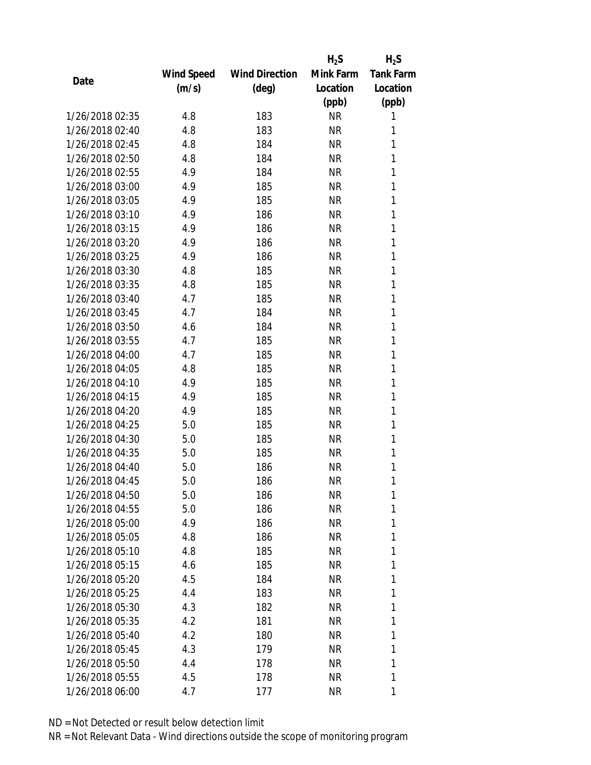|                 |            |                       | $H_2S$    | $H_2S$           |
|-----------------|------------|-----------------------|-----------|------------------|
|                 | Wind Speed | <b>Wind Direction</b> | Mink Farm | <b>Tank Farm</b> |
| Date            | (m/s)      | (deg)                 | Location  | Location         |
|                 |            |                       | (ppb)     | (ppb)            |
| 1/26/2018 02:35 | 4.8        | 183                   | <b>NR</b> | 1                |
| 1/26/2018 02:40 | 4.8        | 183                   | <b>NR</b> | 1                |
| 1/26/2018 02:45 | 4.8        | 184                   | <b>NR</b> | 1                |
| 1/26/2018 02:50 | 4.8        | 184                   | <b>NR</b> | 1                |
| 1/26/2018 02:55 | 4.9        | 184                   | <b>NR</b> | 1                |
| 1/26/2018 03:00 | 4.9        | 185                   | <b>NR</b> | 1                |
| 1/26/2018 03:05 | 4.9        | 185                   | <b>NR</b> | 1                |
| 1/26/2018 03:10 | 4.9        | 186                   | <b>NR</b> | 1                |
| 1/26/2018 03:15 | 4.9        | 186                   | <b>NR</b> | 1                |
| 1/26/2018 03:20 | 4.9        | 186                   | <b>NR</b> | 1                |
| 1/26/2018 03:25 | 4.9        | 186                   | NR        | 1                |
| 1/26/2018 03:30 | 4.8        | 185                   | <b>NR</b> | 1                |
| 1/26/2018 03:35 | 4.8        | 185                   | <b>NR</b> | 1                |
| 1/26/2018 03:40 | 4.7        | 185                   | <b>NR</b> | 1                |
| 1/26/2018 03:45 | 4.7        | 184                   | <b>NR</b> | 1                |
| 1/26/2018 03:50 | 4.6        | 184                   | <b>NR</b> | 1                |
| 1/26/2018 03:55 | 4.7        | 185                   | <b>NR</b> | 1                |
| 1/26/2018 04:00 | 4.7        | 185                   | <b>NR</b> | 1                |
| 1/26/2018 04:05 | 4.8        | 185                   | <b>NR</b> | 1                |
| 1/26/2018 04:10 | 4.9        | 185                   | <b>NR</b> | 1                |
| 1/26/2018 04:15 | 4.9        | 185                   | <b>NR</b> | 1                |
| 1/26/2018 04:20 | 4.9        | 185                   | <b>NR</b> | 1                |
| 1/26/2018 04:25 | 5.0        | 185                   | <b>NR</b> | 1                |
| 1/26/2018 04:30 | 5.0        | 185                   | <b>NR</b> | 1                |
| 1/26/2018 04:35 | 5.0        | 185                   | <b>NR</b> | 1                |
| 1/26/2018 04:40 | 5.0        | 186                   | <b>NR</b> | 1                |
| 1/26/2018 04:45 | 5.0        | 186                   | <b>NR</b> | 1                |
| 1/26/2018 04:50 | 5.0        | 186                   | NR        | 1                |
| 1/26/2018 04:55 | 5.0        | 186                   | <b>NR</b> | 1                |
| 1/26/2018 05:00 | 4.9        | 186                   | NR        | 1                |
| 1/26/2018 05:05 | 4.8        | 186                   | NR        | 1                |
| 1/26/2018 05:10 | 4.8        | 185                   | NR        | 1                |
| 1/26/2018 05:15 | 4.6        | 185                   | NR        | 1                |
| 1/26/2018 05:20 | 4.5        | 184                   | <b>NR</b> | 1                |
| 1/26/2018 05:25 | 4.4        | 183                   | NR        | 1                |
| 1/26/2018 05:30 | 4.3        | 182                   | <b>NR</b> | 1                |
| 1/26/2018 05:35 | 4.2        | 181                   | NR        | 1                |
| 1/26/2018 05:40 | 4.2        | 180                   | NR        | 1                |
| 1/26/2018 05:45 | 4.3        | 179                   | NR        | 1                |
| 1/26/2018 05:50 | 4.4        | 178                   | NR        | 1                |
| 1/26/2018 05:55 | 4.5        | 178                   | <b>NR</b> | 1                |
| 1/26/2018 06:00 | 4.7        | 177                   | ΝR        | 1                |
|                 |            |                       |           |                  |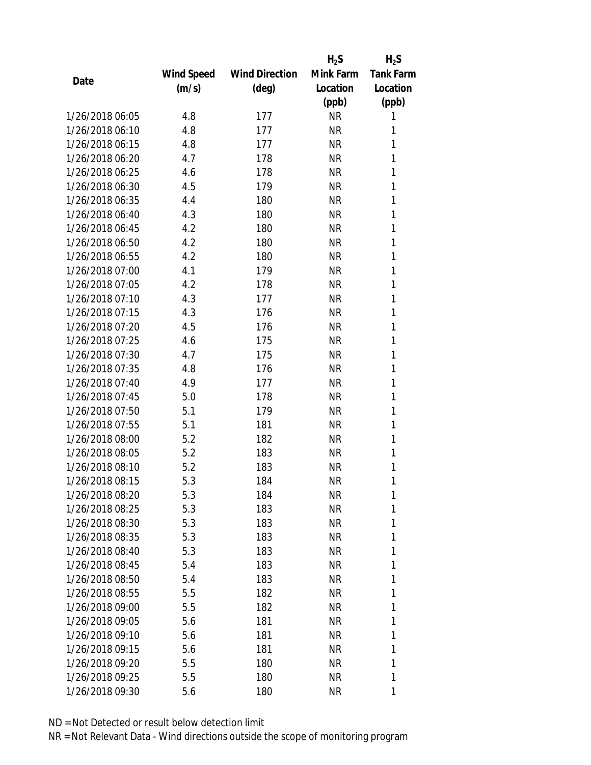|                 |            |                       | $H_2S$    | $H_2S$           |
|-----------------|------------|-----------------------|-----------|------------------|
|                 | Wind Speed | <b>Wind Direction</b> | Mink Farm | <b>Tank Farm</b> |
| Date            | (m/s)      | (deg)                 | Location  | Location         |
|                 |            |                       | (ppb)     | (ppb)            |
| 1/26/2018 06:05 | 4.8        | 177                   | <b>NR</b> | 1                |
| 1/26/2018 06:10 | 4.8        | 177                   | <b>NR</b> | 1                |
| 1/26/2018 06:15 | 4.8        | 177                   | <b>NR</b> | 1                |
| 1/26/2018 06:20 | 4.7        | 178                   | <b>NR</b> | 1                |
| 1/26/2018 06:25 | 4.6        | 178                   | <b>NR</b> | 1                |
| 1/26/2018 06:30 | 4.5        | 179                   | <b>NR</b> | 1                |
| 1/26/2018 06:35 | 4.4        | 180                   | <b>NR</b> | 1                |
| 1/26/2018 06:40 | 4.3        | 180                   | <b>NR</b> | 1                |
| 1/26/2018 06:45 | 4.2        | 180                   | <b>NR</b> | 1                |
| 1/26/2018 06:50 | 4.2        | 180                   | <b>NR</b> | 1                |
| 1/26/2018 06:55 | 4.2        | 180                   | <b>NR</b> | 1                |
| 1/26/2018 07:00 | 4.1        | 179                   | <b>NR</b> | 1                |
| 1/26/2018 07:05 | 4.2        | 178                   | <b>NR</b> | 1                |
| 1/26/2018 07:10 | 4.3        | 177                   | <b>NR</b> | 1                |
| 1/26/2018 07:15 | 4.3        | 176                   | <b>NR</b> | 1                |
| 1/26/2018 07:20 | 4.5        | 176                   | <b>NR</b> | 1                |
| 1/26/2018 07:25 | 4.6        | 175                   | <b>NR</b> | 1                |
| 1/26/2018 07:30 | 4.7        | 175                   | <b>NR</b> | 1                |
| 1/26/2018 07:35 | 4.8        | 176                   | <b>NR</b> | 1                |
| 1/26/2018 07:40 | 4.9        | 177                   | <b>NR</b> | 1                |
| 1/26/2018 07:45 | 5.0        | 178                   | <b>NR</b> | 1                |
| 1/26/2018 07:50 | 5.1        | 179                   | <b>NR</b> | 1                |
| 1/26/2018 07:55 | 5.1        | 181                   | <b>NR</b> | 1                |
| 1/26/2018 08:00 | 5.2        | 182                   | <b>NR</b> | 1                |
| 1/26/2018 08:05 | 5.2        | 183                   | <b>NR</b> | 1                |
| 1/26/2018 08:10 | 5.2        | 183                   | <b>NR</b> | 1                |
| 1/26/2018 08:15 | 5.3        | 184                   | <b>NR</b> | 1                |
| 1/26/2018 08:20 | 5.3        | 184                   | NR        | 1                |
| 1/26/2018 08:25 | 5.3        | 183                   | <b>NR</b> | 1                |
| 1/26/2018 08:30 | 5.3        | 183                   | NR        | 1                |
| 1/26/2018 08:35 | 5.3        | 183                   | NR        | 1                |
| 1/26/2018 08:40 | 5.3        | 183                   | <b>NR</b> | 1                |
| 1/26/2018 08:45 | 5.4        | 183                   | NR        | 1                |
| 1/26/2018 08:50 | 5.4        | 183                   | <b>NR</b> | 1                |
| 1/26/2018 08:55 | 5.5        | 182                   | NR        | 1                |
| 1/26/2018 09:00 | 5.5        | 182                   | <b>NR</b> | 1                |
| 1/26/2018 09:05 | 5.6        | 181                   | NR        | 1                |
| 1/26/2018 09:10 | 5.6        | 181                   | NR        | 1                |
| 1/26/2018 09:15 | 5.6        | 181                   | <b>NR</b> | 1                |
| 1/26/2018 09:20 | 5.5        | 180                   | NR        | 1                |
| 1/26/2018 09:25 | 5.5        | 180                   | <b>NR</b> | 1                |
| 1/26/2018 09:30 | 5.6        | 180                   | <b>NR</b> | 1                |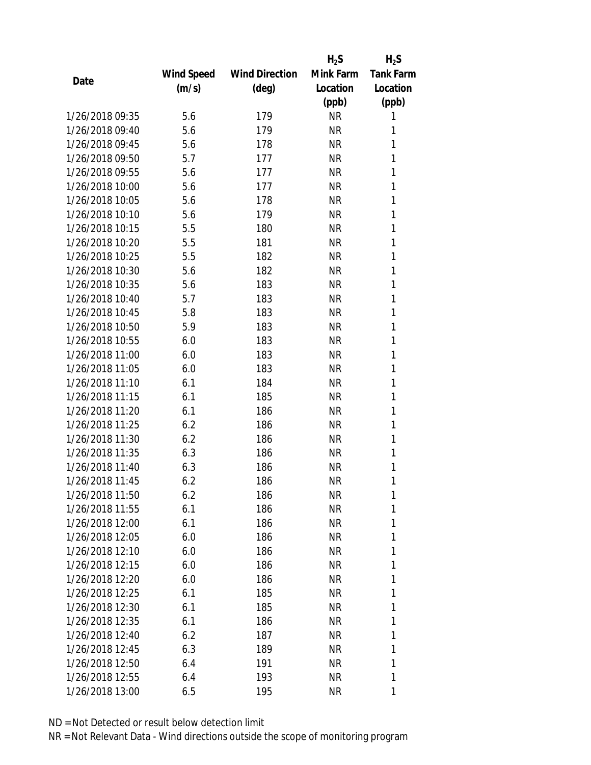|                 |            |                       | $H_2S$    | $H_2S$           |
|-----------------|------------|-----------------------|-----------|------------------|
|                 | Wind Speed | <b>Wind Direction</b> | Mink Farm | <b>Tank Farm</b> |
| Date            | (m/s)      | (deg)                 | Location  | Location         |
|                 |            |                       | (ppb)     | (ppb)            |
| 1/26/2018 09:35 | 5.6        | 179                   | <b>NR</b> | 1                |
| 1/26/2018 09:40 | 5.6        | 179                   | <b>NR</b> | 1                |
| 1/26/2018 09:45 | 5.6        | 178                   | <b>NR</b> | 1                |
| 1/26/2018 09:50 | 5.7        | 177                   | <b>NR</b> | 1                |
| 1/26/2018 09:55 | 5.6        | 177                   | <b>NR</b> | 1                |
| 1/26/2018 10:00 | 5.6        | 177                   | <b>NR</b> | 1                |
| 1/26/2018 10:05 | 5.6        | 178                   | <b>NR</b> | 1                |
| 1/26/2018 10:10 | 5.6        | 179                   | <b>NR</b> | 1                |
| 1/26/2018 10:15 | 5.5        | 180                   | <b>NR</b> | 1                |
| 1/26/2018 10:20 | 5.5        | 181                   | <b>NR</b> | 1                |
| 1/26/2018 10:25 | 5.5        | 182                   | NR        | 1                |
| 1/26/2018 10:30 | 5.6        | 182                   | <b>NR</b> | 1                |
| 1/26/2018 10:35 | 5.6        | 183                   | <b>NR</b> | 1                |
| 1/26/2018 10:40 | 5.7        | 183                   | <b>NR</b> | 1                |
| 1/26/2018 10:45 | 5.8        | 183                   | <b>NR</b> | 1                |
| 1/26/2018 10:50 | 5.9        | 183                   | <b>NR</b> | 1                |
| 1/26/2018 10:55 | 6.0        | 183                   | <b>NR</b> | 1                |
| 1/26/2018 11:00 | 6.0        | 183                   | <b>NR</b> | 1                |
| 1/26/2018 11:05 | 6.0        | 183                   | <b>NR</b> | 1                |
| 1/26/2018 11:10 | 6.1        | 184                   | <b>NR</b> | 1                |
| 1/26/2018 11:15 | 6.1        | 185                   | <b>NR</b> | 1                |
| 1/26/2018 11:20 | 6.1        | 186                   | <b>NR</b> | 1                |
| 1/26/2018 11:25 | 6.2        | 186                   | NR        | 1                |
| 1/26/2018 11:30 | 6.2        | 186                   | <b>NR</b> | 1                |
| 1/26/2018 11:35 | 6.3        | 186                   | NR        | 1                |
| 1/26/2018 11:40 | 6.3        | 186                   | <b>NR</b> | 1                |
| 1/26/2018 11:45 | 6.2        | 186                   | <b>NR</b> | 1                |
| 1/26/2018 11:50 | 6.2        | 186                   | ΝR        | 1                |
| 1/26/2018 11:55 | 6.1        | 186                   | <b>NR</b> | 1                |
| 1/26/2018 12:00 | 6.1        | 186                   | NR        | 1                |
| 1/26/2018 12:05 | 6.0        | 186                   | ΝR        | 1                |
| 1/26/2018 12:10 | 6.0        | 186                   | NR        | 1                |
| 1/26/2018 12:15 | 6.0        | 186                   | NR        | 1                |
| 1/26/2018 12:20 | 6.0        | 186                   | NR        | 1                |
| 1/26/2018 12:25 | 6.1        | 185                   | NR        | 1                |
| 1/26/2018 12:30 | 6.1        | 185                   | NR        | 1                |
| 1/26/2018 12:35 | 6.1        | 186                   | NR        | 1                |
| 1/26/2018 12:40 | 6.2        | 187                   | NR        | 1                |
| 1/26/2018 12:45 | 6.3        | 189                   | NR        | 1                |
| 1/26/2018 12:50 | 6.4        | 191                   | ΝR        | 1                |
| 1/26/2018 12:55 | 6.4        | 193                   | <b>NR</b> | 1                |
| 1/26/2018 13:00 | 6.5        | 195                   | NR        | 1                |
|                 |            |                       |           |                  |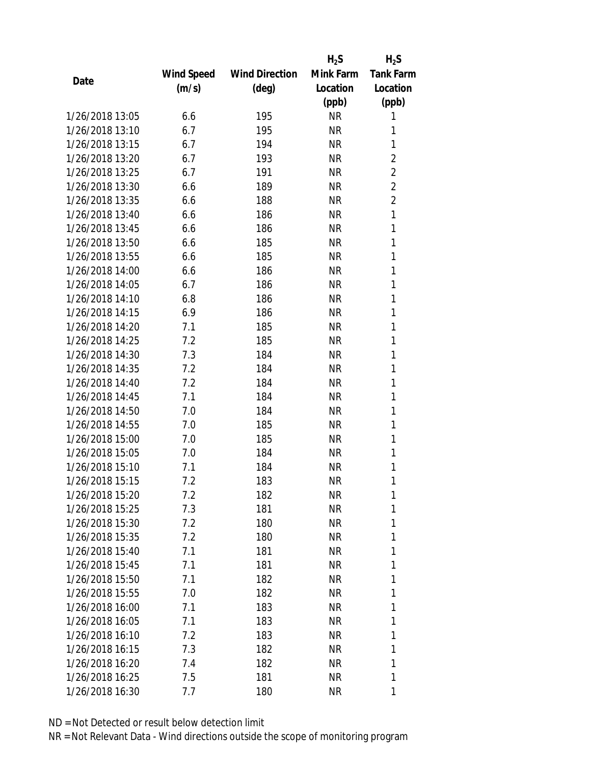|                 |            |                       | $H_2S$    | $H_2S$           |
|-----------------|------------|-----------------------|-----------|------------------|
|                 | Wind Speed | <b>Wind Direction</b> | Mink Farm | <b>Tank Farm</b> |
| Date            | (m/s)      | $(\text{deg})$        | Location  | Location         |
|                 |            |                       | (ppb)     | (ppb)            |
| 1/26/2018 13:05 | 6.6        | 195                   | <b>NR</b> | 1                |
| 1/26/2018 13:10 | 6.7        | 195                   | <b>NR</b> | 1                |
| 1/26/2018 13:15 | 6.7        | 194                   | <b>NR</b> | 1                |
| 1/26/2018 13:20 | 6.7        | 193                   | <b>NR</b> | $\overline{2}$   |
| 1/26/2018 13:25 | 6.7        | 191                   | <b>NR</b> | $\overline{2}$   |
| 1/26/2018 13:30 | 6.6        | 189                   | <b>NR</b> | $\overline{2}$   |
| 1/26/2018 13:35 | 6.6        | 188                   | <b>NR</b> | $\overline{2}$   |
| 1/26/2018 13:40 | 6.6        | 186                   | <b>NR</b> | 1                |
| 1/26/2018 13:45 | 6.6        | 186                   | <b>NR</b> | 1                |
| 1/26/2018 13:50 | 6.6        | 185                   | <b>NR</b> | 1                |
| 1/26/2018 13:55 | 6.6        | 185                   | NR        | 1                |
| 1/26/2018 14:00 | 6.6        | 186                   | <b>NR</b> | 1                |
| 1/26/2018 14:05 | 6.7        | 186                   | <b>NR</b> | 1                |
| 1/26/2018 14:10 | 6.8        | 186                   | <b>NR</b> | 1                |
| 1/26/2018 14:15 | 6.9        | 186                   | <b>NR</b> | 1                |
| 1/26/2018 14:20 | 7.1        | 185                   | <b>NR</b> | 1                |
| 1/26/2018 14:25 | 7.2        | 185                   | <b>NR</b> | 1                |
| 1/26/2018 14:30 | 7.3        | 184                   | <b>NR</b> | 1                |
| 1/26/2018 14:35 | 7.2        | 184                   | <b>NR</b> | 1                |
| 1/26/2018 14:40 | 7.2        | 184                   | <b>NR</b> | 1                |
| 1/26/2018 14:45 | 7.1        | 184                   | <b>NR</b> | 1                |
| 1/26/2018 14:50 | 7.0        | 184                   | <b>NR</b> | 1                |
| 1/26/2018 14:55 | 7.0        | 185                   | <b>NR</b> | 1                |
| 1/26/2018 15:00 | 7.0        | 185                   | <b>NR</b> | 1                |
| 1/26/2018 15:05 | 7.0        | 184                   | NR        | 1                |
| 1/26/2018 15:10 | 7.1        | 184                   | <b>NR</b> | 1                |
| 1/26/2018 15:15 | 7.2        | 183                   | <b>NR</b> | 1                |
| 1/26/2018 15:20 | 7.2        | 182                   | ΝR        | 1                |
| 1/26/2018 15:25 | 7.3        | 181                   | <b>NR</b> | 1                |
| 1/26/2018 15:30 | 7.2        | 180                   | NR        | 1                |
| 1/26/2018 15:35 | 7.2        | 180                   | NR        | 1                |
| 1/26/2018 15:40 | 7.1        | 181                   | ΝR        | 1                |
| 1/26/2018 15:45 | 7.1        | 181                   | NR        | 1                |
| 1/26/2018 15:50 | 7.1        | 182                   | <b>NR</b> | 1                |
| 1/26/2018 15:55 | 7.0        | 182                   | NR        | 1                |
| 1/26/2018 16:00 | 7.1        | 183                   | <b>NR</b> | 1                |
| 1/26/2018 16:05 | 7.1        | 183                   | NR        | 1                |
| 1/26/2018 16:10 | 7.2        | 183                   | NR        | 1                |
| 1/26/2018 16:15 | 7.3        | 182                   | NR        | 1                |
| 1/26/2018 16:20 | 7.4        | 182                   | NR        | 1                |
| 1/26/2018 16:25 | 7.5        | 181                   | <b>NR</b> | 1                |
| 1/26/2018 16:30 | 7.7        | 180                   | ΝR        | 1                |
|                 |            |                       |           |                  |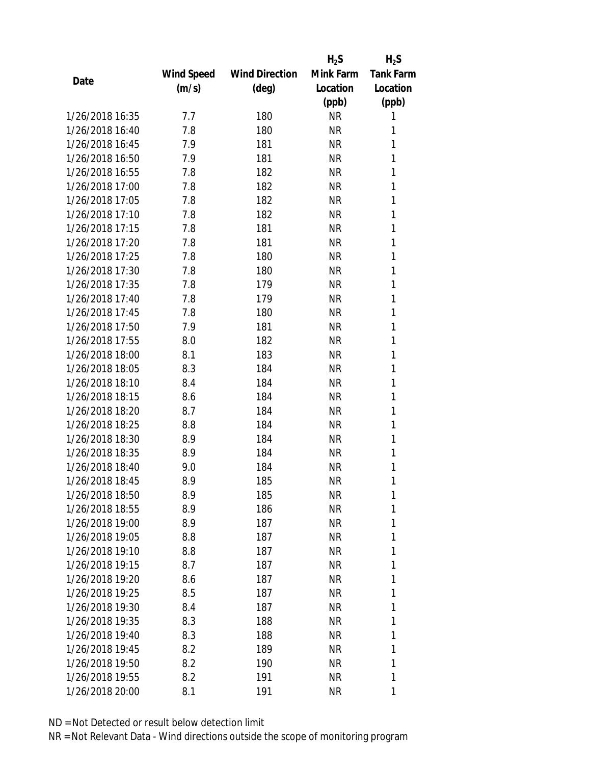|                 |            |                       | $H_2S$    | $H_2S$           |
|-----------------|------------|-----------------------|-----------|------------------|
|                 | Wind Speed | <b>Wind Direction</b> | Mink Farm | <b>Tank Farm</b> |
| Date            | (m/s)      | (deg)                 | Location  | Location         |
|                 |            |                       | (ppb)     | (ppb)            |
| 1/26/2018 16:35 | 7.7        | 180                   | <b>NR</b> | 1                |
| 1/26/2018 16:40 | 7.8        | 180                   | <b>NR</b> | 1                |
| 1/26/2018 16:45 | 7.9        | 181                   | <b>NR</b> | 1                |
| 1/26/2018 16:50 | 7.9        | 181                   | <b>NR</b> | 1                |
| 1/26/2018 16:55 | 7.8        | 182                   | <b>NR</b> | 1                |
| 1/26/2018 17:00 | 7.8        | 182                   | <b>NR</b> | 1                |
| 1/26/2018 17:05 | 7.8        | 182                   | <b>NR</b> | 1                |
| 1/26/2018 17:10 | 7.8        | 182                   | <b>NR</b> | 1                |
| 1/26/2018 17:15 | 7.8        | 181                   | <b>NR</b> | 1                |
| 1/26/2018 17:20 | 7.8        | 181                   | <b>NR</b> | 1                |
| 1/26/2018 17:25 | 7.8        | 180                   | NR        | 1                |
| 1/26/2018 17:30 | 7.8        | 180                   | <b>NR</b> | 1                |
| 1/26/2018 17:35 | 7.8        | 179                   | <b>NR</b> | 1                |
| 1/26/2018 17:40 | 7.8        | 179                   | <b>NR</b> | 1                |
| 1/26/2018 17:45 | 7.8        | 180                   | <b>NR</b> | 1                |
| 1/26/2018 17:50 | 7.9        | 181                   | <b>NR</b> | 1                |
| 1/26/2018 17:55 | 8.0        | 182                   | <b>NR</b> | 1                |
| 1/26/2018 18:00 | 8.1        | 183                   | <b>NR</b> | 1                |
| 1/26/2018 18:05 | 8.3        | 184                   | <b>NR</b> | 1                |
| 1/26/2018 18:10 | 8.4        | 184                   | <b>NR</b> | 1                |
| 1/26/2018 18:15 | 8.6        | 184                   | <b>NR</b> | 1                |
| 1/26/2018 18:20 | 8.7        | 184                   | <b>NR</b> | 1                |
| 1/26/2018 18:25 | 8.8        | 184                   | <b>NR</b> | 1                |
| 1/26/2018 18:30 | 8.9        | 184                   | <b>NR</b> | 1                |
| 1/26/2018 18:35 | 8.9        | 184                   | NR        | 1                |
| 1/26/2018 18:40 | 9.0        | 184                   | <b>NR</b> | 1                |
| 1/26/2018 18:45 | 8.9        | 185                   | <b>NR</b> | 1                |
| 1/26/2018 18:50 | 8.9        | 185                   | ΝR        | 1                |
| 1/26/2018 18:55 | 8.9        | 186                   | <b>NR</b> | 1                |
| 1/26/2018 19:00 | 8.9        | 187                   | NR        | 1                |
| 1/26/2018 19:05 | 8.8        | 187                   | <b>NR</b> | 1                |
| 1/26/2018 19:10 | 8.8        | 187                   | ΝR        | 1                |
| 1/26/2018 19:15 | 8.7        | 187                   | NR        | 1                |
| 1/26/2018 19:20 | 8.6        | 187                   | <b>NR</b> | 1                |
| 1/26/2018 19:25 | 8.5        | 187                   | NR        | 1                |
| 1/26/2018 19:30 | 8.4        | 187                   | <b>NR</b> | 1                |
| 1/26/2018 19:35 | 8.3        | 188                   | NR        | 1                |
| 1/26/2018 19:40 | 8.3        | 188                   | NR        | 1                |
| 1/26/2018 19:45 | 8.2        | 189                   | NR        | 1                |
| 1/26/2018 19:50 | 8.2        | 190                   | ΝR        | 1                |
| 1/26/2018 19:55 | 8.2        | 191                   | <b>NR</b> | 1                |
| 1/26/2018 20:00 | 8.1        | 191                   | <b>NR</b> | 1                |
|                 |            |                       |           |                  |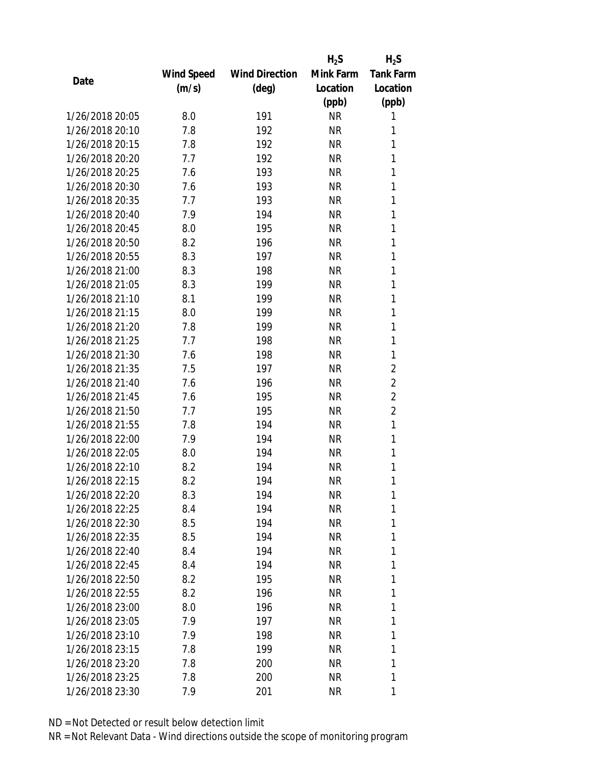|                 |            |                       | $H_2S$    | $H_2S$           |
|-----------------|------------|-----------------------|-----------|------------------|
|                 | Wind Speed | <b>Wind Direction</b> | Mink Farm | <b>Tank Farm</b> |
| Date            | (m/s)      | $(\text{deg})$        | Location  | Location         |
|                 |            |                       | (ppb)     | (ppb)            |
| 1/26/2018 20:05 | 8.0        | 191                   | <b>NR</b> | 1                |
| 1/26/2018 20:10 | 7.8        | 192                   | <b>NR</b> | 1                |
| 1/26/2018 20:15 | 7.8        | 192                   | <b>NR</b> | 1                |
| 1/26/2018 20:20 | 7.7        | 192                   | <b>NR</b> | 1                |
| 1/26/2018 20:25 | 7.6        | 193                   | <b>NR</b> | 1                |
| 1/26/2018 20:30 | 7.6        | 193                   | <b>NR</b> | 1                |
| 1/26/2018 20:35 | 7.7        | 193                   | <b>NR</b> | 1                |
| 1/26/2018 20:40 | 7.9        | 194                   | <b>NR</b> | 1                |
| 1/26/2018 20:45 | 8.0        | 195                   | <b>NR</b> | 1                |
| 1/26/2018 20:50 | 8.2        | 196                   | <b>NR</b> | 1                |
| 1/26/2018 20:55 | 8.3        | 197                   | NR        | 1                |
| 1/26/2018 21:00 | 8.3        | 198                   | <b>NR</b> | 1                |
| 1/26/2018 21:05 | 8.3        | 199                   | <b>NR</b> | 1                |
| 1/26/2018 21:10 | 8.1        | 199                   | <b>NR</b> | 1                |
| 1/26/2018 21:15 | 8.0        | 199                   | <b>NR</b> | 1                |
| 1/26/2018 21:20 | 7.8        | 199                   | <b>NR</b> | 1                |
| 1/26/2018 21:25 | 7.7        | 198                   | <b>NR</b> | 1                |
| 1/26/2018 21:30 | 7.6        | 198                   | <b>NR</b> | 1                |
| 1/26/2018 21:35 | 7.5        | 197                   | <b>NR</b> | $\overline{2}$   |
| 1/26/2018 21:40 | 7.6        | 196                   | <b>NR</b> | $\overline{2}$   |
| 1/26/2018 21:45 | 7.6        | 195                   | <b>NR</b> | $\overline{2}$   |
| 1/26/2018 21:50 | 7.7        | 195                   | <b>NR</b> | $\overline{2}$   |
| 1/26/2018 21:55 | 7.8        | 194                   | <b>NR</b> | 1                |
| 1/26/2018 22:00 | 7.9        | 194                   | <b>NR</b> | 1                |
| 1/26/2018 22:05 | 8.0        | 194                   | NR        | 1                |
| 1/26/2018 22:10 | 8.2        | 194                   | <b>NR</b> | 1                |
| 1/26/2018 22:15 | 8.2        | 194                   | <b>NR</b> | 1                |
| 1/26/2018 22:20 | 8.3        | 194                   | ΝR        | 1                |
| 1/26/2018 22:25 | 8.4        | 194                   | <b>NR</b> | 1                |
| 1/26/2018 22:30 | 8.5        | 194                   | NR        | 1                |
| 1/26/2018 22:35 | 8.5        | 194                   | NR        | 1                |
| 1/26/2018 22:40 | 8.4        | 194                   | ΝR        | 1                |
| 1/26/2018 22:45 | 8.4        | 194                   | NR        | 1                |
| 1/26/2018 22:50 | 8.2        | 195                   | <b>NR</b> | 1                |
| 1/26/2018 22:55 | 8.2        | 196                   | NR        | 1                |
| 1/26/2018 23:00 | 8.0        | 196                   | NR        | 1                |
| 1/26/2018 23:05 | 7.9        | 197                   | NR        | 1                |
| 1/26/2018 23:10 | 7.9        | 198                   | NR        | 1                |
| 1/26/2018 23:15 | 7.8        | 199                   | NR        | 1                |
| 1/26/2018 23:20 | 7.8        |                       | NR        | 1                |
|                 |            | 200                   |           |                  |
| 1/26/2018 23:25 | 7.8        | 200                   | <b>NR</b> | 1                |
| 1/26/2018 23:30 | 7.9        | 201                   | ΝR        | 1                |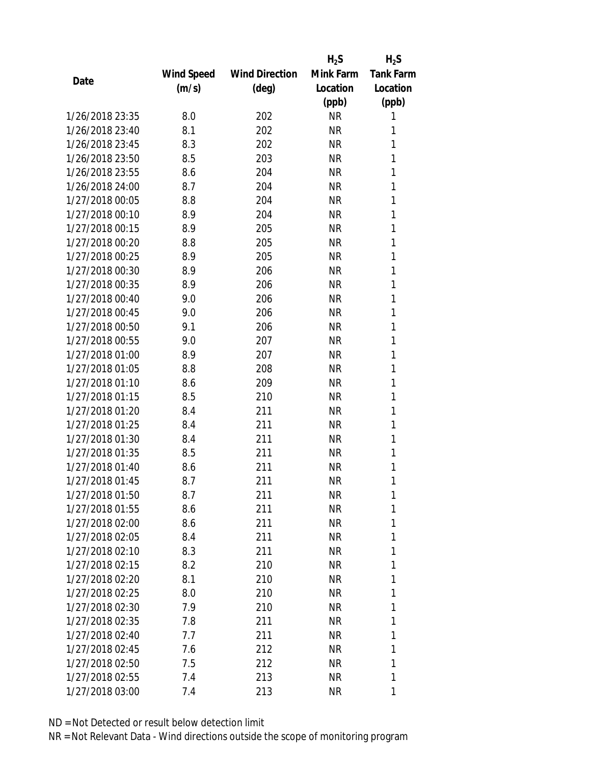|                 |            |                       | $H_2S$    | $H_2S$           |
|-----------------|------------|-----------------------|-----------|------------------|
|                 | Wind Speed | <b>Wind Direction</b> | Mink Farm | <b>Tank Farm</b> |
| Date            | (m/s)      | $(\text{deg})$        | Location  | Location         |
|                 |            |                       | (ppb)     | (ppb)            |
| 1/26/2018 23:35 | 8.0        | 202                   | <b>NR</b> | 1                |
| 1/26/2018 23:40 | 8.1        | 202                   | <b>NR</b> | 1                |
| 1/26/2018 23:45 | 8.3        | 202                   | <b>NR</b> | 1                |
| 1/26/2018 23:50 | 8.5        | 203                   | <b>NR</b> | 1                |
| 1/26/2018 23:55 | 8.6        | 204                   | <b>NR</b> | 1                |
| 1/26/2018 24:00 | 8.7        | 204                   | <b>NR</b> | 1                |
| 1/27/2018 00:05 | 8.8        | 204                   | NR        | 1                |
| 1/27/2018 00:10 | 8.9        | 204                   | <b>NR</b> | 1                |
| 1/27/2018 00:15 | 8.9        | 205                   | <b>NR</b> | 1                |
| 1/27/2018 00:20 | 8.8        | 205                   | <b>NR</b> | 1                |
| 1/27/2018 00:25 | 8.9        | 205                   | <b>NR</b> | 1                |
| 1/27/2018 00:30 | 8.9        | 206                   | <b>NR</b> | 1                |
| 1/27/2018 00:35 | 8.9        | 206                   | <b>NR</b> | 1                |
| 1/27/2018 00:40 | 9.0        | 206                   | <b>NR</b> | 1                |
| 1/27/2018 00:45 | 9.0        | 206                   | <b>NR</b> | 1                |
| 1/27/2018 00:50 | 9.1        | 206                   | <b>NR</b> | 1                |
| 1/27/2018 00:55 | 9.0        | 207                   | <b>NR</b> | 1                |
| 1/27/2018 01:00 | 8.9        | 207                   | <b>NR</b> | 1                |
| 1/27/2018 01:05 | 8.8        | 208                   | <b>NR</b> | 1                |
| 1/27/2018 01:10 | 8.6        | 209                   | <b>NR</b> | 1                |
| 1/27/2018 01:15 | 8.5        | 210                   | <b>NR</b> | 1                |
| 1/27/2018 01:20 | 8.4        | 211                   | <b>NR</b> | 1                |
| 1/27/2018 01:25 | 8.4        | 211                   | <b>NR</b> | 1                |
| 1/27/2018 01:30 | 8.4        | 211                   | <b>NR</b> | 1                |
| 1/27/2018 01:35 | 8.5        | 211                   | NR        | 1                |
| 1/27/2018 01:40 | 8.6        | 211                   | ΝR        | 1                |
| 1/27/2018 01:45 | 8.7        | 211                   | <b>NR</b> | 1                |
| 1/27/2018 01:50 | 8.7        | 211                   | ΝR        | 1                |
| 1/27/2018 01:55 | 8.6        | 211                   | <b>NR</b> | 1                |
| 1/27/2018 02:00 | 8.6        | 211                   | NR        | 1                |
| 1/27/2018 02:05 | 8.4        | 211                   | NR        | 1                |
| 1/27/2018 02:10 | 8.3        | 211                   | ΝR        | 1                |
| 1/27/2018 02:15 | 8.2        | 210                   | NR        | 1                |
| 1/27/2018 02:20 | 8.1        | 210                   | <b>NR</b> | 1                |
| 1/27/2018 02:25 | 8.0        | 210                   | NR        | 1                |
| 1/27/2018 02:30 | 7.9        | 210                   | NR        | 1                |
| 1/27/2018 02:35 | 7.8        | 211                   | ΝR        | 1                |
| 1/27/2018 02:40 | 7.7        | 211                   | NR        | 1                |
| 1/27/2018 02:45 | 7.6        | 212                   | NR        | 1                |
| 1/27/2018 02:50 | 7.5        | 212                   | NR        | 1                |
| 1/27/2018 02:55 | 7.4        | 213                   | <b>NR</b> | 1                |
| 1/27/2018 03:00 | 7.4        | 213                   | <b>NR</b> | 1                |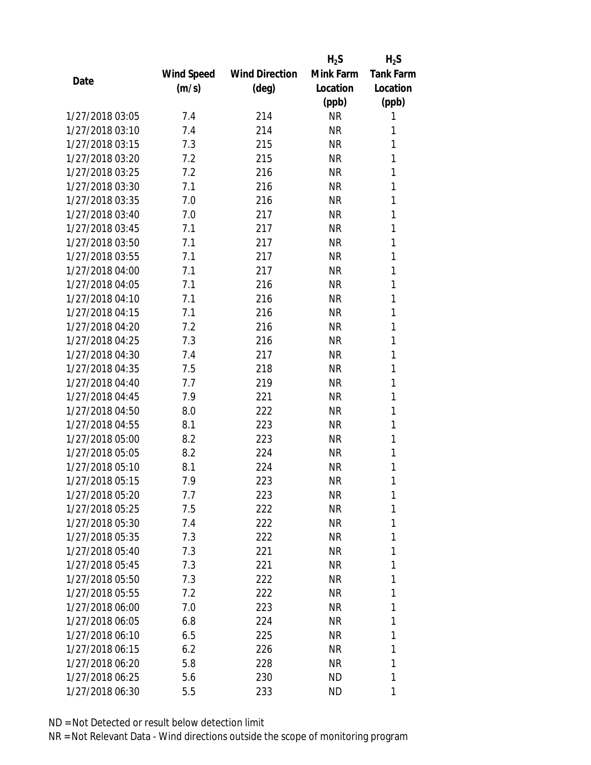|                 |            |                       | $H_2S$    | $H_2S$           |
|-----------------|------------|-----------------------|-----------|------------------|
|                 | Wind Speed | <b>Wind Direction</b> | Mink Farm | <b>Tank Farm</b> |
| Date            | (m/s)      | $(\text{deg})$        | Location  | Location         |
|                 |            |                       | (ppb)     | (ppb)            |
| 1/27/2018 03:05 | 7.4        | 214                   | <b>NR</b> | 1                |
| 1/27/2018 03:10 | 7.4        | 214                   | <b>NR</b> | 1                |
| 1/27/2018 03:15 | 7.3        | 215                   | <b>NR</b> | 1                |
| 1/27/2018 03:20 | 7.2        | 215                   | <b>NR</b> | 1                |
| 1/27/2018 03:25 | 7.2        | 216                   | <b>NR</b> | 1                |
| 1/27/2018 03:30 | 7.1        | 216                   | <b>NR</b> | 1                |
| 1/27/2018 03:35 | 7.0        | 216                   | <b>NR</b> | 1                |
| 1/27/2018 03:40 | 7.0        | 217                   | <b>NR</b> | 1                |
| 1/27/2018 03:45 | 7.1        | 217                   | <b>NR</b> | 1                |
| 1/27/2018 03:50 | 7.1        | 217                   | <b>NR</b> | 1                |
| 1/27/2018 03:55 | 7.1        | 217                   | NR        | 1                |
| 1/27/2018 04:00 | 7.1        | 217                   | <b>NR</b> | 1                |
| 1/27/2018 04:05 | 7.1        | 216                   | <b>NR</b> | 1                |
| 1/27/2018 04:10 | 7.1        | 216                   | <b>NR</b> | 1                |
| 1/27/2018 04:15 | 7.1        | 216                   | <b>NR</b> | 1                |
| 1/27/2018 04:20 | 7.2        | 216                   | <b>NR</b> | 1                |
| 1/27/2018 04:25 | 7.3        | 216                   | <b>NR</b> | 1                |
| 1/27/2018 04:30 | 7.4        | 217                   | <b>NR</b> | 1                |
| 1/27/2018 04:35 | 7.5        | 218                   | <b>NR</b> | 1                |
| 1/27/2018 04:40 | 7.7        | 219                   | <b>NR</b> | 1                |
| 1/27/2018 04:45 | 7.9        | 221                   | <b>NR</b> | 1                |
| 1/27/2018 04:50 | 8.0        | 222                   | <b>NR</b> | 1                |
| 1/27/2018 04:55 | 8.1        | 223                   | <b>NR</b> | 1                |
| 1/27/2018 05:00 | 8.2        | 223                   | <b>NR</b> | 1                |
| 1/27/2018 05:05 | 8.2        | 224                   | <b>NR</b> | 1                |
| 1/27/2018 05:10 | 8.1        | 224                   | <b>NR</b> | 1                |
| 1/27/2018 05:15 | 7.9        | 223                   | <b>NR</b> | 1                |
| 1/27/2018 05:20 | 7.7        | 223                   | NR        | 1                |
| 1/27/2018 05:25 | 7.5        | 222                   | <b>NR</b> | 1                |
| 1/27/2018 05:30 | 7.4        | 222                   | NR        | 1                |
| 1/27/2018 05:35 | 7.3        | 222                   | NR        | 1                |
| 1/27/2018 05:40 | 7.3        | 221                   | <b>NR</b> | 1                |
| 1/27/2018 05:45 | 7.3        | 221                   | NR        | 1                |
| 1/27/2018 05:50 | 7.3        | 222                   | <b>NR</b> | 1                |
| 1/27/2018 05:55 | 7.2        | 222                   | NR        | 1                |
| 1/27/2018 06:00 | 7.0        | 223                   | NR        | 1                |
| 1/27/2018 06:05 | 6.8        | 224                   | NR        | 1                |
| 1/27/2018 06:10 | 6.5        | 225                   | NR        | 1                |
| 1/27/2018 06:15 | 6.2        | 226                   | <b>NR</b> | 1                |
| 1/27/2018 06:20 | 5.8        | 228                   | NR        | 1                |
| 1/27/2018 06:25 | 5.6        | 230                   | ND        | 1                |
| 1/27/2018 06:30 | 5.5        | 233                   | ND        | 1                |
|                 |            |                       |           |                  |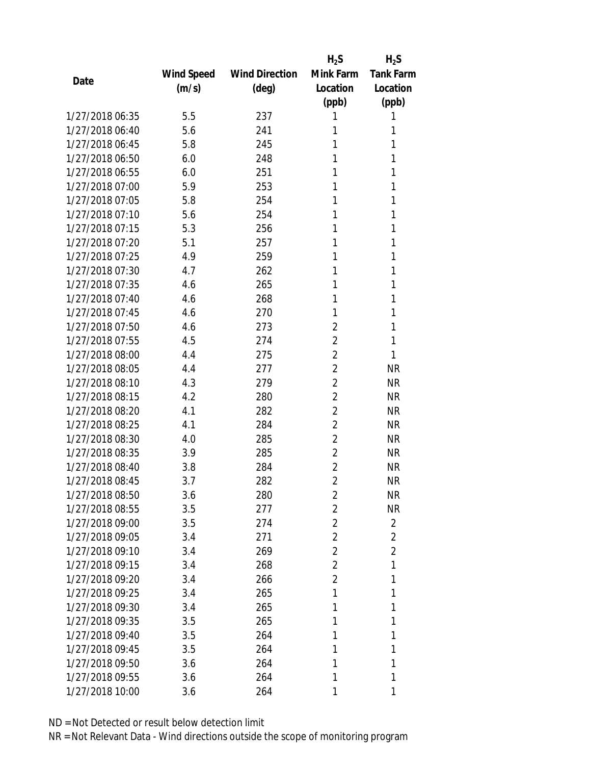|                 |            |                       | $H_2S$         | $H_2S$           |
|-----------------|------------|-----------------------|----------------|------------------|
|                 | Wind Speed | <b>Wind Direction</b> | Mink Farm      | <b>Tank Farm</b> |
| Date            | (m/s)      | $(\text{deg})$        | Location       | Location         |
|                 |            |                       | (ppb)          | (ppb)            |
| 1/27/2018 06:35 | 5.5        | 237                   | 1              | 1                |
| 1/27/2018 06:40 | 5.6        | 241                   | 1              | 1                |
| 1/27/2018 06:45 | 5.8        | 245                   | 1              | 1                |
| 1/27/2018 06:50 | 6.0        | 248                   | 1              | 1                |
| 1/27/2018 06:55 | 6.0        | 251                   | 1              | 1                |
| 1/27/2018 07:00 | 5.9        | 253                   | 1              | 1                |
| 1/27/2018 07:05 | 5.8        | 254                   | 1              | 1                |
| 1/27/2018 07:10 | 5.6        | 254                   | 1              | 1                |
| 1/27/2018 07:15 | 5.3        | 256                   | 1              | 1                |
| 1/27/2018 07:20 | 5.1        | 257                   | 1              | 1                |
| 1/27/2018 07:25 | 4.9        | 259                   | 1              | 1                |
| 1/27/2018 07:30 | 4.7        | 262                   | 1              | 1                |
| 1/27/2018 07:35 | 4.6        | 265                   | 1              | 1                |
| 1/27/2018 07:40 | 4.6        | 268                   | 1              | 1                |
| 1/27/2018 07:45 | 4.6        | 270                   | 1              | 1                |
| 1/27/2018 07:50 | 4.6        | 273                   | 2              | 1                |
| 1/27/2018 07:55 | 4.5        | 274                   | $\overline{2}$ | 1                |
| 1/27/2018 08:00 | 4.4        | 275                   | $\overline{2}$ | 1                |
| 1/27/2018 08:05 | 4.4        | 277                   | $\overline{2}$ | <b>NR</b>        |
| 1/27/2018 08:10 | 4.3        | 279                   | $\overline{2}$ | <b>NR</b>        |
| 1/27/2018 08:15 | 4.2        | 280                   | $\overline{2}$ | <b>NR</b>        |
| 1/27/2018 08:20 | 4.1        | 282                   | $\overline{2}$ | <b>NR</b>        |
| 1/27/2018 08:25 | 4.1        | 284                   | $\overline{2}$ | <b>NR</b>        |
| 1/27/2018 08:30 | 4.0        | 285                   | $\overline{2}$ | <b>NR</b>        |
| 1/27/2018 08:35 | 3.9        | 285                   | $\overline{2}$ | <b>NR</b>        |
| 1/27/2018 08:40 | 3.8        | 284                   | $\overline{2}$ | <b>NR</b>        |
| 1/27/2018 08:45 | 3.7        | 282                   | $\overline{2}$ | <b>NR</b>        |
| 1/27/2018 08:50 | 3.6        | 280                   | $\overline{2}$ | <b>NR</b>        |
| 1/27/2018 08:55 | 3.5        | 277                   | $\overline{2}$ | <b>NR</b>        |
| 1/27/2018 09:00 | 3.5        | 274                   | $\overline{c}$ | $\overline{2}$   |
| 1/27/2018 09:05 | 3.4        | 271                   | $\overline{2}$ | $\overline{2}$   |
| 1/27/2018 09:10 | 3.4        | 269                   | $\overline{2}$ | $\overline{2}$   |
| 1/27/2018 09:15 | 3.4        | 268                   | $\overline{2}$ | 1                |
| 1/27/2018 09:20 | 3.4        | 266                   | $\overline{2}$ | 1                |
| 1/27/2018 09:25 | 3.4        | 265                   | 1              | 1                |
| 1/27/2018 09:30 | 3.4        | 265                   | 1              | 1                |
| 1/27/2018 09:35 | 3.5        | 265                   | 1              | 1                |
| 1/27/2018 09:40 | 3.5        | 264                   | 1              | 1                |
| 1/27/2018 09:45 | 3.5        | 264                   | 1              | 1                |
| 1/27/2018 09:50 | 3.6        | 264                   | 1              | 1                |
| 1/27/2018 09:55 | 3.6        | 264                   | 1              | 1                |
| 1/27/2018 10:00 | 3.6        | 264                   | 1              | 1                |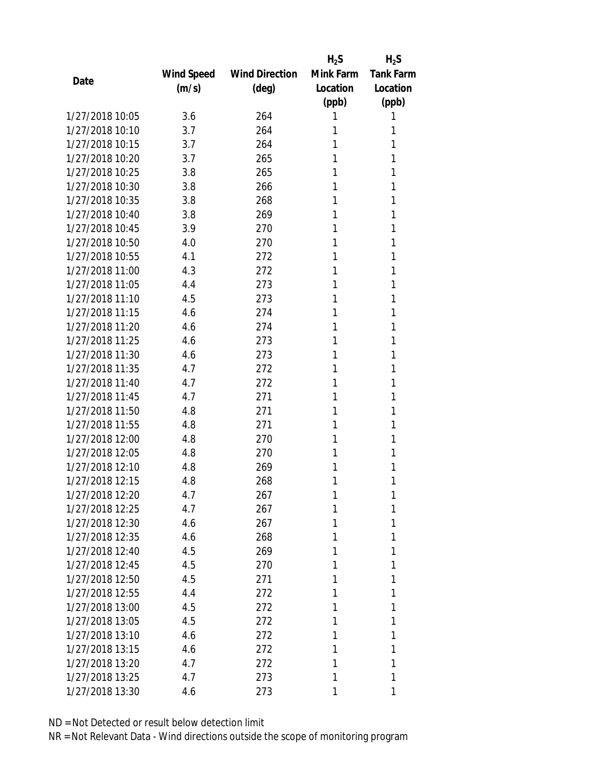|                 |            |                       | $H_2S$    | $H_2S$           |
|-----------------|------------|-----------------------|-----------|------------------|
|                 | Wind Speed | <b>Wind Direction</b> | Mink Farm | <b>Tank Farm</b> |
| Date            | (m/s)      | $(\text{deg})$        | Location  | Location         |
|                 |            |                       | (ppb)     | (ppb)            |
| 1/27/2018 10:05 | 3.6        | 264                   | 1         | 1                |
| 1/27/2018 10:10 | 3.7        | 264                   | 1         | 1                |
| 1/27/2018 10:15 | 3.7        | 264                   | 1         | 1                |
| 1/27/2018 10:20 | 3.7        | 265                   | 1         | 1                |
| 1/27/2018 10:25 | 3.8        | 265                   | 1         | 1                |
| 1/27/2018 10:30 | 3.8        | 266                   | 1         | 1                |
| 1/27/2018 10:35 | 3.8        | 268                   | 1         | 1                |
| 1/27/2018 10:40 | 3.8        | 269                   | 1         | 1                |
| 1/27/2018 10:45 | 3.9        | 270                   | 1         | 1                |
| 1/27/2018 10:50 | 4.0        | 270                   | 1         | 1                |
| 1/27/2018 10:55 | 4.1        | 272                   | 1         | 1                |
| 1/27/2018 11:00 | 4.3        | 272                   | 1         | 1                |
| 1/27/2018 11:05 | 4.4        | 273                   | 1         | 1                |
| 1/27/2018 11:10 | 4.5        | 273                   | 1         | 1                |
| 1/27/2018 11:15 | 4.6        | 274                   | 1         | 1                |
| 1/27/2018 11:20 | 4.6        | 274                   | 1         | 1                |
| 1/27/2018 11:25 | 4.6        | 273                   | 1         | 1                |
| 1/27/2018 11:30 | 4.6        | 273                   | 1         | 1                |
| 1/27/2018 11:35 | 4.7        | 272                   | 1         | 1                |
| 1/27/2018 11:40 | 4.7        | 272                   | 1         | 1                |
| 1/27/2018 11:45 | 4.7        | 271                   | 1         | 1                |
| 1/27/2018 11:50 | 4.8        | 271                   | 1         | 1                |
| 1/27/2018 11:55 | 4.8        | 271                   | 1         | 1                |
| 1/27/2018 12:00 | 4.8        | 270                   | 1         | 1                |
| 1/27/2018 12:05 | 4.8        | 270                   | 1         | 1                |
| 1/27/2018 12:10 | 4.8        | 269                   | 1         | 1                |
| 1/27/2018 12:15 | 4.8        | 268                   | 1         | 1                |
| 1/27/2018 12:20 | 4.7        | 267                   | 1         | 1                |
| 1/27/2018 12:25 | 4.7        | 267                   | 1         | 1                |
| 1/27/2018 12:30 | 4.6        | 267                   | 1         | 1                |
| 1/27/2018 12:35 | 4.6        | 268                   | 1         | 1                |
| 1/27/2018 12:40 | 4.5        | 269                   | 1         | 1                |
| 1/27/2018 12:45 | 4.5        | 270                   | 1         | 1                |
| 1/27/2018 12:50 | 4.5        | 271                   | 1         | 1                |
| 1/27/2018 12:55 | 4.4        | 272                   | 1         | 1                |
| 1/27/2018 13:00 | 4.5        | 272                   | 1         | 1                |
| 1/27/2018 13:05 | 4.5        | 272                   | 1         | 1                |
| 1/27/2018 13:10 | 4.6        | 272                   | 1         | 1                |
| 1/27/2018 13:15 | 4.6        | 272                   | 1         | 1                |
| 1/27/2018 13:20 | 4.7        | 272                   | 1         | 1                |
| 1/27/2018 13:25 | 4.7        | 273                   | 1         | 1                |
| 1/27/2018 13:30 | 4.6        | 273                   | 1         | 1                |
|                 |            |                       |           |                  |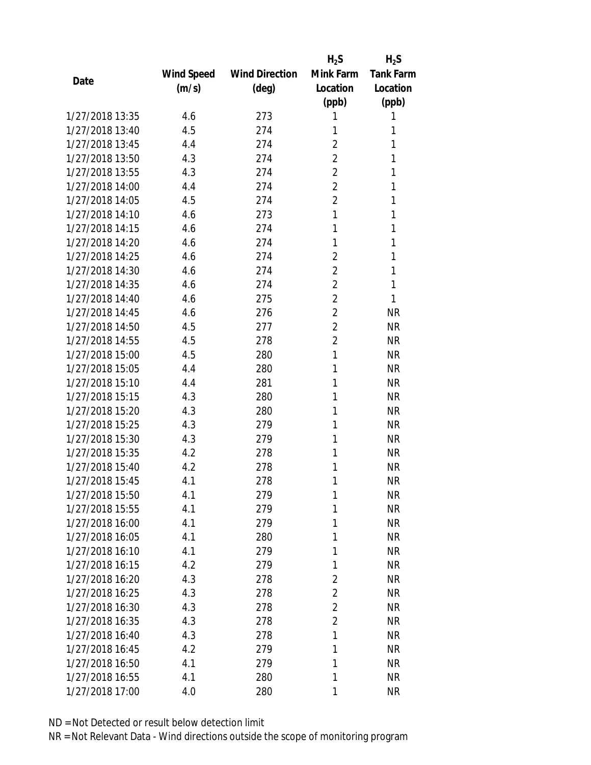|                 |            |                       | $H_2S$         | $H_2S$           |
|-----------------|------------|-----------------------|----------------|------------------|
|                 | Wind Speed | <b>Wind Direction</b> | Mink Farm      | <b>Tank Farm</b> |
| Date            | (m/s)      | (deg)                 | Location       | Location         |
|                 |            |                       | (ppb)          | (ppb)            |
| 1/27/2018 13:35 | 4.6        | 273                   | 1              | 1                |
| 1/27/2018 13:40 | 4.5        | 274                   | 1              | 1                |
| 1/27/2018 13:45 | 4.4        | 274                   | $\overline{2}$ | 1                |
| 1/27/2018 13:50 | 4.3        | 274                   | $\overline{2}$ | 1                |
| 1/27/2018 13:55 | 4.3        | 274                   | $\overline{2}$ | 1                |
| 1/27/2018 14:00 | 4.4        | 274                   | $\overline{2}$ | 1                |
| 1/27/2018 14:05 | 4.5        | 274                   | $\overline{2}$ | 1                |
| 1/27/2018 14:10 | 4.6        | 273                   | 1              | 1                |
| 1/27/2018 14:15 | 4.6        | 274                   | 1              | 1                |
| 1/27/2018 14:20 | 4.6        | 274                   | 1              | 1                |
| 1/27/2018 14:25 | 4.6        | 274                   | 2              | 1                |
| 1/27/2018 14:30 | 4.6        | 274                   | $\overline{2}$ | 1                |
| 1/27/2018 14:35 | 4.6        | 274                   | $\overline{2}$ | 1                |
| 1/27/2018 14:40 | 4.6        | 275                   | $\overline{2}$ | 1                |
| 1/27/2018 14:45 | 4.6        | 276                   | $\overline{2}$ | <b>NR</b>        |
| 1/27/2018 14:50 | 4.5        | 277                   | $\overline{2}$ | <b>NR</b>        |
| 1/27/2018 14:55 | 4.5        | 278                   | $\overline{2}$ | <b>NR</b>        |
| 1/27/2018 15:00 | 4.5        | 280                   | 1              | <b>NR</b>        |
| 1/27/2018 15:05 | 4.4        | 280                   | 1              | <b>NR</b>        |
| 1/27/2018 15:10 | 4.4        | 281                   | 1              | <b>NR</b>        |
| 1/27/2018 15:15 | 4.3        | 280                   | 1              | <b>NR</b>        |
| 1/27/2018 15:20 | 4.3        | 280                   | 1              | <b>NR</b>        |
| 1/27/2018 15:25 | 4.3        | 279                   | 1              | <b>NR</b>        |
| 1/27/2018 15:30 | 4.3        | 279                   | 1              | <b>NR</b>        |
| 1/27/2018 15:35 | 4.2        | 278                   | 1              | <b>NR</b>        |
| 1/27/2018 15:40 | 4.2        | 278                   | 1              | <b>NR</b>        |
| 1/27/2018 15:45 | 4.1        | 278                   | 1              | <b>NR</b>        |
| 1/27/2018 15:50 | 4.1        | 279                   | 1              | <b>NR</b>        |
| 1/27/2018 15:55 | 4.1        | 279                   | 1              | <b>NR</b>        |
| 1/27/2018 16:00 | 4.1        | 279                   | 1              | <b>NR</b>        |
| 1/27/2018 16:05 | 4.1        | 280                   | 1              | <b>NR</b>        |
| 1/27/2018 16:10 | 4.1        | 279                   | 1              | NR               |
| 1/27/2018 16:15 | 4.2        | 279                   | 1              | <b>NR</b>        |
| 1/27/2018 16:20 | 4.3        | 278                   | $\overline{2}$ | <b>NR</b>        |
| 1/27/2018 16:25 | 4.3        | 278                   | $\overline{2}$ | <b>NR</b>        |
| 1/27/2018 16:30 | 4.3        | 278                   | 2              | <b>NR</b>        |
| 1/27/2018 16:35 | 4.3        | 278                   | $\overline{2}$ | <b>NR</b>        |
| 1/27/2018 16:40 | 4.3        | 278                   | 1              | <b>NR</b>        |
| 1/27/2018 16:45 | 4.2        | 279                   | 1              | <b>NR</b>        |
| 1/27/2018 16:50 | 4.1        | 279                   | 1              | <b>NR</b>        |
| 1/27/2018 16:55 | 4.1        | 280                   | 1              | <b>NR</b>        |
| 1/27/2018 17:00 | 4.0        | 280                   | 1              | <b>NR</b>        |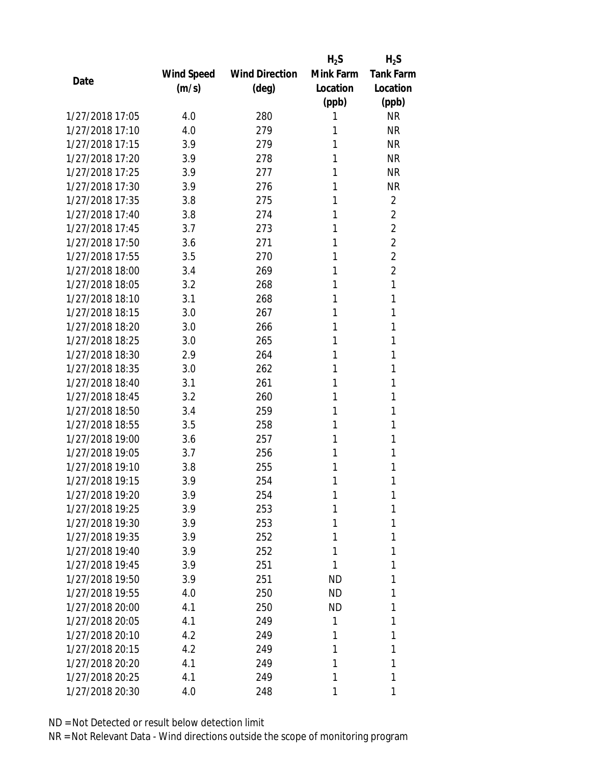|                 |            |                       | $H_2S$    | $H_2S$           |
|-----------------|------------|-----------------------|-----------|------------------|
|                 | Wind Speed | <b>Wind Direction</b> | Mink Farm | <b>Tank Farm</b> |
| Date            | (m/s)      | $(\text{deg})$        | Location  | Location         |
|                 |            |                       | (ppb)     | (ppb)            |
| 1/27/2018 17:05 | 4.0        | 280                   | 1         | <b>NR</b>        |
| 1/27/2018 17:10 | 4.0        | 279                   | 1         | <b>NR</b>        |
| 1/27/2018 17:15 | 3.9        | 279                   | 1         | <b>NR</b>        |
| 1/27/2018 17:20 | 3.9        | 278                   | 1         | <b>NR</b>        |
| 1/27/2018 17:25 | 3.9        | 277                   | 1         | <b>NR</b>        |
| 1/27/2018 17:30 | 3.9        | 276                   | 1         | <b>NR</b>        |
| 1/27/2018 17:35 | 3.8        | 275                   | 1         | 2                |
| 1/27/2018 17:40 | 3.8        | 274                   | 1         | $\overline{2}$   |
| 1/27/2018 17:45 | 3.7        | 273                   | 1         | $\overline{2}$   |
| 1/27/2018 17:50 | 3.6        | 271                   | 1         | $\overline{2}$   |
| 1/27/2018 17:55 | 3.5        | 270                   | 1         | $\overline{2}$   |
| 1/27/2018 18:00 | 3.4        | 269                   | 1         | $\overline{2}$   |
| 1/27/2018 18:05 | 3.2        | 268                   | 1         | 1                |
| 1/27/2018 18:10 | 3.1        | 268                   | 1         | 1                |
| 1/27/2018 18:15 | 3.0        | 267                   | 1         | 1                |
| 1/27/2018 18:20 | 3.0        | 266                   | 1         | 1                |
| 1/27/2018 18:25 | 3.0        | 265                   | 1         | 1                |
| 1/27/2018 18:30 | 2.9        | 264                   | 1         | 1                |
| 1/27/2018 18:35 | 3.0        | 262                   | 1         | 1                |
| 1/27/2018 18:40 | 3.1        | 261                   | 1         | 1                |
| 1/27/2018 18:45 | 3.2        | 260                   | 1         | 1                |
| 1/27/2018 18:50 | 3.4        | 259                   | 1         | 1                |
| 1/27/2018 18:55 | 3.5        | 258                   | 1         | 1                |
| 1/27/2018 19:00 | 3.6        | 257                   | 1         | 1                |
| 1/27/2018 19:05 | 3.7        | 256                   | 1         | 1                |
| 1/27/2018 19:10 | 3.8        | 255                   | 1         | 1                |
| 1/27/2018 19:15 | 3.9        | 254                   | 1         | 1                |
| 1/27/2018 19:20 | 3.9        | 254                   | 1         | 1                |
| 1/27/2018 19:25 | 3.9        | 253                   | 1         | 1                |
| 1/27/2018 19:30 | 3.9        | 253                   | 1         | 1                |
| 1/27/2018 19:35 | 3.9        | 252                   | 1         | 1                |
| 1/27/2018 19:40 | 3.9        | 252                   | 1         | 1                |
| 1/27/2018 19:45 | 3.9        | 251                   | 1         | 1                |
| 1/27/2018 19:50 | 3.9        | 251                   | <b>ND</b> | 1                |
| 1/27/2018 19:55 | 4.0        | 250                   | <b>ND</b> | 1                |
| 1/27/2018 20:00 | 4.1        | 250                   | <b>ND</b> | 1                |
| 1/27/2018 20:05 | 4.1        | 249                   | 1         | 1                |
| 1/27/2018 20:10 | 4.2        | 249                   | 1         | 1                |
| 1/27/2018 20:15 | 4.2        | 249                   | 1         | 1                |
| 1/27/2018 20:20 | 4.1        | 249                   | 1         | 1                |
| 1/27/2018 20:25 | 4.1        | 249                   | 1         | 1                |
| 1/27/2018 20:30 | 4.0        | 248                   | 1         | 1                |
|                 |            |                       |           |                  |